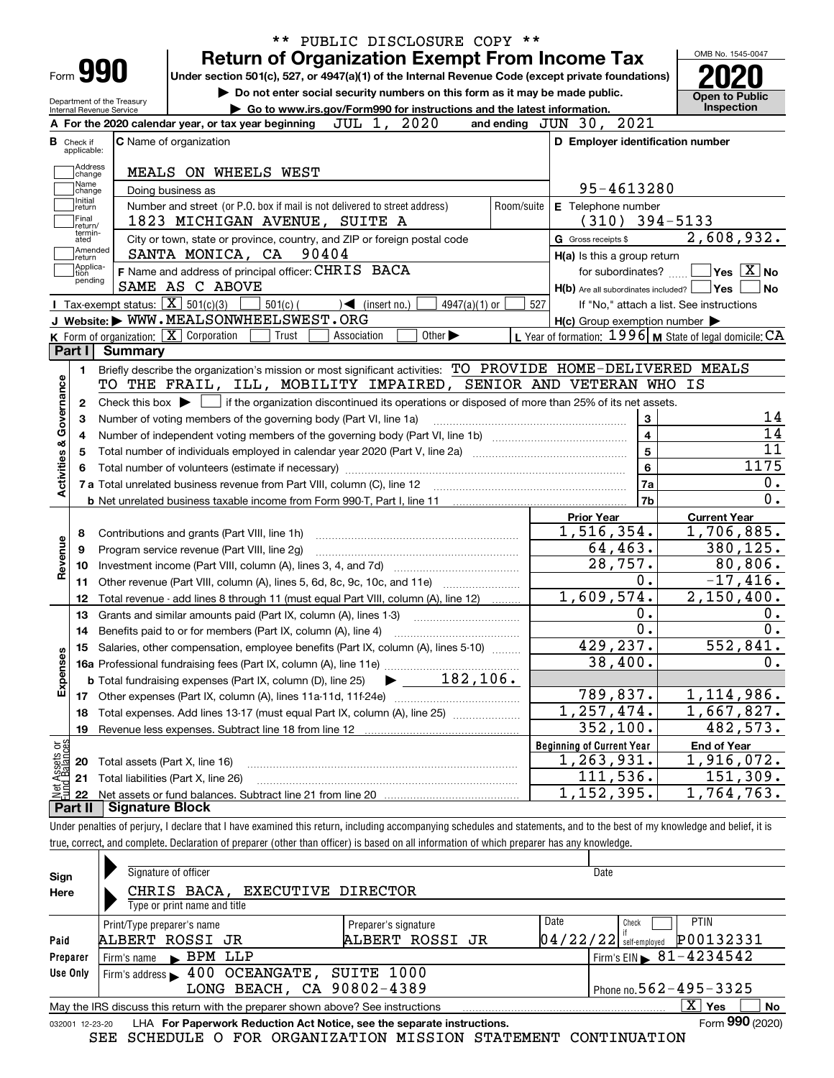|                                                |                                |                                                            | <b>Return of Organization Exempt From Income Tax</b>                                                             |                                                                                                                                                     |            |                                                     | OMB No. 1545-0047                                         |
|------------------------------------------------|--------------------------------|------------------------------------------------------------|------------------------------------------------------------------------------------------------------------------|-----------------------------------------------------------------------------------------------------------------------------------------------------|------------|-----------------------------------------------------|-----------------------------------------------------------|
| Form 990                                       |                                |                                                            | Under section 501(c), 527, or 4947(a)(1) of the Internal Revenue Code (except private foundations)               |                                                                                                                                                     |            |                                                     |                                                           |
|                                                | Department of the Treasurv     |                                                            | Do not enter social security numbers on this form as it may be made public.                                      |                                                                                                                                                     |            |                                                     | <b>Open to Public</b>                                     |
| Internal Revenue Service                       |                                | A For the 2020 calendar year, or tax year beginning        | Go to www.irs.gov/Form990 for instructions and the latest information.<br>JUL 1, 2020                            |                                                                                                                                                     |            | and ending JUN 30, 2021                             | Inspection                                                |
|                                                |                                | C Name of organization                                     |                                                                                                                  |                                                                                                                                                     |            | D Employer identification number                    |                                                           |
| Check if<br>applicable:                        |                                |                                                            |                                                                                                                  |                                                                                                                                                     |            |                                                     |                                                           |
| Address<br>change                              |                                | MEALS ON WHEELS WEST                                       |                                                                                                                  |                                                                                                                                                     |            |                                                     |                                                           |
| Name<br>change                                 |                                | Doing business as                                          |                                                                                                                  |                                                                                                                                                     |            | 95-4613280                                          |                                                           |
| Initial<br>return                              |                                |                                                            | Number and street (or P.O. box if mail is not delivered to street address)                                       |                                                                                                                                                     | Room/suite | E Telephone number                                  |                                                           |
| Final<br>return/                               |                                |                                                            | 1823 MICHIGAN AVENUE, SUITE A                                                                                    |                                                                                                                                                     |            | $(310)$ 394-5133                                    |                                                           |
| termin-<br>ated                                |                                |                                                            | City or town, state or province, country, and ZIP or foreign postal code                                         |                                                                                                                                                     |            | G Gross receipts \$                                 | 2,608,932.                                                |
| Amended<br> return                             |                                | SANTA MONICA, CA 90404                                     |                                                                                                                  |                                                                                                                                                     |            | H(a) Is this a group return                         |                                                           |
| Applica-<br>tion                               |                                |                                                            | F Name and address of principal officer: CHRIS BACA                                                              |                                                                                                                                                     |            | for subordinates?                                   | $\sqrt{}$ Yes $\sqrt{}$ $\overline{\rm X}$ $\sqrt{}$ No   |
| pending                                        |                                | SAME AS C ABOVE                                            |                                                                                                                  |                                                                                                                                                     |            | $H(b)$ Are all subordinates included? $\Box$ Yes    | <b>No</b>                                                 |
|                                                |                                | <b>I</b> Tax-exempt status: $\boxed{\mathbf{X}}$ 501(c)(3) | $501(c)$ (<br>$\sqrt{\frac{1}{1}}$ (insert no.)                                                                  | 4947(a)(1) or                                                                                                                                       | 527        |                                                     | If "No," attach a list. See instructions                  |
|                                                |                                | J Website: WWW.MEALSONWHEELSWEST.ORG                       |                                                                                                                  |                                                                                                                                                     |            | $H(c)$ Group exemption number $\blacktriangleright$ |                                                           |
|                                                |                                | K Form of organization: $\boxed{\mathbf{X}}$ Corporation   | Trust<br>Association                                                                                             | Other $\blacktriangleright$                                                                                                                         |            |                                                     | L Year of formation: 1996   M State of legal domicile: CA |
| Part I                                         | <b>Summary</b>                 |                                                            |                                                                                                                  |                                                                                                                                                     |            |                                                     |                                                           |
| 1.                                             |                                |                                                            | Briefly describe the organization's mission or most significant activities: TO PROVIDE HOME-DELIVERED MEALS      |                                                                                                                                                     |            |                                                     |                                                           |
|                                                |                                |                                                            | TO THE FRAIL, ILL, MOBILITY IMPAIRED, SENIOR AND VETERAN WHO IS                                                  |                                                                                                                                                     |            |                                                     |                                                           |
| 2                                              |                                |                                                            |                                                                                                                  |                                                                                                                                                     |            |                                                     |                                                           |
|                                                |                                |                                                            |                                                                                                                  | Check this box $\blacktriangleright$ $\blacksquare$ if the organization discontinued its operations or disposed of more than 25% of its net assets. |            |                                                     |                                                           |
|                                                |                                |                                                            | Number of voting members of the governing body (Part VI, line 1a)                                                |                                                                                                                                                     |            | 3                                                   | 14                                                        |
|                                                |                                |                                                            |                                                                                                                  |                                                                                                                                                     |            | $\overline{\mathbf{4}}$                             | $\overline{14}$                                           |
|                                                |                                |                                                            | Total number of individuals employed in calendar year 2020 (Part V, line 2a) manufacture controller to intervent |                                                                                                                                                     |            | $\overline{5}$                                      | $\overline{11}$                                           |
|                                                |                                |                                                            |                                                                                                                  |                                                                                                                                                     |            | $6\overline{6}$                                     | 1175                                                      |
|                                                |                                |                                                            |                                                                                                                  |                                                                                                                                                     |            | 7a                                                  | 0.                                                        |
|                                                |                                |                                                            |                                                                                                                  |                                                                                                                                                     |            | 7b                                                  | $\overline{0}$ .                                          |
|                                                |                                |                                                            |                                                                                                                  |                                                                                                                                                     |            | <b>Prior Year</b>                                   | <b>Current Year</b>                                       |
| 8                                              |                                | Contributions and grants (Part VIII, line 1h)              |                                                                                                                  |                                                                                                                                                     |            | 1,516,354.                                          | $\overline{1}$ , 706, 885.                                |
| 9                                              |                                | Program service revenue (Part VIII, line 2g)               |                                                                                                                  |                                                                                                                                                     |            | 64,463.                                             | 380,125.                                                  |
| 10                                             |                                |                                                            |                                                                                                                  |                                                                                                                                                     |            | 28,757.                                             | 80,806.                                                   |
| 11                                             |                                |                                                            | Other revenue (Part VIII, column (A), lines 5, 6d, 8c, 9c, 10c, and 11e)                                         |                                                                                                                                                     |            | $\overline{0}$ .                                    | $-17,416.$                                                |
| 12                                             |                                |                                                            | Total revenue - add lines 8 through 11 (must equal Part VIII, column (A), line 12)                               |                                                                                                                                                     |            | 1,609,574.                                          | 2,150,400.                                                |
| 13                                             |                                |                                                            | Grants and similar amounts paid (Part IX, column (A), lines 1-3)                                                 |                                                                                                                                                     |            | 0.                                                  | 0.                                                        |
| 14                                             |                                |                                                            | Benefits paid to or for members (Part IX, column (A), line 4)                                                    |                                                                                                                                                     |            | $\overline{0}$ .                                    | $\overline{0}$ .                                          |
|                                                |                                |                                                            | 15 Salaries, other compensation, employee benefits (Part IX, column (A), lines 5-10)                             |                                                                                                                                                     |            | 429,237.                                            | 552,841.                                                  |
|                                                |                                |                                                            |                                                                                                                  |                                                                                                                                                     |            | 38,400.                                             | 0.                                                        |
|                                                |                                |                                                            |                                                                                                                  |                                                                                                                                                     |            |                                                     |                                                           |
|                                                |                                |                                                            |                                                                                                                  |                                                                                                                                                     |            | 789,837.                                            | 1,114,986.                                                |
| 18                                             |                                |                                                            | Total expenses. Add lines 13-17 (must equal Part IX, column (A), line 25)                                        |                                                                                                                                                     |            | 1,257,474.                                          | $\overline{1,667,827}$ .                                  |
| 19                                             |                                | Revenue less expenses. Subtract line 18 from line 12       |                                                                                                                  |                                                                                                                                                     |            | 352, 100.                                           | 482,573.                                                  |
| Activities & Governance<br>Revenue<br>Expenses |                                |                                                            |                                                                                                                  |                                                                                                                                                     |            | <b>Beginning of Current Year</b>                    | <b>End of Year</b>                                        |
| 20                                             | Total assets (Part X, line 16) |                                                            |                                                                                                                  |                                                                                                                                                     |            | 1, 263, 931.                                        | 1,916,072.                                                |
| 21                                             |                                | Total liabilities (Part X, line 26)                        |                                                                                                                  |                                                                                                                                                     |            | 111,536.                                            | 151,309.                                                  |
| Net Assets or<br>Fund Balances<br>22           |                                |                                                            |                                                                                                                  |                                                                                                                                                     |            | 1, 152, 395.                                        | $\overline{1,764,763.}$                                   |

true, correct, and complete. Declaration of preparer (other than officer) is based on all information of which preparer has any knowledge.

| Sign     | Signature of officer                                                                                         | Date                                   |  |  |  |  |  |  |  |  |
|----------|--------------------------------------------------------------------------------------------------------------|----------------------------------------|--|--|--|--|--|--|--|--|
| Here     | CHRIS BACA, EXECUTIVE DIRECTOR                                                                               |                                        |  |  |  |  |  |  |  |  |
|          | Type or print name and title                                                                                 |                                        |  |  |  |  |  |  |  |  |
|          | Print/Type preparer's name<br>Preparer's signature                                                           | Date<br><b>PTIN</b><br>Check           |  |  |  |  |  |  |  |  |
| Paid     | ALBERT ROSSI JR<br>ALBERT ROSSI JR                                                                           | P00132331<br>$04/22/22$ self-employed  |  |  |  |  |  |  |  |  |
| Preparer | BPM LLP<br>Firm's name                                                                                       | Firm's EIN $\triangleright$ 81-4234542 |  |  |  |  |  |  |  |  |
| Use Only | 400 OCEANGATE, SUITE 1000<br>Firm's address $\blacktriangleright$                                            |                                        |  |  |  |  |  |  |  |  |
|          | Phone no. $562 - 495 - 3325$<br>LONG BEACH, CA 90802-4389                                                    |                                        |  |  |  |  |  |  |  |  |
|          | x.<br>No<br>Yes<br>May the IRS discuss this return with the preparer shown above? See instructions           |                                        |  |  |  |  |  |  |  |  |
|          | Form 990 (2020)<br>LHA For Paperwork Reduction Act Notice, see the separate instructions.<br>032001 12-23-20 |                                        |  |  |  |  |  |  |  |  |

SEE SCHEDULE O FOR ORGANIZATION MISSION STATEMENT CONTINUATION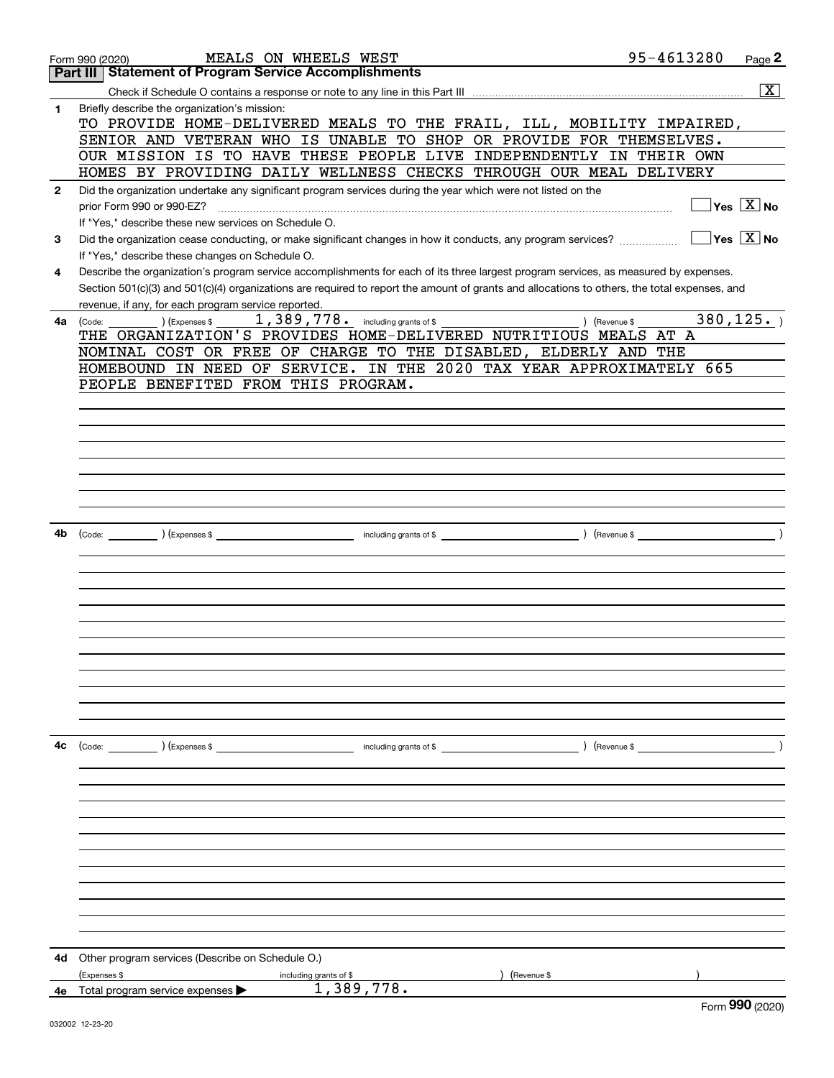|              | 95-4613280<br>MEALS ON WHEELS WEST<br>Form 990 (2020)                                                                                        | Page 2                      |
|--------------|----------------------------------------------------------------------------------------------------------------------------------------------|-----------------------------|
|              | <b>Statement of Program Service Accomplishments</b><br>Part III                                                                              |                             |
|              |                                                                                                                                              | $\overline{\mathbf{X}}$     |
| 1            | Briefly describe the organization's mission:<br>TO PROVIDE HOME-DELIVERED MEALS TO THE FRAIL, ILL, MOBILITY IMPAIRED,                        |                             |
|              | SENIOR AND VETERAN WHO IS UNABLE TO SHOP OR PROVIDE FOR THEMSELVES.                                                                          |                             |
|              | OUR MISSION IS TO HAVE THESE PEOPLE LIVE INDEPENDENTLY IN THEIR OWN                                                                          |                             |
|              | HOMES BY PROVIDING DAILY WELLNESS CHECKS THROUGH OUR MEAL DELIVERY                                                                           |                             |
| $\mathbf{2}$ | Did the organization undertake any significant program services during the year which were not listed on the                                 |                             |
|              | prior Form 990 or 990-EZ?                                                                                                                    | $Yes \quad X$ No            |
|              | If "Yes," describe these new services on Schedule O.                                                                                         |                             |
| 3            | Did the organization cease conducting, or make significant changes in how it conducts, any program services?                                 | $Yes \ \boxed{X}$ No        |
|              |                                                                                                                                              |                             |
|              | If "Yes," describe these changes on Schedule O.                                                                                              |                             |
| 4            | Describe the organization's program service accomplishments for each of its three largest program services, as measured by expenses.         |                             |
|              | Section 501(c)(3) and 501(c)(4) organizations are required to report the amount of grants and allocations to others, the total expenses, and |                             |
|              | revenue, if any, for each program service reported.                                                                                          |                             |
| 4a           | 1,389, 778. including grants of \$<br>) (Revenue \$<br>(Expenses \$<br>(Code:                                                                | 380, 125.                   |
|              | THE ORGANIZATION'S PROVIDES HOME-DELIVERED NUTRITIOUS MEALS AT A                                                                             |                             |
|              | NOMINAL COST OR FREE OF CHARGE TO THE DISABLED, ELDERLY AND THE                                                                              |                             |
|              | HOMEBOUND IN NEED OF SERVICE. IN THE 2020 TAX YEAR APPROXIMATELY 665                                                                         |                             |
|              | PEOPLE BENEFITED FROM THIS PROGRAM.                                                                                                          |                             |
|              |                                                                                                                                              |                             |
|              |                                                                                                                                              |                             |
|              |                                                                                                                                              |                             |
|              |                                                                                                                                              |                             |
|              |                                                                                                                                              |                             |
|              |                                                                                                                                              |                             |
|              |                                                                                                                                              |                             |
|              |                                                                                                                                              |                             |
|              |                                                                                                                                              |                             |
| 4b           |                                                                                                                                              |                             |
|              |                                                                                                                                              |                             |
|              |                                                                                                                                              |                             |
|              |                                                                                                                                              |                             |
|              |                                                                                                                                              |                             |
|              |                                                                                                                                              |                             |
|              |                                                                                                                                              |                             |
|              |                                                                                                                                              |                             |
|              |                                                                                                                                              |                             |
|              |                                                                                                                                              |                             |
|              |                                                                                                                                              |                             |
|              |                                                                                                                                              |                             |
|              |                                                                                                                                              |                             |
|              |                                                                                                                                              |                             |
| 4c           | (Code: ) (Expenses \$<br>) (Revenue \$<br>including grants of $$$                                                                            |                             |
|              |                                                                                                                                              |                             |
|              |                                                                                                                                              |                             |
|              |                                                                                                                                              |                             |
|              |                                                                                                                                              |                             |
|              |                                                                                                                                              |                             |
|              |                                                                                                                                              |                             |
|              |                                                                                                                                              |                             |
|              |                                                                                                                                              |                             |
|              |                                                                                                                                              |                             |
|              |                                                                                                                                              |                             |
|              |                                                                                                                                              |                             |
|              |                                                                                                                                              |                             |
|              |                                                                                                                                              |                             |
| 4d           | Other program services (Describe on Schedule O.)                                                                                             |                             |
|              | (Expenses \$<br>Revenue \$<br>including grants of \$                                                                                         |                             |
|              | 1,389,778.<br>4e Total program service expenses $\blacktriangleright$                                                                        |                             |
|              |                                                                                                                                              | $F_{\text{arm}}$ 990 (2020) |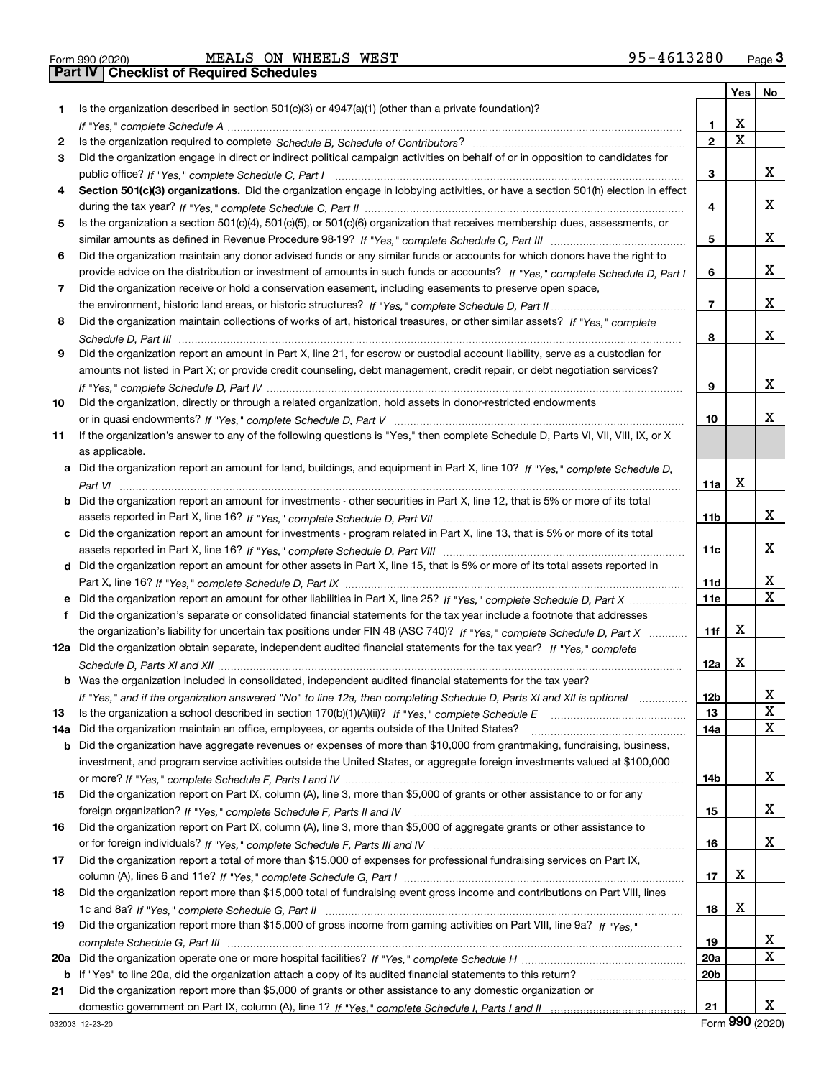|  | Form 990 (2020 |  |
|--|----------------|--|

| Form 990 (2020) |                                                  |  | MEALS ON WHEELS WEST | 95-4613280 | Page $3$ |
|-----------------|--------------------------------------------------|--|----------------------|------------|----------|
|                 | <b>Part IV   Checklist of Required Schedules</b> |  |                      |            |          |

|     |                                                                                                                                       |                 | Yes                     | No          |
|-----|---------------------------------------------------------------------------------------------------------------------------------------|-----------------|-------------------------|-------------|
| 1.  | Is the organization described in section $501(c)(3)$ or $4947(a)(1)$ (other than a private foundation)?                               |                 |                         |             |
|     |                                                                                                                                       | 1               | X                       |             |
| 2   |                                                                                                                                       | $\overline{2}$  | $\overline{\mathbf{x}}$ |             |
| 3   | Did the organization engage in direct or indirect political campaign activities on behalf of or in opposition to candidates for       |                 |                         |             |
|     |                                                                                                                                       | 3               |                         | x           |
| 4   | Section 501(c)(3) organizations. Did the organization engage in lobbying activities, or have a section 501(h) election in effect      |                 |                         |             |
|     |                                                                                                                                       | 4               |                         | X           |
| 5   | Is the organization a section 501(c)(4), 501(c)(5), or 501(c)(6) organization that receives membership dues, assessments, or          |                 |                         |             |
|     |                                                                                                                                       | 5               |                         | X           |
| 6   | Did the organization maintain any donor advised funds or any similar funds or accounts for which donors have the right to             |                 |                         |             |
|     | provide advice on the distribution or investment of amounts in such funds or accounts? If "Yes," complete Schedule D, Part I          | 6               |                         | X           |
| 7   | Did the organization receive or hold a conservation easement, including easements to preserve open space,                             |                 |                         |             |
|     |                                                                                                                                       | $\overline{7}$  |                         | x           |
| 8   | Did the organization maintain collections of works of art, historical treasures, or other similar assets? If "Yes," complete          |                 |                         |             |
|     |                                                                                                                                       | 8               |                         | x           |
| 9   | Did the organization report an amount in Part X, line 21, for escrow or custodial account liability, serve as a custodian for         |                 |                         |             |
|     | amounts not listed in Part X; or provide credit counseling, debt management, credit repair, or debt negotiation services?             |                 |                         |             |
|     |                                                                                                                                       | 9               |                         | x           |
| 10  | Did the organization, directly or through a related organization, hold assets in donor-restricted endowments                          |                 |                         |             |
|     |                                                                                                                                       | 10              |                         | х           |
| 11  | If the organization's answer to any of the following questions is "Yes," then complete Schedule D, Parts VI, VII, VIII, IX, or X      |                 |                         |             |
|     | as applicable.                                                                                                                        |                 |                         |             |
|     | a Did the organization report an amount for land, buildings, and equipment in Part X, line 10? If "Yes," complete Schedule D,         |                 |                         |             |
|     |                                                                                                                                       | 11a             | X                       |             |
|     | <b>b</b> Did the organization report an amount for investments - other securities in Part X, line 12, that is 5% or more of its total |                 |                         |             |
|     |                                                                                                                                       | 11 <sub>b</sub> |                         | x           |
|     | c Did the organization report an amount for investments - program related in Part X, line 13, that is 5% or more of its total         |                 |                         |             |
|     |                                                                                                                                       | 11c             |                         | х           |
|     | d Did the organization report an amount for other assets in Part X, line 15, that is 5% or more of its total assets reported in       |                 |                         |             |
|     |                                                                                                                                       | 11d             |                         | x           |
|     |                                                                                                                                       | <b>11e</b>      |                         | $\mathbf x$ |
| f   | Did the organization's separate or consolidated financial statements for the tax year include a footnote that addresses               |                 |                         |             |
|     | the organization's liability for uncertain tax positions under FIN 48 (ASC 740)? If "Yes," complete Schedule D, Part X                | 11f             | х                       |             |
|     | 12a Did the organization obtain separate, independent audited financial statements for the tax year? If "Yes," complete               |                 |                         |             |
|     |                                                                                                                                       | 12a             | х                       |             |
|     | <b>b</b> Was the organization included in consolidated, independent audited financial statements for the tax year?                    |                 |                         |             |
|     | If "Yes," and if the organization answered "No" to line 12a, then completing Schedule D, Parts XI and XII is optional metallion       | 12 <sub>b</sub> |                         |             |
| 13  | Is the organization a school described in section $170(b)(1)(A)(ii)?$ If "Yes," complete Schedule E                                   | 13              |                         | X           |
| 14a | Did the organization maintain an office, employees, or agents outside of the United States?                                           | 14a             |                         | x           |
|     | <b>b</b> Did the organization have aggregate revenues or expenses of more than \$10,000 from grantmaking, fundraising, business,      |                 |                         |             |
|     | investment, and program service activities outside the United States, or aggregate foreign investments valued at \$100,000            |                 |                         |             |
|     |                                                                                                                                       | 14b             |                         | x           |
| 15  | Did the organization report on Part IX, column (A), line 3, more than \$5,000 of grants or other assistance to or for any             |                 |                         |             |
|     |                                                                                                                                       | 15              |                         | x           |
| 16  | Did the organization report on Part IX, column (A), line 3, more than \$5,000 of aggregate grants or other assistance to              |                 |                         |             |
|     |                                                                                                                                       | 16              |                         | x           |
| 17  | Did the organization report a total of more than \$15,000 of expenses for professional fundraising services on Part IX,               |                 |                         |             |
|     |                                                                                                                                       | 17              | х                       |             |
| 18  | Did the organization report more than \$15,000 total of fundraising event gross income and contributions on Part VIII, lines          |                 |                         |             |
|     |                                                                                                                                       | 18              | х                       |             |
| 19  | Did the organization report more than \$15,000 of gross income from gaming activities on Part VIII, line 9a? If "Yes."                |                 |                         |             |
|     |                                                                                                                                       | 19              |                         | X           |
| 20a |                                                                                                                                       | 20a             |                         | $\mathbf X$ |
|     | b If "Yes" to line 20a, did the organization attach a copy of its audited financial statements to this return?                        | 20 <sub>b</sub> |                         |             |
| 21  | Did the organization report more than \$5,000 of grants or other assistance to any domestic organization or                           |                 |                         |             |
|     |                                                                                                                                       | 21              |                         | x           |

Form (2020) **990**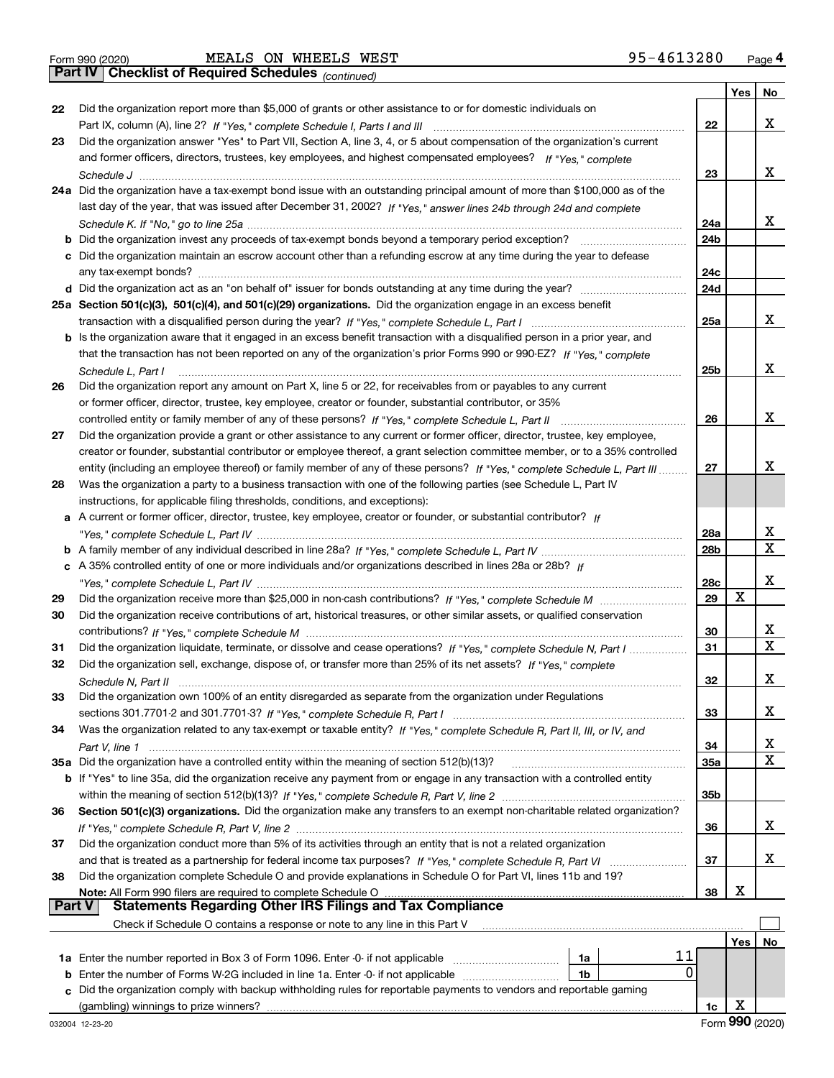|  | Form 990 (2020) |
|--|-----------------|
|  |                 |

*(continued)*

|               |                                                                                                                              |                 | <b>Yes</b> | No                      |
|---------------|------------------------------------------------------------------------------------------------------------------------------|-----------------|------------|-------------------------|
| 22            | Did the organization report more than \$5,000 of grants or other assistance to or for domestic individuals on                |                 |            |                         |
|               |                                                                                                                              | 22              |            | x                       |
| 23            | Did the organization answer "Yes" to Part VII, Section A, line 3, 4, or 5 about compensation of the organization's current   |                 |            |                         |
|               | and former officers, directors, trustees, key employees, and highest compensated employees? If "Yes," complete               |                 |            |                         |
|               |                                                                                                                              | 23              |            | x                       |
|               | 24a Did the organization have a tax-exempt bond issue with an outstanding principal amount of more than \$100,000 as of the  |                 |            |                         |
|               | last day of the year, that was issued after December 31, 2002? If "Yes," answer lines 24b through 24d and complete           |                 |            |                         |
|               |                                                                                                                              | 24a             |            | x                       |
|               | <b>b</b> Did the organization invest any proceeds of tax-exempt bonds beyond a temporary period exception?                   | 24 <sub>b</sub> |            |                         |
|               | c Did the organization maintain an escrow account other than a refunding escrow at any time during the year to defease       |                 |            |                         |
|               |                                                                                                                              | 24c             |            |                         |
|               |                                                                                                                              | 24d             |            |                         |
|               | 25a Section 501(c)(3), 501(c)(4), and 501(c)(29) organizations. Did the organization engage in an excess benefit             |                 |            |                         |
|               |                                                                                                                              | 25a             |            | x                       |
|               | b Is the organization aware that it engaged in an excess benefit transaction with a disqualified person in a prior year, and |                 |            |                         |
|               | that the transaction has not been reported on any of the organization's prior Forms 990 or 990-EZ? If "Yes." complete        |                 |            |                         |
|               | Schedule L, Part I                                                                                                           | 25 <sub>b</sub> |            | x                       |
| 26            | Did the organization report any amount on Part X, line 5 or 22, for receivables from or payables to any current              |                 |            |                         |
|               | or former officer, director, trustee, key employee, creator or founder, substantial contributor, or 35%                      |                 |            |                         |
|               | controlled entity or family member of any of these persons? If "Yes," complete Schedule L, Part II                           | 26              |            | X                       |
| 27            | Did the organization provide a grant or other assistance to any current or former officer, director, trustee, key employee,  |                 |            |                         |
|               | creator or founder, substantial contributor or employee thereof, a grant selection committee member, or to a 35% controlled  |                 |            |                         |
|               | entity (including an employee thereof) or family member of any of these persons? If "Yes," complete Schedule L, Part III     | 27              |            | х                       |
| 28            | Was the organization a party to a business transaction with one of the following parties (see Schedule L, Part IV            |                 |            |                         |
|               | instructions, for applicable filing thresholds, conditions, and exceptions):                                                 |                 |            |                         |
| а             | A current or former officer, director, trustee, key employee, creator or founder, or substantial contributor? If             |                 |            | x                       |
|               |                                                                                                                              | 28a<br>28b      |            | $\overline{\mathbf{x}}$ |
|               | c A 35% controlled entity of one or more individuals and/or organizations described in lines 28a or 28b? If                  |                 |            |                         |
|               |                                                                                                                              | 28c             |            | x                       |
| 29            |                                                                                                                              | 29              | X          |                         |
| 30            | Did the organization receive contributions of art, historical treasures, or other similar assets, or qualified conservation  |                 |            |                         |
|               |                                                                                                                              | 30              |            | x                       |
| 31            | Did the organization liquidate, terminate, or dissolve and cease operations? If "Yes," complete Schedule N, Part I           | 31              |            | $\overline{\mathbf{x}}$ |
| 32            | Did the organization sell, exchange, dispose of, or transfer more than 25% of its net assets? If "Yes," complete             |                 |            |                         |
|               |                                                                                                                              | 32              |            | х                       |
| 33            | Did the organization own 100% of an entity disregarded as separate from the organization under Regulations                   |                 |            |                         |
|               |                                                                                                                              | 33              |            | x                       |
| 34            | Was the organization related to any tax-exempt or taxable entity? If "Yes," complete Schedule R, Part II, III, or IV, and    |                 |            |                         |
|               |                                                                                                                              | 34              |            | x                       |
|               | 35a Did the organization have a controlled entity within the meaning of section 512(b)(13)?                                  | 35a             |            | X                       |
|               | b If "Yes" to line 35a, did the organization receive any payment from or engage in any transaction with a controlled entity  |                 |            |                         |
|               |                                                                                                                              | 35b             |            |                         |
| 36            | Section 501(c)(3) organizations. Did the organization make any transfers to an exempt non-charitable related organization?   |                 |            |                         |
|               |                                                                                                                              | 36              |            | x                       |
| 37            | Did the organization conduct more than 5% of its activities through an entity that is not a related organization             |                 |            |                         |
|               |                                                                                                                              | 37              |            | x                       |
| 38            | Did the organization complete Schedule O and provide explanations in Schedule O for Part VI, lines 11b and 19?               |                 |            |                         |
|               | Note: All Form 990 filers are required to complete Schedule O                                                                | 38              | х          |                         |
| <b>Part V</b> | <b>Statements Regarding Other IRS Filings and Tax Compliance</b>                                                             |                 |            |                         |
|               | Check if Schedule O contains a response or note to any line in this Part V                                                   |                 |            |                         |
|               |                                                                                                                              |                 | Yes        | No                      |
|               | 11<br>1a                                                                                                                     |                 |            |                         |
| b             | 0<br>Enter the number of Forms W-2G included in line 1a. Enter -0- if not applicable<br>1b                                   |                 |            |                         |
|               | Did the organization comply with backup withholding rules for reportable payments to vendors and reportable gaming           |                 |            |                         |
|               | (gambling) winnings to prize winners?                                                                                        | 1c              | х          |                         |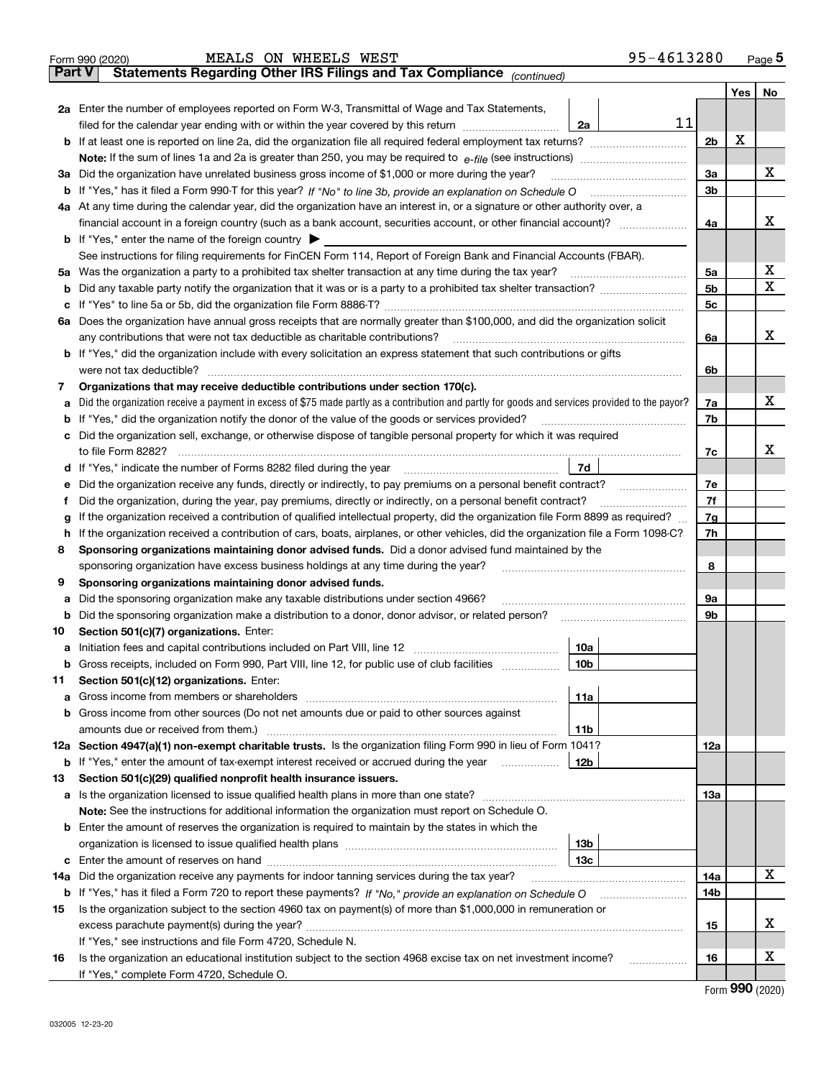|               | 95-4613280<br>MEALS ON WHEELS WEST<br>Form 990 (2020)                                                                                                                         |                |     | $Page$ <sup>5</sup> |
|---------------|-------------------------------------------------------------------------------------------------------------------------------------------------------------------------------|----------------|-----|---------------------|
| <b>Part V</b> | Statements Regarding Other IRS Filings and Tax Compliance (continued)                                                                                                         |                |     |                     |
|               |                                                                                                                                                                               |                | Yes | No                  |
|               | 2a Enter the number of employees reported on Form W-3, Transmittal of Wage and Tax Statements,                                                                                |                |     |                     |
|               | 11<br>2a<br>filed for the calendar year ending with or within the year covered by this return                                                                                 |                |     |                     |
| b             | If at least one is reported on line 2a, did the organization file all required federal employment tax returns?                                                                | 2 <sub>b</sub> | X   |                     |
|               |                                                                                                                                                                               |                |     |                     |
|               | 3a Did the organization have unrelated business gross income of \$1,000 or more during the year?                                                                              | 3a             |     | x                   |
|               |                                                                                                                                                                               | 3 <sub>b</sub> |     |                     |
|               | 4a At any time during the calendar year, did the organization have an interest in, or a signature or other authority over, a                                                  |                |     |                     |
|               |                                                                                                                                                                               | 4a             |     | х                   |
|               | <b>b</b> If "Yes," enter the name of the foreign country $\triangleright$                                                                                                     |                |     |                     |
|               | See instructions for filing requirements for FinCEN Form 114, Report of Foreign Bank and Financial Accounts (FBAR).                                                           |                |     |                     |
|               |                                                                                                                                                                               | 5a             |     | х                   |
| b             |                                                                                                                                                                               | 5 <sub>b</sub> |     | х                   |
| с             |                                                                                                                                                                               | 5 <sub>c</sub> |     |                     |
|               | 6a Does the organization have annual gross receipts that are normally greater than \$100,000, and did the organization solicit                                                |                |     |                     |
|               | any contributions that were not tax deductible as charitable contributions?                                                                                                   | 6a             |     | х                   |
|               | <b>b</b> If "Yes," did the organization include with every solicitation an express statement that such contributions or gifts                                                 |                |     |                     |
|               | were not tax deductible?                                                                                                                                                      | 6b             |     |                     |
| 7             | Organizations that may receive deductible contributions under section 170(c).                                                                                                 |                |     |                     |
| a             | Did the organization receive a payment in excess of \$75 made partly as a contribution and partly for goods and services provided to the payor?                               | 7a             |     | х                   |
| b             | If "Yes," did the organization notify the donor of the value of the goods or services provided?                                                                               | 7b             |     |                     |
|               | c Did the organization sell, exchange, or otherwise dispose of tangible personal property for which it was required                                                           |                |     |                     |
|               | to file Form 8282?                                                                                                                                                            | 7c             |     | х                   |
| d             | 7d                                                                                                                                                                            |                |     |                     |
| е             | Did the organization receive any funds, directly or indirectly, to pay premiums on a personal benefit contract?                                                               | 7e             |     |                     |
| Ť.            | Did the organization, during the year, pay premiums, directly or indirectly, on a personal benefit contract?                                                                  | 7f             |     |                     |
| g             | If the organization received a contribution of qualified intellectual property, did the organization file Form 8899 as required?                                              | 7g             |     |                     |
| h             | If the organization received a contribution of cars, boats, airplanes, or other vehicles, did the organization file a Form 1098-C?                                            | 7h             |     |                     |
| 8             | Sponsoring organizations maintaining donor advised funds. Did a donor advised fund maintained by the                                                                          |                |     |                     |
|               | sponsoring organization have excess business holdings at any time during the year?                                                                                            | 8              |     |                     |
| 9             | Sponsoring organizations maintaining donor advised funds.                                                                                                                     |                |     |                     |
| а             | Did the sponsoring organization make any taxable distributions under section 4966?                                                                                            | 9a             |     |                     |
| b             | Did the sponsoring organization make a distribution to a donor, donor advisor, or related person?                                                                             | 9b             |     |                     |
| 10            | Section 501(c)(7) organizations. Enter:                                                                                                                                       |                |     |                     |
| a             | 10a<br>Initiation fees and capital contributions included on Part VIII, line 12 [11] [12] [12] [12] [12] [13] [13] [1                                                         |                |     |                     |
| b             | Gross receipts, included on Form 990, Part VIII, line 12, for public use of club facilities<br>10b                                                                            |                |     |                     |
| 11            | Section 501(c)(12) organizations. Enter:                                                                                                                                      |                |     |                     |
| а             | 11a                                                                                                                                                                           |                |     |                     |
| b             | Gross income from other sources (Do not net amounts due or paid to other sources against                                                                                      |                |     |                     |
|               | 11b                                                                                                                                                                           |                |     |                     |
|               | 12a Section 4947(a)(1) non-exempt charitable trusts. Is the organization filing Form 990 in lieu of Form 1041?                                                                | 12a            |     |                     |
| b             | If "Yes," enter the amount of tax-exempt interest received or accrued during the year<br>12b                                                                                  |                |     |                     |
| 13            | Section 501(c)(29) qualified nonprofit health insurance issuers.                                                                                                              |                |     |                     |
|               |                                                                                                                                                                               | 1За            |     |                     |
|               | <b>Note:</b> See the instructions for additional information the organization must report on Schedule O.                                                                      |                |     |                     |
|               | <b>b</b> Enter the amount of reserves the organization is required to maintain by the states in which the                                                                     |                |     |                     |
|               | 13 <sub>b</sub>                                                                                                                                                               |                |     |                     |
| c             | 13с                                                                                                                                                                           |                |     | х                   |
| 14a           | Did the organization receive any payments for indoor tanning services during the tax year?                                                                                    | 14a            |     |                     |
| b             |                                                                                                                                                                               | 14b            |     |                     |
| 15            | Is the organization subject to the section 4960 tax on payment(s) of more than \$1,000,000 in remuneration or                                                                 |                |     | х                   |
|               |                                                                                                                                                                               | 15             |     |                     |
|               | If "Yes," see instructions and file Form 4720, Schedule N.<br>Is the organization an educational institution subject to the section 4968 excise tax on net investment income? |                |     | х                   |
| 16            | .                                                                                                                                                                             | 16             |     |                     |
|               | If "Yes," complete Form 4720, Schedule O.                                                                                                                                     |                |     |                     |

Form (2020) **990**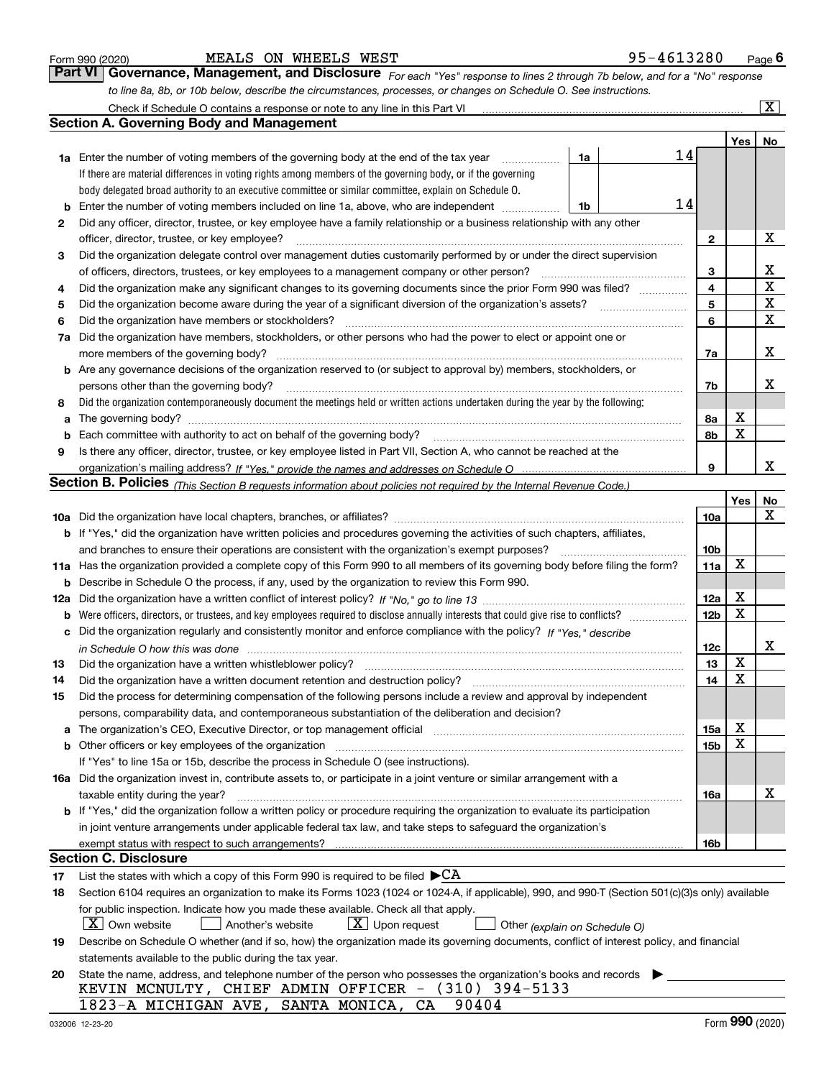|  | Form 990 (2020) |
|--|-----------------|
|  |                 |

#### MEALS ON WHEELS WEST 95-4613280

*For each "Yes" response to lines 2 through 7b below, and for a "No" response to line 8a, 8b, or 10b below, describe the circumstances, processes, or changes on Schedule O. See instructions.* Form 990 (2020) **MEALS ON WHEELS WEST**<br>**Part VI Governance, Management, and Disclosure** For each "Yes" response to lines 2 through 7b below, and for a "No" response

|    | Check if Schedule O contains a response or note to any line in this Part VI                                                                                           |    |    |                 |     | $\overline{\mathbf{X}}$ $\overline{\mathbf{X}}$ |
|----|-----------------------------------------------------------------------------------------------------------------------------------------------------------------------|----|----|-----------------|-----|-------------------------------------------------|
|    | Section A. Governing Body and Management                                                                                                                              |    |    |                 |     |                                                 |
|    |                                                                                                                                                                       |    |    |                 | Yes | No                                              |
|    | 1a Enter the number of voting members of the governing body at the end of the tax year                                                                                | 1a | 14 |                 |     |                                                 |
|    | If there are material differences in voting rights among members of the governing body, or if the governing                                                           |    |    |                 |     |                                                 |
|    | body delegated broad authority to an executive committee or similar committee, explain on Schedule O.                                                                 |    |    |                 |     |                                                 |
| b  | Enter the number of voting members included on line 1a, above, who are independent                                                                                    | 1b | 14 |                 |     |                                                 |
| 2  | Did any officer, director, trustee, or key employee have a family relationship or a business relationship with any other                                              |    |    |                 |     |                                                 |
|    | officer, director, trustee, or key employee?                                                                                                                          |    |    | 2               |     | х                                               |
| 3  | Did the organization delegate control over management duties customarily performed by or under the direct supervision                                                 |    |    |                 |     |                                                 |
|    | of officers, directors, trustees, or key employees to a management company or other person?                                                                           |    |    | 3               |     | х                                               |
| 4  | Did the organization make any significant changes to its governing documents since the prior Form 990 was filed?                                                      |    |    | 4               |     | $\mathbf X$                                     |
| 5  |                                                                                                                                                                       |    |    | 5               |     | $\mathbf X$                                     |
| 6  | Did the organization have members or stockholders?                                                                                                                    |    |    | 6               |     | $\mathbf X$                                     |
| 7a | Did the organization have members, stockholders, or other persons who had the power to elect or appoint one or                                                        |    |    |                 |     |                                                 |
|    | more members of the governing body?                                                                                                                                   |    |    | 7a              |     | х                                               |
|    | <b>b</b> Are any governance decisions of the organization reserved to (or subject to approval by) members, stockholders, or                                           |    |    |                 |     |                                                 |
|    | persons other than the governing body?                                                                                                                                |    |    | 7b              |     | х                                               |
| 8  | Did the organization contemporaneously document the meetings held or written actions undertaken during the year by the following:                                     |    |    |                 |     |                                                 |
| a  |                                                                                                                                                                       |    |    | 8a              | Х   |                                                 |
| b  |                                                                                                                                                                       |    |    | 8b              | X   |                                                 |
| 9  | Is there any officer, director, trustee, or key employee listed in Part VII, Section A, who cannot be reached at the                                                  |    |    |                 |     |                                                 |
|    |                                                                                                                                                                       |    |    | 9               |     | x                                               |
|    | <b>Section B. Policies</b> (This Section B requests information about policies not required by the Internal Revenue Code.)                                            |    |    |                 |     |                                                 |
|    |                                                                                                                                                                       |    |    |                 | Yes | No                                              |
|    |                                                                                                                                                                       |    |    | 10a             |     | x                                               |
|    | <b>b</b> If "Yes," did the organization have written policies and procedures governing the activities of such chapters, affiliates,                                   |    |    |                 |     |                                                 |
|    | and branches to ensure their operations are consistent with the organization's exempt purposes?                                                                       |    |    | 10 <sub>b</sub> |     |                                                 |
|    | 11a Has the organization provided a complete copy of this Form 990 to all members of its governing body before filing the form?                                       |    |    | 11a             | X   |                                                 |
| b  | Describe in Schedule O the process, if any, used by the organization to review this Form 990.                                                                         |    |    |                 |     |                                                 |
|    |                                                                                                                                                                       |    |    | 12a             | х   |                                                 |
| b  |                                                                                                                                                                       |    |    | 12 <sub>b</sub> | X   |                                                 |
| c  | Did the organization regularly and consistently monitor and enforce compliance with the policy? If "Yes." describe                                                    |    |    |                 |     |                                                 |
|    | in Schedule O how this was done www.communication.com/www.communications.com/www.communications.com/                                                                  |    |    | 12c             |     | х                                               |
| 13 | Did the organization have a written whistleblower policy?                                                                                                             |    |    | 13              | X   |                                                 |
| 14 | Did the organization have a written document retention and destruction policy?                                                                                        |    |    | 14              | X   |                                                 |
| 15 | Did the process for determining compensation of the following persons include a review and approval by independent                                                    |    |    |                 |     |                                                 |
|    | persons, comparability data, and contemporaneous substantiation of the deliberation and decision?                                                                     |    |    |                 |     |                                                 |
| a  | The organization's CEO, Executive Director, or top management official manufactured content of the organization's CEO, Executive Director, or top management official |    |    | 15a             | х   |                                                 |
|    | <b>b</b> Other officers or key employees of the organization                                                                                                          |    |    | 15b             | x   |                                                 |
|    | If "Yes" to line 15a or 15b, describe the process in Schedule O (see instructions).                                                                                   |    |    |                 |     |                                                 |
|    | 16a Did the organization invest in, contribute assets to, or participate in a joint venture or similar arrangement with a                                             |    |    |                 |     |                                                 |
|    | taxable entity during the year?                                                                                                                                       |    |    | 16a             |     | х                                               |
|    | b If "Yes," did the organization follow a written policy or procedure requiring the organization to evaluate its participation                                        |    |    |                 |     |                                                 |
|    | in joint venture arrangements under applicable federal tax law, and take steps to safeguard the organization's                                                        |    |    |                 |     |                                                 |
|    | exempt status with respect to such arrangements?                                                                                                                      |    |    | 16b             |     |                                                 |
|    | Section C. Disclosure                                                                                                                                                 |    |    |                 |     |                                                 |
| 17 | List the states with which a copy of this Form 990 is required to be filed $\blacktriangleright$ CA                                                                   |    |    |                 |     |                                                 |
| 18 | Section 6104 requires an organization to make its Forms 1023 (1024 or 1024-A, if applicable), 990, and 990-T (Section 501(c)(3)s only) available                      |    |    |                 |     |                                                 |
|    | for public inspection. Indicate how you made these available. Check all that apply.                                                                                   |    |    |                 |     |                                                 |
|    | $X$ Own website<br>$X$ Upon request<br>Another's website<br>Other (explain on Schedule O)                                                                             |    |    |                 |     |                                                 |
| 19 | Describe on Schedule O whether (and if so, how) the organization made its governing documents, conflict of interest policy, and financial                             |    |    |                 |     |                                                 |
|    | statements available to the public during the tax year.                                                                                                               |    |    |                 |     |                                                 |
| 20 | State the name, address, and telephone number of the person who possesses the organization's books and records<br>KEVIN MCNULTY, CHIEF ADMIN OFFICER - (310) 394-5133 |    |    |                 |     |                                                 |
|    | 1823-A MICHIGAN AVE, SANTA MONICA, CA<br>90404                                                                                                                        |    |    |                 |     |                                                 |
|    |                                                                                                                                                                       |    |    |                 |     |                                                 |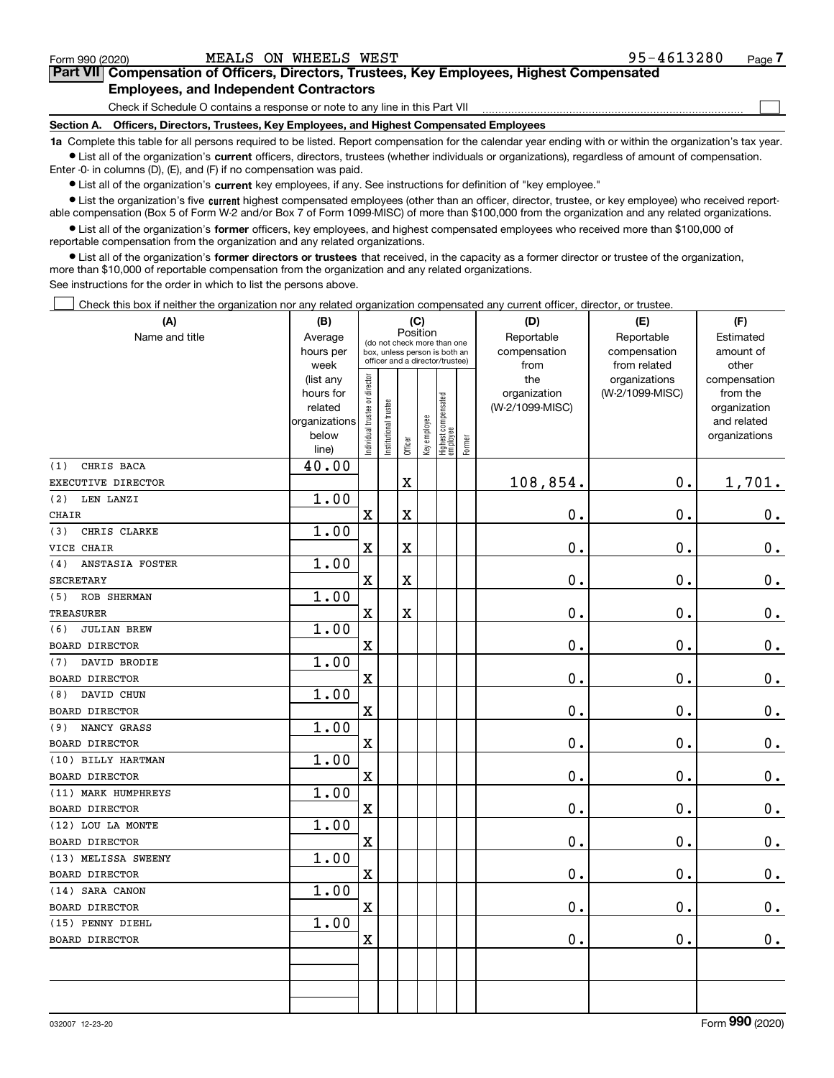Check if Schedule O contains a response or note to any line in this Part VII

**Section A. Officers, Directors, Trustees, Key Employees, and Highest Compensated Employees**

**1a**  Complete this table for all persons required to be listed. Report compensation for the calendar year ending with or within the organization's tax year. **•** List all of the organization's current officers, directors, trustees (whether individuals or organizations), regardless of amount of compensation.

Enter -0- in columns (D), (E), and (F) if no compensation was paid.

 $\bullet$  List all of the organization's  $\,$ current key employees, if any. See instructions for definition of "key employee."

**•** List the organization's five current highest compensated employees (other than an officer, director, trustee, or key employee) who received reportable compensation (Box 5 of Form W-2 and/or Box 7 of Form 1099-MISC) of more than \$100,000 from the organization and any related organizations.

**•** List all of the organization's former officers, key employees, and highest compensated employees who received more than \$100,000 of reportable compensation from the organization and any related organizations.

**former directors or trustees**  ¥ List all of the organization's that received, in the capacity as a former director or trustee of the organization, more than \$10,000 of reportable compensation from the organization and any related organizations.

See instructions for the order in which to list the persons above.

Check this box if neither the organization nor any related organization compensated any current officer, director, or trustee.  $\mathcal{L}^{\text{max}}$ 

| (A)                                         | (B)               | (C)                                     |                      |             |                                                                  |                                 |        | (D)             | (E)                           | (F)                   |  |  |
|---------------------------------------------|-------------------|-----------------------------------------|----------------------|-------------|------------------------------------------------------------------|---------------------------------|--------|-----------------|-------------------------------|-----------------------|--|--|
| Name and title                              | Average           | Position<br>(do not check more than one |                      |             |                                                                  |                                 |        | Reportable      | Reportable                    | Estimated             |  |  |
|                                             | hours per         |                                         |                      |             | box, unless person is both an<br>officer and a director/trustee) |                                 |        | compensation    | compensation                  | amount of             |  |  |
|                                             | week<br>(list any |                                         |                      |             |                                                                  |                                 |        | from<br>the     | from related<br>organizations | other<br>compensation |  |  |
|                                             | hours for         |                                         |                      |             |                                                                  |                                 |        | organization    | (W-2/1099-MISC)               | from the              |  |  |
|                                             | related           |                                         |                      |             |                                                                  |                                 |        | (W-2/1099-MISC) |                               | organization          |  |  |
|                                             | organizations     |                                         |                      |             |                                                                  |                                 |        |                 |                               | and related           |  |  |
|                                             | below             | ndividual trustee or director           | nstitutional trustee | Officer     | Key employee                                                     | Highest compensated<br>employee | Former |                 |                               | organizations         |  |  |
| CHRIS BACA<br>(1)                           | line)<br>40.00    |                                         |                      |             |                                                                  |                                 |        |                 |                               |                       |  |  |
| EXECUTIVE DIRECTOR                          |                   |                                         |                      | $\mathbf X$ |                                                                  |                                 |        | 108,854.        | 0.                            | 1,701.                |  |  |
| LEN LANZI                                   | 1.00              |                                         |                      |             |                                                                  |                                 |        |                 |                               |                       |  |  |
| (2)                                         |                   |                                         |                      |             |                                                                  |                                 |        |                 | 0.                            |                       |  |  |
| <b>CHAIR</b>                                |                   | $\mathbf X$                             |                      | $\mathbf X$ |                                                                  |                                 |        | 0.              |                               | 0.                    |  |  |
| CHRIS CLARKE<br>(3)                         | 1.00              |                                         |                      |             |                                                                  |                                 |        |                 |                               |                       |  |  |
| VICE CHAIR                                  |                   | $\mathbf X$                             |                      | $\mathbf X$ |                                                                  |                                 |        | 0.              | 0.                            | $\mathbf 0$ .         |  |  |
| (4)<br>ANSTASIA FOSTER                      | 1.00              |                                         |                      |             |                                                                  |                                 |        |                 |                               |                       |  |  |
| <b>SECRETARY</b>                            |                   | $\mathbf X$                             |                      | $\mathbf X$ |                                                                  |                                 |        | 0.              | 0.                            | 0.                    |  |  |
| ROB SHERMAN<br>(5)                          | 1.00              | $\mathbf X$                             |                      |             |                                                                  |                                 |        | 0.              | 0.                            |                       |  |  |
| <b>TREASURER</b><br>(6)                     | 1.00              |                                         |                      | $\mathbf X$ |                                                                  |                                 |        |                 |                               | 0.                    |  |  |
| <b>JULIAN BREW</b><br><b>BOARD DIRECTOR</b> |                   | $\mathbf X$                             |                      |             |                                                                  |                                 |        | 0.              | 0.                            |                       |  |  |
|                                             |                   |                                         |                      |             |                                                                  |                                 |        |                 |                               | 0.                    |  |  |
| DAVID BRODIE<br>(7)                         | 1.00              |                                         |                      |             |                                                                  |                                 |        |                 |                               |                       |  |  |
| <b>BOARD DIRECTOR</b>                       |                   | $\mathbf X$                             |                      |             |                                                                  |                                 |        | 0.              | 0.                            | $\mathbf 0$ .         |  |  |
| DAVID CHUN<br>(8)                           | 1.00              |                                         |                      |             |                                                                  |                                 |        |                 |                               |                       |  |  |
| <b>BOARD DIRECTOR</b>                       |                   | $\mathbf X$                             |                      |             |                                                                  |                                 |        | 0.              | 0.                            | $\mathbf 0$ .         |  |  |
| NANCY GRASS<br>(9)                          | 1.00              |                                         |                      |             |                                                                  |                                 |        |                 |                               |                       |  |  |
| BOARD DIRECTOR                              |                   | $\mathbf X$                             |                      |             |                                                                  |                                 |        | 0.              | $\mathbf 0$ .                 | 0.                    |  |  |
| (10) BILLY HARTMAN                          | 1.00              |                                         |                      |             |                                                                  |                                 |        |                 |                               |                       |  |  |
| <b>BOARD DIRECTOR</b>                       |                   | $\mathbf X$                             |                      |             |                                                                  |                                 |        | 0.              | $\mathbf 0$ .                 | 0.                    |  |  |
| (11) MARK HUMPHREYS                         | 1.00              |                                         |                      |             |                                                                  |                                 |        |                 |                               |                       |  |  |
| <b>BOARD DIRECTOR</b>                       |                   | $\mathbf X$                             |                      |             |                                                                  |                                 |        | 0.              | 0.                            | $\mathbf 0$ .         |  |  |
| (12) LOU LA MONTE                           | 1.00              |                                         |                      |             |                                                                  |                                 |        |                 |                               |                       |  |  |
| BOARD DIRECTOR                              |                   | $\mathbf X$                             |                      |             |                                                                  |                                 |        | 0.              | 0.                            | 0.                    |  |  |
| (13) MELISSA SWEENY                         | 1.00              |                                         |                      |             |                                                                  |                                 |        |                 |                               |                       |  |  |
| BOARD DIRECTOR                              |                   | $\mathbf x$                             |                      |             |                                                                  |                                 |        | 0.              | 0.                            | 0.                    |  |  |
| (14) SARA CANON                             | 1.00              |                                         |                      |             |                                                                  |                                 |        |                 |                               |                       |  |  |
| <b>BOARD DIRECTOR</b>                       |                   | $\mathbf X$                             |                      |             |                                                                  |                                 |        | 0.              | 0.                            | 0.                    |  |  |
| (15) PENNY DIEHL                            | 1.00              |                                         |                      |             |                                                                  |                                 |        |                 |                               |                       |  |  |
| <b>BOARD DIRECTOR</b>                       |                   | $\mathbf X$                             |                      |             |                                                                  |                                 |        | 0.              | $\mathbf 0$ .                 | 0.                    |  |  |
|                                             |                   |                                         |                      |             |                                                                  |                                 |        |                 |                               |                       |  |  |
|                                             |                   |                                         |                      |             |                                                                  |                                 |        |                 |                               |                       |  |  |
|                                             |                   |                                         |                      |             |                                                                  |                                 |        |                 |                               |                       |  |  |
|                                             |                   |                                         |                      |             |                                                                  |                                 |        |                 |                               |                       |  |  |

 $\mathcal{L}^{\text{max}}$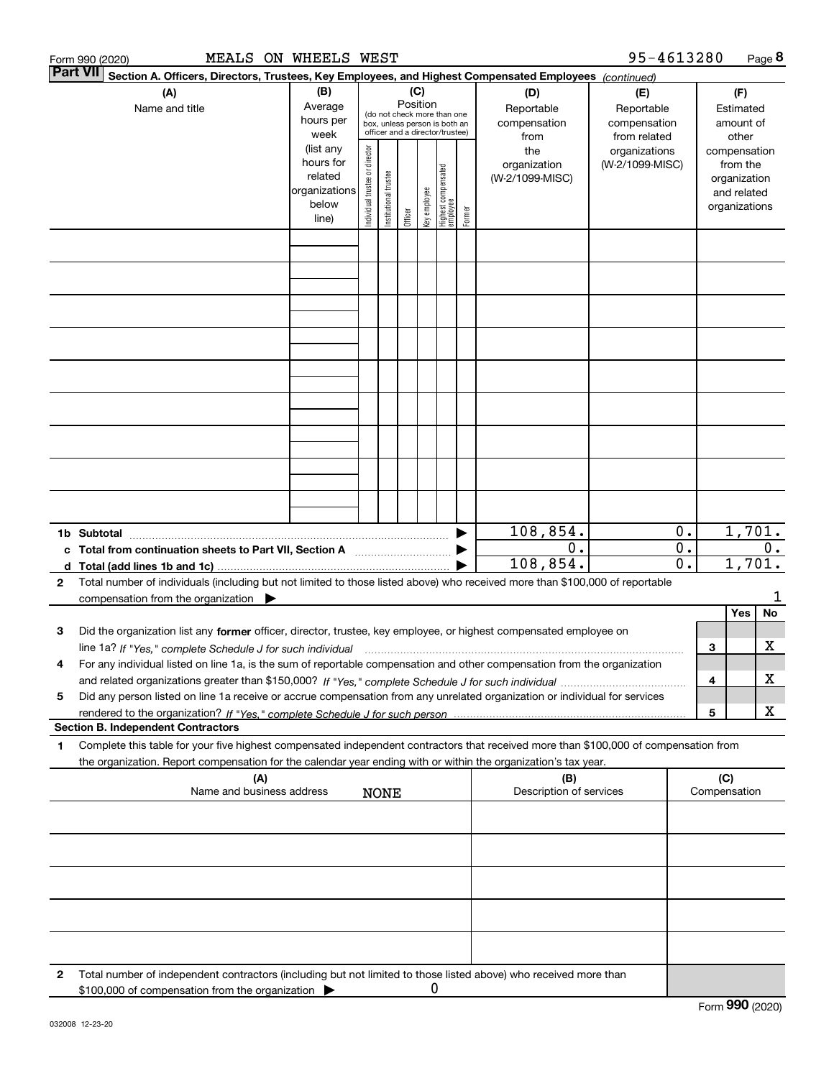|                 | MEALS ON WHEELS WEST<br>Form 990 (2020)                                                                                                                                                                                                                                   |                                                                      |                                |                       |                 |              |                                                                                                 |        |                                           | 95-4613280                                        |                                                                          |   |                                        | Page 8  |
|-----------------|---------------------------------------------------------------------------------------------------------------------------------------------------------------------------------------------------------------------------------------------------------------------------|----------------------------------------------------------------------|--------------------------------|-----------------------|-----------------|--------------|-------------------------------------------------------------------------------------------------|--------|-------------------------------------------|---------------------------------------------------|--------------------------------------------------------------------------|---|----------------------------------------|---------|
| <b>Part VII</b> | Section A. Officers, Directors, Trustees, Key Employees, and Highest Compensated Employees (continued)                                                                                                                                                                    |                                                                      |                                |                       |                 |              |                                                                                                 |        |                                           |                                                   |                                                                          |   |                                        |         |
|                 | (A)<br>Name and title                                                                                                                                                                                                                                                     | (B)<br>Average<br>hours per<br>week                                  |                                |                       | (C)<br>Position |              | (do not check more than one<br>box, unless person is both an<br>officer and a director/trustee) |        | (D)<br>Reportable<br>compensation<br>from | (E)<br>Reportable<br>compensation<br>from related |                                                                          |   | (F)<br>Estimated<br>amount of<br>other |         |
|                 |                                                                                                                                                                                                                                                                           | (list any<br>hours for<br>related<br>organizations<br>below<br>line) | Individual trustee or director | Institutional trustee | Officer         | Key employee | Highest compensated<br> employee                                                                | Former | the<br>organization<br>(W-2/1099-MISC)    | organizations<br>(W-2/1099-MISC)                  | compensation<br>from the<br>organization<br>and related<br>organizations |   |                                        |         |
|                 |                                                                                                                                                                                                                                                                           |                                                                      |                                |                       |                 |              |                                                                                                 |        |                                           |                                                   |                                                                          |   |                                        |         |
|                 |                                                                                                                                                                                                                                                                           |                                                                      |                                |                       |                 |              |                                                                                                 |        |                                           |                                                   |                                                                          |   |                                        |         |
|                 |                                                                                                                                                                                                                                                                           |                                                                      |                                |                       |                 |              |                                                                                                 |        |                                           |                                                   |                                                                          |   |                                        |         |
|                 |                                                                                                                                                                                                                                                                           |                                                                      |                                |                       |                 |              |                                                                                                 |        |                                           |                                                   |                                                                          |   |                                        |         |
|                 |                                                                                                                                                                                                                                                                           |                                                                      |                                |                       |                 |              |                                                                                                 |        |                                           |                                                   |                                                                          |   |                                        |         |
|                 |                                                                                                                                                                                                                                                                           |                                                                      |                                |                       |                 |              |                                                                                                 |        |                                           |                                                   |                                                                          |   |                                        |         |
|                 |                                                                                                                                                                                                                                                                           |                                                                      |                                |                       |                 |              |                                                                                                 |        |                                           |                                                   |                                                                          |   |                                        |         |
|                 |                                                                                                                                                                                                                                                                           |                                                                      |                                |                       |                 |              |                                                                                                 |        |                                           |                                                   |                                                                          |   |                                        |         |
|                 | c Total from continuation sheets to Part VII, Section A manufactured by                                                                                                                                                                                                   |                                                                      |                                |                       |                 |              |                                                                                                 |        | 108,854.<br>0.                            |                                                   | 0.<br>$\overline{0}$ .                                                   |   | 1,701.                                 | $0$ .   |
| $\mathbf{2}$    | Total number of individuals (including but not limited to those listed above) who received more than \$100,000 of reportable                                                                                                                                              |                                                                      |                                |                       |                 |              |                                                                                                 |        | 108,854.                                  |                                                   | 0.                                                                       |   | 1,701.                                 |         |
|                 | compensation from the organization $\blacktriangleright$                                                                                                                                                                                                                  |                                                                      |                                |                       |                 |              |                                                                                                 |        |                                           |                                                   |                                                                          |   | Yes                                    | 1<br>No |
| 3               | Did the organization list any former officer, director, trustee, key employee, or highest compensated employee on<br>line 1a? If "Yes," complete Schedule J for such individual manufactured contained and the line 1a? If "Yes," complete Schedule J for such individual |                                                                      |                                |                       |                 |              |                                                                                                 |        |                                           |                                                   |                                                                          | З |                                        | х       |
|                 | For any individual listed on line 1a, is the sum of reportable compensation and other compensation from the organization                                                                                                                                                  |                                                                      |                                |                       |                 |              |                                                                                                 |        |                                           |                                                   |                                                                          | 4 |                                        | х       |
| 5               | Did any person listed on line 1a receive or accrue compensation from any unrelated organization or individual for services                                                                                                                                                |                                                                      |                                |                       |                 |              |                                                                                                 |        |                                           |                                                   |                                                                          | 5 |                                        | х       |
|                 | <b>Section B. Independent Contractors</b>                                                                                                                                                                                                                                 |                                                                      |                                |                       |                 |              |                                                                                                 |        |                                           |                                                   |                                                                          |   |                                        |         |
| 1               | Complete this table for your five highest compensated independent contractors that received more than \$100,000 of compensation from<br>the organization. Report compensation for the calendar year ending with or within the organization's tax year.                    |                                                                      |                                |                       |                 |              |                                                                                                 |        |                                           |                                                   |                                                                          |   |                                        |         |
|                 | (A)<br>Name and business address<br><b>NONE</b>                                                                                                                                                                                                                           |                                                                      |                                |                       |                 |              | (B)<br>Description of services                                                                  |        |                                           | (C)                                               | Compensation                                                             |   |                                        |         |
|                 |                                                                                                                                                                                                                                                                           |                                                                      |                                |                       |                 |              |                                                                                                 |        |                                           |                                                   |                                                                          |   |                                        |         |
|                 |                                                                                                                                                                                                                                                                           |                                                                      |                                |                       |                 |              |                                                                                                 |        |                                           |                                                   |                                                                          |   |                                        |         |
|                 |                                                                                                                                                                                                                                                                           |                                                                      |                                |                       |                 |              |                                                                                                 |        |                                           |                                                   |                                                                          |   |                                        |         |
|                 |                                                                                                                                                                                                                                                                           |                                                                      |                                |                       |                 |              |                                                                                                 |        |                                           |                                                   |                                                                          |   |                                        |         |
| 2               | Total number of independent contractors (including but not limited to those listed above) who received more than<br>\$100,000 of compensation from the organization                                                                                                       |                                                                      |                                |                       |                 | 0            |                                                                                                 |        |                                           |                                                   |                                                                          |   |                                        |         |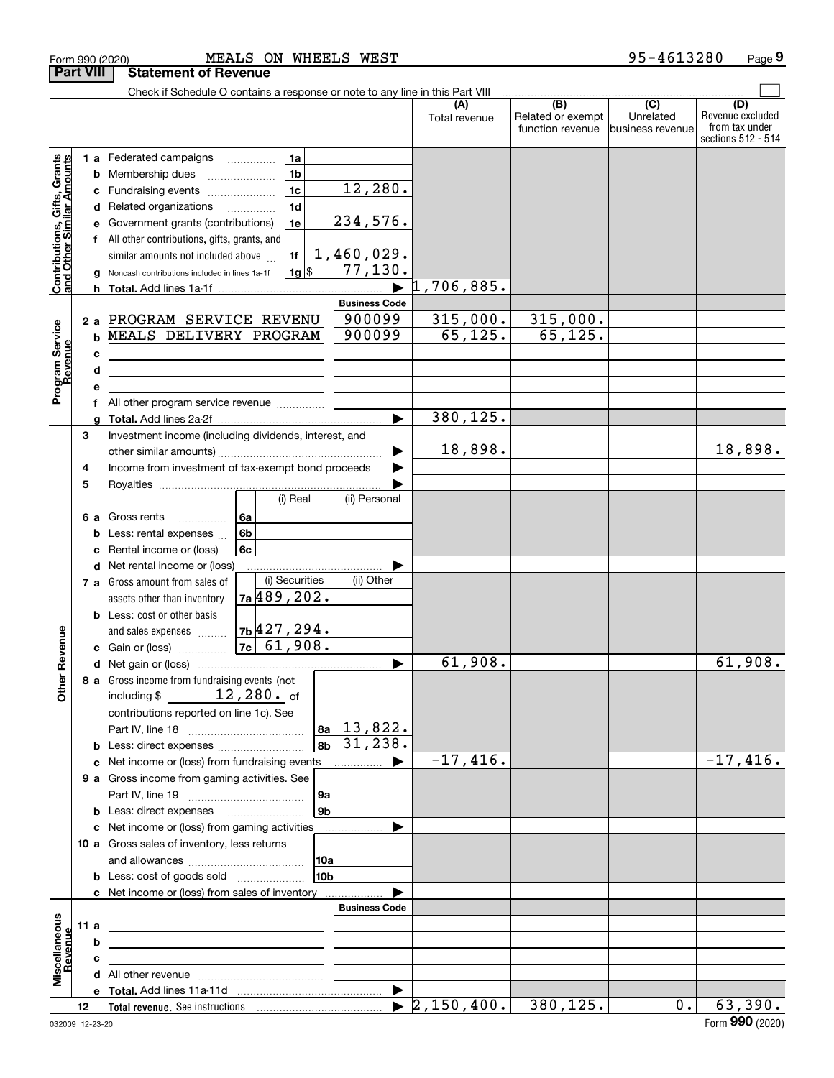|                                                                                         | <b>Part VIII</b>           | <b>Statement of Revenue</b>                                                                                                                                                                                                                                                                                                                                                                                       |                                                                                                             |                                       |                                              |                                                 |                                                                 |
|-----------------------------------------------------------------------------------------|----------------------------|-------------------------------------------------------------------------------------------------------------------------------------------------------------------------------------------------------------------------------------------------------------------------------------------------------------------------------------------------------------------------------------------------------------------|-------------------------------------------------------------------------------------------------------------|---------------------------------------|----------------------------------------------|-------------------------------------------------|-----------------------------------------------------------------|
|                                                                                         |                            | Check if Schedule O contains a response or note to any line in this Part VIII                                                                                                                                                                                                                                                                                                                                     |                                                                                                             |                                       |                                              |                                                 |                                                                 |
|                                                                                         |                            |                                                                                                                                                                                                                                                                                                                                                                                                                   |                                                                                                             | (A)<br>Total revenue                  | (B)<br>Related or exempt<br>function revenue | $\overline{C}$<br>Unrelated<br>business revenue | (D)<br>Revenue excluded<br>from tax under<br>sections 512 - 514 |
| Contributions, Gifts, Grants<br>and Other Similar Amounts<br>Program Service<br>Revenue | b<br>с<br>d<br>a<br>h<br>b | 1 a Federated campaigns<br>1a<br>1 <sub>b</sub><br>Membership dues<br>1 <sub>c</sub><br>Fundraising events<br>1 <sub>d</sub><br>Related organizations<br>Government grants (contributions)<br>1e<br>f All other contributions, gifts, grants, and<br>similar amounts not included above<br>1f<br>$1g$ \$<br>Noncash contributions included in lines 1a-1f<br>2 a PROGRAM SERVICE REVENU<br>MEALS DELIVERY PROGRAM | 12, 280.<br>234,576.<br>1,460,029.<br>77,130.<br>$\blacksquare$<br><b>Business Code</b><br>900099<br>900099 | $1,706,885$ .<br>315,000.<br>65, 125. | 315,000.<br>65, 125.                         |                                                 |                                                                 |
|                                                                                         | с                          | <u> 1980 - Johann Barn, mars ann an t-Amhain an t-Amhain an t-Amhain an t-Amhain an t-Amhain an t-Amhain an t-Amh</u>                                                                                                                                                                                                                                                                                             |                                                                                                             |                                       |                                              |                                                 |                                                                 |
|                                                                                         | d                          | <u> 1989 - Johann Stein, mars an deutscher Stein und der Stein und der Stein und der Stein und der Stein und der</u>                                                                                                                                                                                                                                                                                              |                                                                                                             |                                       |                                              |                                                 |                                                                 |
|                                                                                         | е<br>f                     | All other program service revenue                                                                                                                                                                                                                                                                                                                                                                                 |                                                                                                             |                                       |                                              |                                                 |                                                                 |
|                                                                                         | a                          |                                                                                                                                                                                                                                                                                                                                                                                                                   | $\blacktriangleright$                                                                                       | 380, 125.                             |                                              |                                                 |                                                                 |
|                                                                                         | 3                          | Investment income (including dividends, interest, and                                                                                                                                                                                                                                                                                                                                                             |                                                                                                             | 18,898.                               |                                              |                                                 | 18,898.                                                         |
|                                                                                         | 4<br>5                     | Income from investment of tax-exempt bond proceeds<br>(i) Real                                                                                                                                                                                                                                                                                                                                                    | (ii) Personal                                                                                               |                                       |                                              |                                                 |                                                                 |
|                                                                                         | 6а<br>b<br>c<br>d          | Gross rents<br>6a<br>.<br>6 <sub>b</sub><br>Less: rental expenses<br>Rental income or (loss)<br>6с<br>Net rental income or (loss)                                                                                                                                                                                                                                                                                 |                                                                                                             |                                       |                                              |                                                 |                                                                 |
|                                                                                         |                            | (i) Securities<br>7 a Gross amount from sales of<br>7a 489, 202.<br>assets other than inventory                                                                                                                                                                                                                                                                                                                   | (ii) Other                                                                                                  |                                       |                                              |                                                 |                                                                 |
| Revenue                                                                                 |                            | <b>b</b> Less: cost or other basis<br>and sales expenses $\frac{1}{2}$ $\frac{1}{2}$ $\frac{1}{2}$ $\frac{294}{4}$                                                                                                                                                                                                                                                                                                |                                                                                                             |                                       |                                              |                                                 |                                                                 |
|                                                                                         |                            |                                                                                                                                                                                                                                                                                                                                                                                                                   | ▶                                                                                                           | 61,908.                               |                                              |                                                 | 61,908.                                                         |
| <b>Other</b>                                                                            |                            | 8 a Gross income from fundraising events (not<br>$12,280.$ of<br>including \$<br>contributions reported on line 1c). See<br>8b<br><b>b</b> Less: direct expenses                                                                                                                                                                                                                                                  | $ a_2 $ 13,822.<br>31, 238.                                                                                 |                                       |                                              |                                                 |                                                                 |
|                                                                                         |                            | c Net income or (loss) from fundraising events                                                                                                                                                                                                                                                                                                                                                                    | ▶<br>.                                                                                                      | $-17,416.$                            |                                              |                                                 | $-17,416.$                                                      |
|                                                                                         |                            | 9 a Gross income from gaming activities. See<br>  9a                                                                                                                                                                                                                                                                                                                                                              |                                                                                                             |                                       |                                              |                                                 |                                                                 |
|                                                                                         |                            | 9 <sub>b</sub><br><b>b</b> Less: direct expenses <b>manually</b>                                                                                                                                                                                                                                                                                                                                                  |                                                                                                             |                                       |                                              |                                                 |                                                                 |
|                                                                                         |                            | c Net income or (loss) from gaming activities                                                                                                                                                                                                                                                                                                                                                                     | .                                                                                                           |                                       |                                              |                                                 |                                                                 |
|                                                                                         |                            | 10 a Gross sales of inventory, less returns<br> 10a<br>10 <sub>b</sub><br><b>b</b> Less: cost of goods sold                                                                                                                                                                                                                                                                                                       |                                                                                                             |                                       |                                              |                                                 |                                                                 |
|                                                                                         |                            | c Net income or (loss) from sales of inventory                                                                                                                                                                                                                                                                                                                                                                    |                                                                                                             |                                       |                                              |                                                 |                                                                 |
|                                                                                         |                            |                                                                                                                                                                                                                                                                                                                                                                                                                   | <b>Business Code</b>                                                                                        |                                       |                                              |                                                 |                                                                 |
| Miscellaneous<br>Revenue                                                                | 11 a                       | <u> 1989 - Johann Barbara, martin amerikan basar dan berasal dalam basar dalam basar dalam basar dalam basar dala</u>                                                                                                                                                                                                                                                                                             |                                                                                                             |                                       |                                              |                                                 |                                                                 |
|                                                                                         | b                          |                                                                                                                                                                                                                                                                                                                                                                                                                   |                                                                                                             |                                       |                                              |                                                 |                                                                 |
|                                                                                         | с                          |                                                                                                                                                                                                                                                                                                                                                                                                                   |                                                                                                             |                                       |                                              |                                                 |                                                                 |
|                                                                                         |                            |                                                                                                                                                                                                                                                                                                                                                                                                                   |                                                                                                             |                                       |                                              |                                                 |                                                                 |
|                                                                                         | 12                         |                                                                                                                                                                                                                                                                                                                                                                                                                   |                                                                                                             | $\blacktriangleright$ 2,150,400.      | $\overline{380, 125.}$                       | 0.                                              | 63,390.                                                         |

|   | 90 (2020) |  |  |  |
|---|-----------|--|--|--|
|   |           |  |  |  |
| . |           |  |  |  |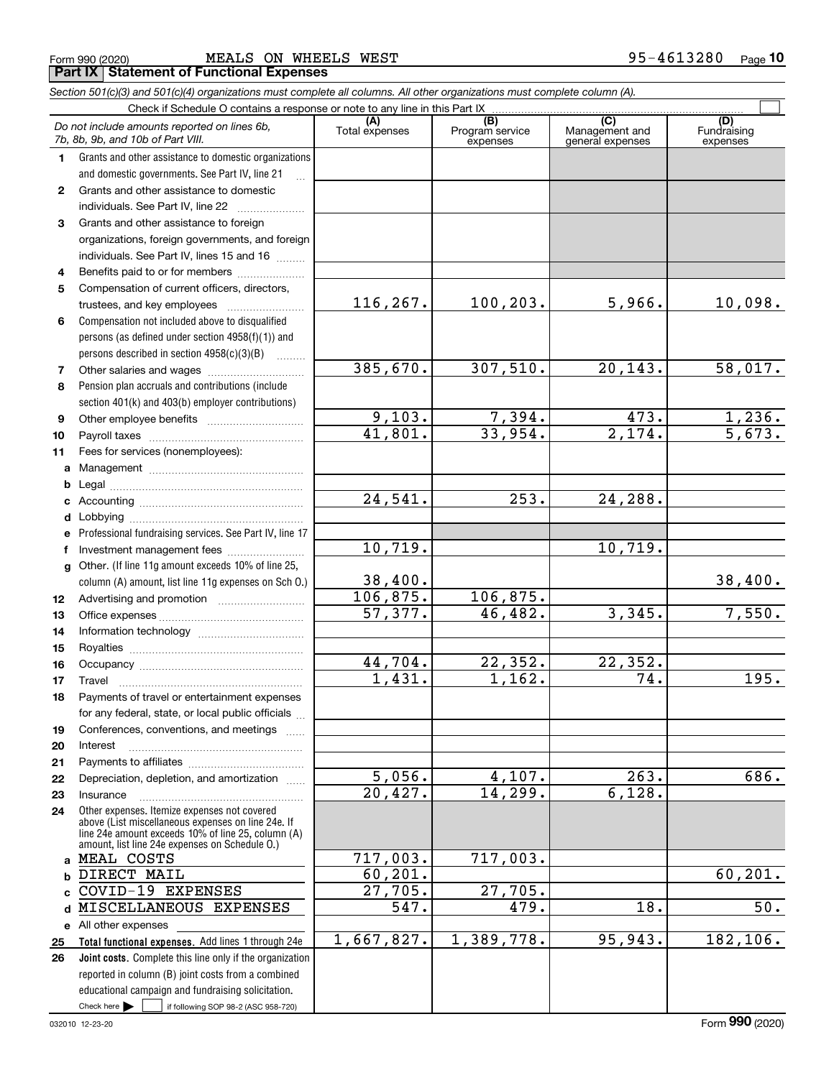**1011abcdefg**

Other. (If line 11g amount exceeds 10% of line 25,

Travel ………………………………………………

Legal ~~~~~~~~~~~~~~~~~~~~

Fees for services (nonemployees):

> **abc**

**2526**

|   | MEALS ON WHEELS WEST<br>Form 990 (2020)                                                                                                                          |                       |                                    |                                           | 95-4613280<br>Page             |
|---|------------------------------------------------------------------------------------------------------------------------------------------------------------------|-----------------------|------------------------------------|-------------------------------------------|--------------------------------|
|   | <b>Part IX   Statement of Functional Expenses</b>                                                                                                                |                       |                                    |                                           |                                |
|   | Section 501(c)(3) and 501(c)(4) organizations must complete all columns. All other organizations must complete column (A).                                       |                       |                                    |                                           |                                |
|   | Check if Schedule O contains a response or note to any line in this Part IX<br>Do not include amounts reported on lines 6b,<br>7b, 8b, 9b, and 10b of Part VIII. | (A)<br>Total expenses | (B)<br>Program service<br>expenses | (C)<br>Management and<br>general expenses | (D)<br>Fundraising<br>expenses |
|   | Grants and other assistance to domestic organizations<br>and domestic governments. See Part IV, line 21<br>$\ddotsc$                                             |                       |                                    |                                           |                                |
| 2 | Grants and other assistance to domestic<br>individuals. See Part IV, line 22                                                                                     |                       |                                    |                                           |                                |
| 3 | Grants and other assistance to foreign<br>organizations, foreign governments, and foreign<br>individuals. See Part IV, lines 15 and 16                           |                       |                                    |                                           |                                |
| 4 | Benefits paid to or for members                                                                                                                                  |                       |                                    |                                           |                                |
| 5 | Compensation of current officers, directors,<br>trustees, and key employees                                                                                      | 116, 267.             | 100, 203.                          | 5,966.                                    | 10,098                         |
| 6 | Compensation not included above to disqualified<br>persons (as defined under section 4958(f)(1)) and<br>persons described in section $4958(c)(3)(B)$             |                       |                                    |                                           |                                |
| 7 |                                                                                                                                                                  | 385,670.              | 307,510.                           | 20,143.                                   | 58,017                         |
| 8 | Pension plan accruals and contributions (include)<br>section 401(k) and 403(b) employer contributions)                                                           |                       |                                    |                                           |                                |
| 9 | Other employee benefits                                                                                                                                          | 9,103.                | 7,394.                             | 473.                                      | 1,236                          |

 $5,966.$  10,098.

307,510. 20,143. 58,017.

 $1,162.$  74. 195.

 $\mathcal{L}^{\text{max}}$ 

Professional fundraising services. See Part IV, line 17 column (A) amount, list line 11g expenses on Sch O.) Payroll taxes ~~~~~~~~~~~~~~~~ Management ~~~~~~~~~~~~~~~~ Accounting ~~~~~~~~~~~~~~~~~ Lobbying ~~~~~~~~~~~~~~~~~~ lnvestment management fees ....................... Advertising and promotion \_\_\_\_\_\_\_\_\_\_\_\_\_\_\_\_\_\_\_ Office expenses ~~~~~~~~~~~~~~~ Information technology ~~~~~~~~~~~ Royalties ~~~~~~~~~~~~~~~~~~ Occupancy ~~~~~~~~~~~~~~~~~ 9,103. 41,801. 24,541. 38,400. 106,875. 57,377. 44,704. 10,719. 1,236. 33,954. 2,174. 5,673. 253. 24,288. 10,719. 106,875. 46,482. 3,345. 7,550. 22,352. 22,352.

38,400.

| Payments of travel or entertainment expenses                                                                                                                                                               |            |            |         |          |
|------------------------------------------------------------------------------------------------------------------------------------------------------------------------------------------------------------|------------|------------|---------|----------|
| for any federal, state, or local public officials                                                                                                                                                          |            |            |         |          |
| Conferences, conventions, and meetings                                                                                                                                                                     |            |            |         |          |
| Interest                                                                                                                                                                                                   |            |            |         |          |
|                                                                                                                                                                                                            |            |            |         |          |
| Depreciation, depletion, and amortization                                                                                                                                                                  | 5,056.     | 4,107.     | 263.    | 686.     |
| Insurance                                                                                                                                                                                                  | 20,427.    | 14,299.    | 6,128.  |          |
| Other expenses. Itemize expenses not covered<br>above (List miscellaneous expenses on line 24e. If<br>line 24e amount exceeds 10% of line 25, column (A)<br>amount, list line 24e expenses on Schedule O.) |            |            |         |          |
| <sub>a</sub> MEAL COSTS                                                                                                                                                                                    | 717,003.   | 717,003.   |         |          |
| DIRECT MAIL                                                                                                                                                                                                | 60, 201.   |            |         | 60, 201. |
| c COVID-19 EXPENSES                                                                                                                                                                                        | 27,705.    | 27,705.    |         |          |
| d MISCELLANEOUS EXPENSES                                                                                                                                                                                   | 547.       | 479.       | 18.     | 50.      |
| e All other expenses                                                                                                                                                                                       |            |            |         |          |
| <b>Total functional expenses.</b> Add lines 1 through 24e                                                                                                                                                  | 1,667,827. | 1,389,778. | 95,943. | 182,106. |
| <b>Joint costs.</b> Complete this line only if the organization                                                                                                                                            |            |            |         |          |
| reported in column (B) joint costs from a combined                                                                                                                                                         |            |            |         |          |
| educational campaign and fundraising solicitation.                                                                                                                                                         |            |            |         |          |
| Check here $\blacktriangleright$<br>if following SOP 98-2 (ASC 958-720)                                                                                                                                    |            |            |         |          |

1,431.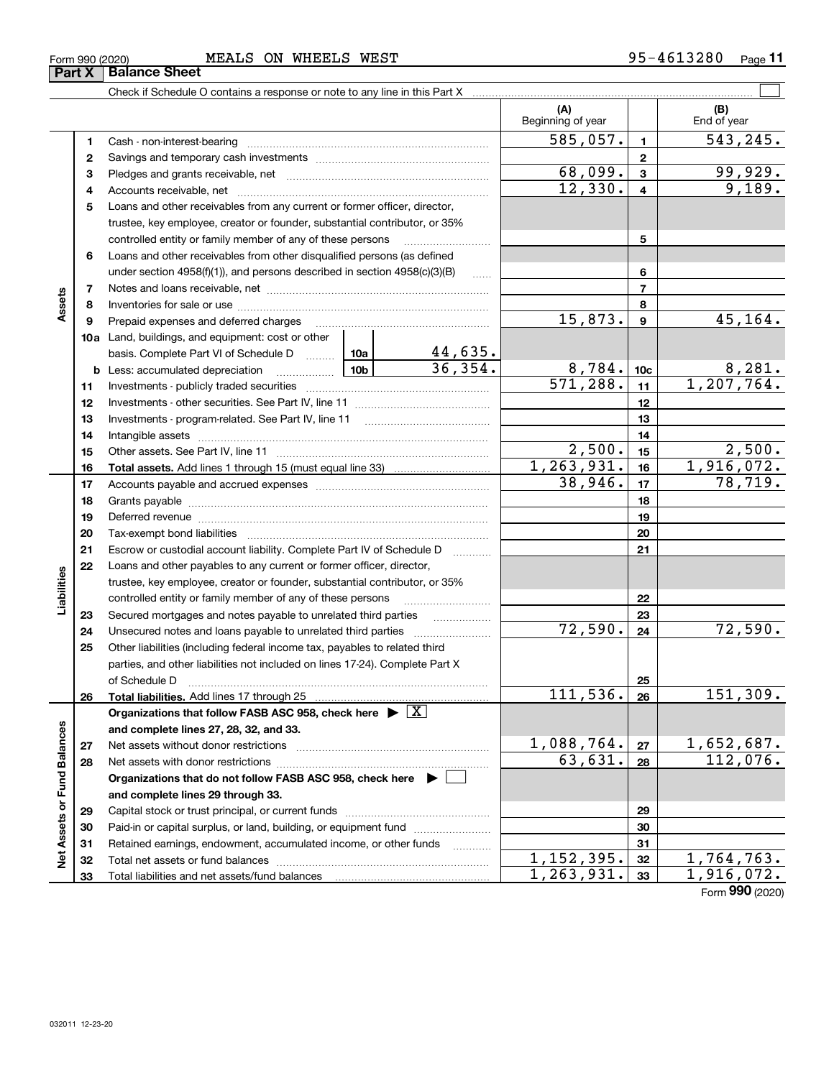| .3280<br><b>MEALS</b><br>WHEELS<br>WEST<br>ON<br>$95 - 46$<br>Form 990 (2020) | Page |
|-------------------------------------------------------------------------------|------|
|-------------------------------------------------------------------------------|------|

|                             |    |                                                                                                                                                                                                                                |         |                | (A)<br>Beginning of year          |                 | (B)<br>End of year |
|-----------------------------|----|--------------------------------------------------------------------------------------------------------------------------------------------------------------------------------------------------------------------------------|---------|----------------|-----------------------------------|-----------------|--------------------|
|                             | 1  |                                                                                                                                                                                                                                |         |                | 585,057.                          | $\mathbf{1}$    | 543,245.           |
|                             | 2  |                                                                                                                                                                                                                                |         |                | $\overline{2}$                    |                 |                    |
|                             | 3  |                                                                                                                                                                                                                                | 68,099. | $\mathbf{3}$   | 99,929.                           |                 |                    |
|                             | 4  |                                                                                                                                                                                                                                |         | 12,330.        | $\overline{4}$                    | 9,189.          |                    |
|                             | 5  | Loans and other receivables from any current or former officer, director,                                                                                                                                                      |         |                |                                   |                 |                    |
|                             |    | trustee, key employee, creator or founder, substantial contributor, or 35%                                                                                                                                                     |         |                |                                   |                 |                    |
|                             |    | controlled entity or family member of any of these persons                                                                                                                                                                     |         | 5              |                                   |                 |                    |
|                             | 6  | Loans and other receivables from other disqualified persons (as defined                                                                                                                                                        |         |                |                                   |                 |                    |
|                             |    | under section 4958(f)(1)), and persons described in section 4958(c)(3)(B)                                                                                                                                                      |         | <b>Secure</b>  |                                   | 6               |                    |
|                             | 7  |                                                                                                                                                                                                                                |         |                |                                   | $\overline{7}$  |                    |
| Assets                      | 8  |                                                                                                                                                                                                                                |         |                |                                   | 8               |                    |
|                             | 9  | Prepaid expenses and deferred charges                                                                                                                                                                                          |         |                | 15,873.                           | 9               | 45,164.            |
|                             |    | <b>10a</b> Land, buildings, and equipment: cost or other                                                                                                                                                                       |         |                |                                   |                 |                    |
|                             |    | basis. Complete Part VI of Schedule D  10a                                                                                                                                                                                     |         | <u>44,635.</u> |                                   |                 |                    |
|                             |    | <b>b</b> Less: accumulated depreciation                                                                                                                                                                                        |         | 36,354.        | 8,784.                            | 10 <sub>c</sub> | 8,281.             |
|                             | 11 |                                                                                                                                                                                                                                |         |                | 571, 288.                         | 11              | 1, 207, 764.       |
|                             | 12 |                                                                                                                                                                                                                                |         |                |                                   | 12              |                    |
|                             | 13 |                                                                                                                                                                                                                                |         |                |                                   | 13              |                    |
|                             | 14 |                                                                                                                                                                                                                                |         |                |                                   | 14              |                    |
|                             | 15 |                                                                                                                                                                                                                                |         |                | 2,500.                            | 15              | 2,500.             |
|                             | 16 |                                                                                                                                                                                                                                |         |                | 1, 263, 931.                      | 16              | 1,916,072.         |
|                             | 17 |                                                                                                                                                                                                                                |         |                | 38,946.                           | 17              | 78,719.            |
|                             | 18 |                                                                                                                                                                                                                                |         |                |                                   | 18              |                    |
|                             | 19 | Deferred revenue manual contracts and contracts are all the manual contracts and contracts are contracted and contracts are contracted and contract are contracted and contract are contracted and contract are contracted and |         | 19             |                                   |                 |                    |
|                             | 20 |                                                                                                                                                                                                                                |         |                |                                   | 20              |                    |
|                             | 21 | Escrow or custodial account liability. Complete Part IV of Schedule D                                                                                                                                                          |         |                |                                   | 21              |                    |
|                             | 22 | Loans and other payables to any current or former officer, director,                                                                                                                                                           |         |                |                                   |                 |                    |
| Liabilities                 |    | trustee, key employee, creator or founder, substantial contributor, or 35%                                                                                                                                                     |         |                |                                   |                 |                    |
|                             |    | controlled entity or family member of any of these persons                                                                                                                                                                     |         |                |                                   | 22              |                    |
|                             | 23 | Secured mortgages and notes payable to unrelated third parties                                                                                                                                                                 |         |                |                                   | 23              |                    |
|                             | 24 | Unsecured notes and loans payable to unrelated third parties                                                                                                                                                                   |         |                | 72,590.                           | 24              | 72,590.            |
|                             | 25 | Other liabilities (including federal income tax, payables to related third                                                                                                                                                     |         |                |                                   |                 |                    |
|                             |    | parties, and other liabilities not included on lines 17-24). Complete Part X                                                                                                                                                   |         |                |                                   |                 |                    |
|                             |    | of Schedule D                                                                                                                                                                                                                  |         |                |                                   | 25              |                    |
|                             | 26 |                                                                                                                                                                                                                                |         |                | 111, 536.                         | 26              | 151,309.           |
|                             |    | Organizations that follow FASB ASC 958, check here $\blacktriangleright \lfloor X \rfloor$                                                                                                                                     |         |                |                                   |                 |                    |
|                             |    | and complete lines 27, 28, 32, and 33.                                                                                                                                                                                         |         |                |                                   |                 |                    |
|                             | 27 |                                                                                                                                                                                                                                |         |                | 1,088,764.                        | 27              | <u>1,652,687.</u>  |
|                             | 28 |                                                                                                                                                                                                                                |         |                | $\overline{63}, \overline{631}$ . | 28              | 112,076.           |
|                             |    | Organizations that do not follow FASB ASC 958, check here $\blacktriangleright$                                                                                                                                                |         |                |                                   |                 |                    |
| Net Assets or Fund Balances |    | and complete lines 29 through 33.                                                                                                                                                                                              |         |                |                                   |                 |                    |
|                             | 29 |                                                                                                                                                                                                                                |         |                |                                   | 29              |                    |
|                             | 30 | Paid-in or capital surplus, or land, building, or equipment fund                                                                                                                                                               |         |                |                                   | 30              |                    |
|                             | 31 | Retained earnings, endowment, accumulated income, or other funds                                                                                                                                                               |         |                |                                   | 31              |                    |
|                             | 32 |                                                                                                                                                                                                                                |         |                | 1, 152, 395.                      | 32              | <u>1,764,763.</u>  |
|                             | 33 |                                                                                                                                                                                                                                |         |                | 1,263,931.                        | 33              | 1,916,072.         |

Form (2020) **990**

# **Part X Bala**

|            | ----- |
|------------|-------|
| ance Sheet |       |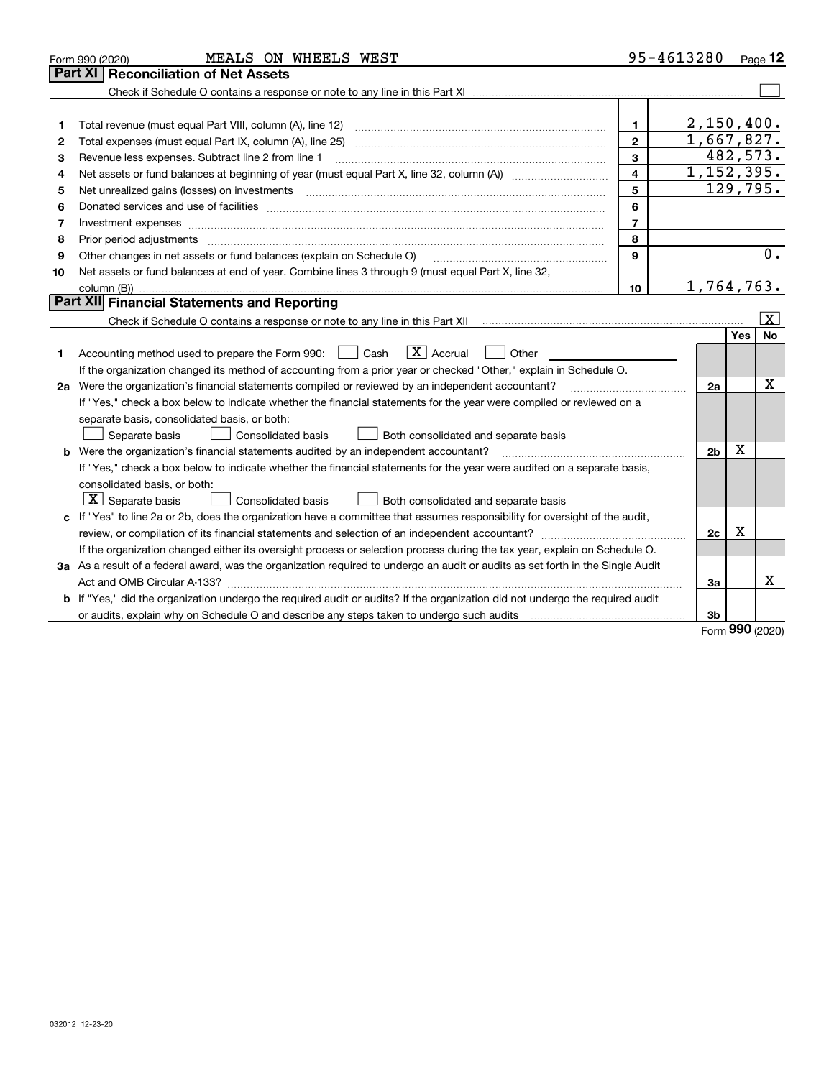| Part XI<br><b>Reconciliation of Net Assets</b><br>2,150,400.<br>$\mathbf{1}$<br>1<br>1,667,827.<br>$\mathbf{2}$<br>2<br>3<br>Revenue less expenses. Subtract line 2 from line 1<br>з                                                                                                                                                                                                                                                                                      |            | 482,573.<br>129,795.    |
|---------------------------------------------------------------------------------------------------------------------------------------------------------------------------------------------------------------------------------------------------------------------------------------------------------------------------------------------------------------------------------------------------------------------------------------------------------------------------|------------|-------------------------|
|                                                                                                                                                                                                                                                                                                                                                                                                                                                                           |            |                         |
|                                                                                                                                                                                                                                                                                                                                                                                                                                                                           |            |                         |
|                                                                                                                                                                                                                                                                                                                                                                                                                                                                           |            |                         |
|                                                                                                                                                                                                                                                                                                                                                                                                                                                                           |            |                         |
|                                                                                                                                                                                                                                                                                                                                                                                                                                                                           |            |                         |
|                                                                                                                                                                                                                                                                                                                                                                                                                                                                           |            |                         |
| 1, 152, 395.<br>$\overline{\mathbf{4}}$<br>4                                                                                                                                                                                                                                                                                                                                                                                                                              |            |                         |
| 5<br>5                                                                                                                                                                                                                                                                                                                                                                                                                                                                    |            |                         |
| 6<br>Donated services and use of facilities [111] matter contracts and the service of facilities [11] matter contracts and use of facilities [11] matter contracts and the service of facilities [11] matter contracts and the serv<br>6                                                                                                                                                                                                                                  |            |                         |
| $\overline{7}$<br>Investment expenses www.communication.com/www.communication.com/www.communication.com/www.com<br>7                                                                                                                                                                                                                                                                                                                                                      |            |                         |
| 8<br>Prior period adjustments<br>8                                                                                                                                                                                                                                                                                                                                                                                                                                        |            |                         |
| 9<br>Other changes in net assets or fund balances (explain on Schedule O)<br>9                                                                                                                                                                                                                                                                                                                                                                                            |            | 0.                      |
| Net assets or fund balances at end of year. Combine lines 3 through 9 (must equal Part X, line 32,<br>10                                                                                                                                                                                                                                                                                                                                                                  |            |                         |
| 1,764,763.<br>10                                                                                                                                                                                                                                                                                                                                                                                                                                                          |            |                         |
| Part XII Financial Statements and Reporting                                                                                                                                                                                                                                                                                                                                                                                                                               |            |                         |
|                                                                                                                                                                                                                                                                                                                                                                                                                                                                           |            | $\overline{\mathbf{X}}$ |
|                                                                                                                                                                                                                                                                                                                                                                                                                                                                           | <b>Yes</b> | <b>No</b>               |
| $\boxed{\mathbf{X}}$ Accrual<br>Accounting method used to prepare the Form 990: <u>June</u> Cash<br>Other<br>1                                                                                                                                                                                                                                                                                                                                                            |            |                         |
| If the organization changed its method of accounting from a prior year or checked "Other," explain in Schedule O.                                                                                                                                                                                                                                                                                                                                                         |            |                         |
| 2a Were the organization's financial statements compiled or reviewed by an independent accountant?<br>2a<br>$\mathcal{L} = \{1, 2, \ldots, 2, \ldots, 2, \ldots, 2, \ldots, 2, \ldots, 2, \ldots, 2, \ldots, 2, \ldots, 2, \ldots, 2, \ldots, 2, \ldots, 2, \ldots, 2, \ldots, 2, \ldots, 2, \ldots, 2, \ldots, 2, \ldots, 2, \ldots, 2, \ldots, 2, \ldots, 2, \ldots, 2, \ldots, 2, \ldots, 2, \ldots, 2, \ldots, 2, \ldots, 2, \ldots, 2, \ldots, 2, \ldots, 2, \ldots$ |            | x                       |
| If "Yes," check a box below to indicate whether the financial statements for the year were compiled or reviewed on a                                                                                                                                                                                                                                                                                                                                                      |            |                         |
| separate basis, consolidated basis, or both:                                                                                                                                                                                                                                                                                                                                                                                                                              |            |                         |
| Separate basis<br>Consolidated basis<br>Both consolidated and separate basis                                                                                                                                                                                                                                                                                                                                                                                              |            |                         |
| b Were the organization's financial statements audited by an independent accountant?<br>2 <sub>b</sub>                                                                                                                                                                                                                                                                                                                                                                    | Х          |                         |
| If "Yes," check a box below to indicate whether the financial statements for the year were audited on a separate basis,                                                                                                                                                                                                                                                                                                                                                   |            |                         |
| consolidated basis, or both:                                                                                                                                                                                                                                                                                                                                                                                                                                              |            |                         |
| $\vert$ X $\vert$ Separate basis<br>Consolidated basis<br>Both consolidated and separate basis                                                                                                                                                                                                                                                                                                                                                                            |            |                         |
| c If "Yes" to line 2a or 2b, does the organization have a committee that assumes responsibility for oversight of the audit,                                                                                                                                                                                                                                                                                                                                               |            |                         |
| 2c                                                                                                                                                                                                                                                                                                                                                                                                                                                                        | х          |                         |
| If the organization changed either its oversight process or selection process during the tax year, explain on Schedule O.                                                                                                                                                                                                                                                                                                                                                 |            |                         |
| 3a As a result of a federal award, was the organization required to undergo an audit or audits as set forth in the Single Audit                                                                                                                                                                                                                                                                                                                                           |            |                         |
| За                                                                                                                                                                                                                                                                                                                                                                                                                                                                        |            | Х                       |
| b If "Yes," did the organization undergo the required audit or audits? If the organization did not undergo the required audit                                                                                                                                                                                                                                                                                                                                             |            |                         |
| 3b                                                                                                                                                                                                                                                                                                                                                                                                                                                                        |            |                         |

Form (2020) **990**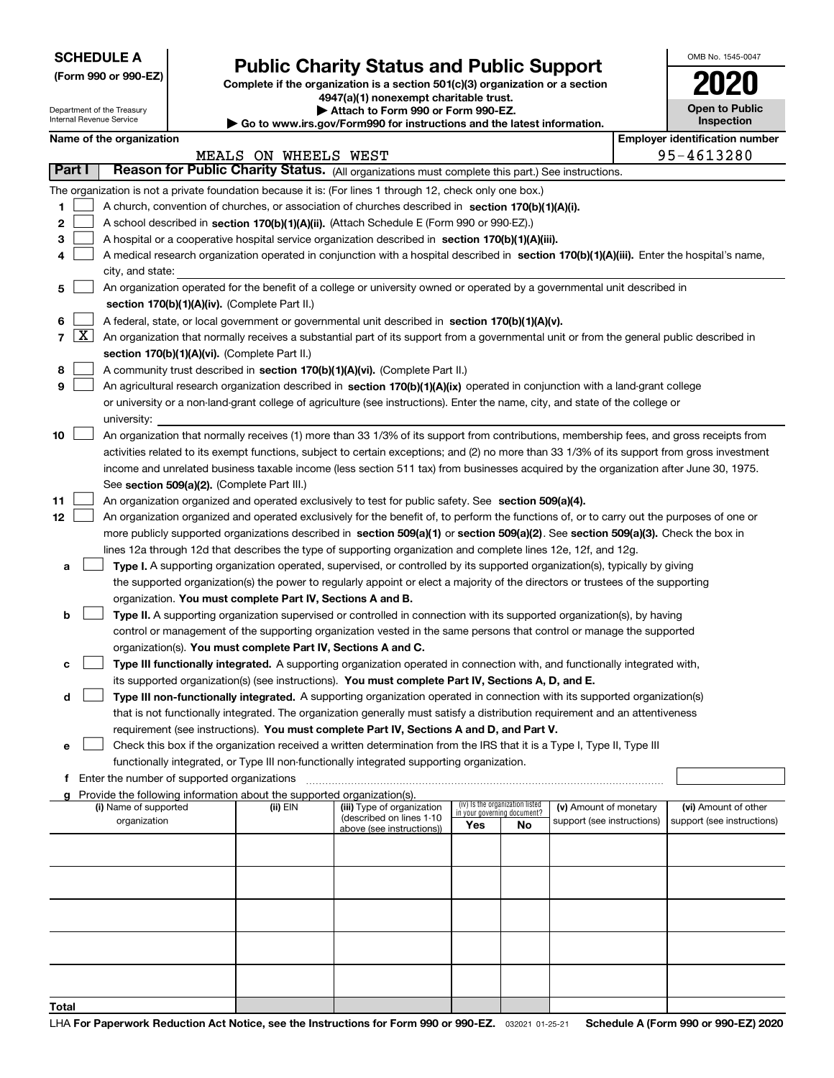|  | <b>SCHEDULE A</b> |
|--|-------------------|
|--|-------------------|

Department of the Treasury Internal Revenue Service

**(Form 990 or 990-EZ)**

# **Public Charity Status and Public Support**

**Complete if the organization is a section 501(c)(3) organization or a section 4947(a)(1) nonexempt charitable trust.**

| Attach to Form 990 or Form 990-EZ. |       |  |  |  |  |
|------------------------------------|-------|--|--|--|--|
|                                    | --- - |  |  |  |  |

**| Go to www.irs.gov/Form990 for instructions and the latest information.**

| OMB No. 1545-0047                   |
|-------------------------------------|
| 020                                 |
| <b>Open to Public</b><br>Inspection |
|                                     |

|       |                                                                                                            | Name of the organization                                                                                                                     |          |                                                        |                                                                |    |                            |  | <b>Employer identification number</b> |  |
|-------|------------------------------------------------------------------------------------------------------------|----------------------------------------------------------------------------------------------------------------------------------------------|----------|--------------------------------------------------------|----------------------------------------------------------------|----|----------------------------|--|---------------------------------------|--|
|       | 95-4613280<br>MEALS ON WHEELS WEST                                                                         |                                                                                                                                              |          |                                                        |                                                                |    |                            |  |                                       |  |
|       | Reason for Public Charity Status. (All organizations must complete this part.) See instructions.<br>Part I |                                                                                                                                              |          |                                                        |                                                                |    |                            |  |                                       |  |
|       |                                                                                                            | The organization is not a private foundation because it is: (For lines 1 through 12, check only one box.)                                    |          |                                                        |                                                                |    |                            |  |                                       |  |
| 1     |                                                                                                            | A church, convention of churches, or association of churches described in section 170(b)(1)(A)(i).                                           |          |                                                        |                                                                |    |                            |  |                                       |  |
| 2     |                                                                                                            | A school described in section 170(b)(1)(A)(ii). (Attach Schedule E (Form 990 or 990-EZ).)                                                    |          |                                                        |                                                                |    |                            |  |                                       |  |
| з     |                                                                                                            | A hospital or a cooperative hospital service organization described in section 170(b)(1)(A)(iii).                                            |          |                                                        |                                                                |    |                            |  |                                       |  |
| 4     |                                                                                                            | A medical research organization operated in conjunction with a hospital described in section 170(b)(1)(A)(iii). Enter the hospital's name,   |          |                                                        |                                                                |    |                            |  |                                       |  |
|       |                                                                                                            | city, and state:                                                                                                                             |          |                                                        |                                                                |    |                            |  |                                       |  |
| 5     |                                                                                                            | An organization operated for the benefit of a college or university owned or operated by a governmental unit described in                    |          |                                                        |                                                                |    |                            |  |                                       |  |
|       |                                                                                                            | section 170(b)(1)(A)(iv). (Complete Part II.)                                                                                                |          |                                                        |                                                                |    |                            |  |                                       |  |
| 6     |                                                                                                            | A federal, state, or local government or governmental unit described in section 170(b)(1)(A)(v).                                             |          |                                                        |                                                                |    |                            |  |                                       |  |
| 7     | $\lfloor x \rfloor$                                                                                        | An organization that normally receives a substantial part of its support from a governmental unit or from the general public described in    |          |                                                        |                                                                |    |                            |  |                                       |  |
|       |                                                                                                            | section 170(b)(1)(A)(vi). (Complete Part II.)                                                                                                |          |                                                        |                                                                |    |                            |  |                                       |  |
| 8     |                                                                                                            | A community trust described in section 170(b)(1)(A)(vi). (Complete Part II.)                                                                 |          |                                                        |                                                                |    |                            |  |                                       |  |
| 9     |                                                                                                            | An agricultural research organization described in section 170(b)(1)(A)(ix) operated in conjunction with a land-grant college                |          |                                                        |                                                                |    |                            |  |                                       |  |
|       |                                                                                                            | or university or a non-land-grant college of agriculture (see instructions). Enter the name, city, and state of the college or               |          |                                                        |                                                                |    |                            |  |                                       |  |
|       |                                                                                                            | university:                                                                                                                                  |          |                                                        |                                                                |    |                            |  |                                       |  |
| 10    |                                                                                                            | An organization that normally receives (1) more than 33 1/3% of its support from contributions, membership fees, and gross receipts from     |          |                                                        |                                                                |    |                            |  |                                       |  |
|       |                                                                                                            | activities related to its exempt functions, subject to certain exceptions; and (2) no more than 33 1/3% of its support from gross investment |          |                                                        |                                                                |    |                            |  |                                       |  |
|       |                                                                                                            | income and unrelated business taxable income (less section 511 tax) from businesses acquired by the organization after June 30, 1975.        |          |                                                        |                                                                |    |                            |  |                                       |  |
|       |                                                                                                            | See section 509(a)(2). (Complete Part III.)                                                                                                  |          |                                                        |                                                                |    |                            |  |                                       |  |
| 11    |                                                                                                            | An organization organized and operated exclusively to test for public safety. See section 509(a)(4).                                         |          |                                                        |                                                                |    |                            |  |                                       |  |
| 12    |                                                                                                            | An organization organized and operated exclusively for the benefit of, to perform the functions of, or to carry out the purposes of one or   |          |                                                        |                                                                |    |                            |  |                                       |  |
|       |                                                                                                            | more publicly supported organizations described in section 509(a)(1) or section 509(a)(2). See section 509(a)(3). Check the box in           |          |                                                        |                                                                |    |                            |  |                                       |  |
|       |                                                                                                            | lines 12a through 12d that describes the type of supporting organization and complete lines 12e, 12f, and 12g.                               |          |                                                        |                                                                |    |                            |  |                                       |  |
| a     |                                                                                                            | Type I. A supporting organization operated, supervised, or controlled by its supported organization(s), typically by giving                  |          |                                                        |                                                                |    |                            |  |                                       |  |
|       |                                                                                                            | the supported organization(s) the power to regularly appoint or elect a majority of the directors or trustees of the supporting              |          |                                                        |                                                                |    |                            |  |                                       |  |
|       |                                                                                                            | organization. You must complete Part IV, Sections A and B.                                                                                   |          |                                                        |                                                                |    |                            |  |                                       |  |
| b     |                                                                                                            | Type II. A supporting organization supervised or controlled in connection with its supported organization(s), by having                      |          |                                                        |                                                                |    |                            |  |                                       |  |
|       |                                                                                                            | control or management of the supporting organization vested in the same persons that control or manage the supported                         |          |                                                        |                                                                |    |                            |  |                                       |  |
|       |                                                                                                            | organization(s). You must complete Part IV, Sections A and C.                                                                                |          |                                                        |                                                                |    |                            |  |                                       |  |
| с     |                                                                                                            | Type III functionally integrated. A supporting organization operated in connection with, and functionally integrated with,                   |          |                                                        |                                                                |    |                            |  |                                       |  |
|       |                                                                                                            | its supported organization(s) (see instructions). You must complete Part IV, Sections A, D, and E.                                           |          |                                                        |                                                                |    |                            |  |                                       |  |
| d     |                                                                                                            | Type III non-functionally integrated. A supporting organization operated in connection with its supported organization(s)                    |          |                                                        |                                                                |    |                            |  |                                       |  |
|       |                                                                                                            | that is not functionally integrated. The organization generally must satisfy a distribution requirement and an attentiveness                 |          |                                                        |                                                                |    |                            |  |                                       |  |
|       |                                                                                                            | requirement (see instructions). You must complete Part IV, Sections A and D, and Part V.                                                     |          |                                                        |                                                                |    |                            |  |                                       |  |
| е     |                                                                                                            | Check this box if the organization received a written determination from the IRS that it is a Type I, Type II, Type III                      |          |                                                        |                                                                |    |                            |  |                                       |  |
|       |                                                                                                            | functionally integrated, or Type III non-functionally integrated supporting organization.                                                    |          |                                                        |                                                                |    |                            |  |                                       |  |
|       |                                                                                                            | f Enter the number of supported organizations                                                                                                |          |                                                        |                                                                |    |                            |  |                                       |  |
|       |                                                                                                            | Provide the following information about the supported organization(s).                                                                       |          |                                                        |                                                                |    |                            |  |                                       |  |
|       |                                                                                                            | (i) Name of supported                                                                                                                        | (ii) EIN | (iii) Type of organization<br>(described on lines 1-10 | (iv) Is the organization listed<br>in your governing document? |    | (v) Amount of monetary     |  | (vi) Amount of other                  |  |
|       |                                                                                                            | organization                                                                                                                                 |          | above (see instructions))                              | Yes                                                            | No | support (see instructions) |  | support (see instructions)            |  |
|       |                                                                                                            |                                                                                                                                              |          |                                                        |                                                                |    |                            |  |                                       |  |
|       |                                                                                                            |                                                                                                                                              |          |                                                        |                                                                |    |                            |  |                                       |  |
|       |                                                                                                            |                                                                                                                                              |          |                                                        |                                                                |    |                            |  |                                       |  |
|       |                                                                                                            |                                                                                                                                              |          |                                                        |                                                                |    |                            |  |                                       |  |
|       |                                                                                                            |                                                                                                                                              |          |                                                        |                                                                |    |                            |  |                                       |  |
|       |                                                                                                            |                                                                                                                                              |          |                                                        |                                                                |    |                            |  |                                       |  |
|       |                                                                                                            |                                                                                                                                              |          |                                                        |                                                                |    |                            |  |                                       |  |
|       |                                                                                                            |                                                                                                                                              |          |                                                        |                                                                |    |                            |  |                                       |  |
|       |                                                                                                            |                                                                                                                                              |          |                                                        |                                                                |    |                            |  |                                       |  |
|       |                                                                                                            |                                                                                                                                              |          |                                                        |                                                                |    |                            |  |                                       |  |
| Total |                                                                                                            |                                                                                                                                              |          |                                                        |                                                                |    |                            |  |                                       |  |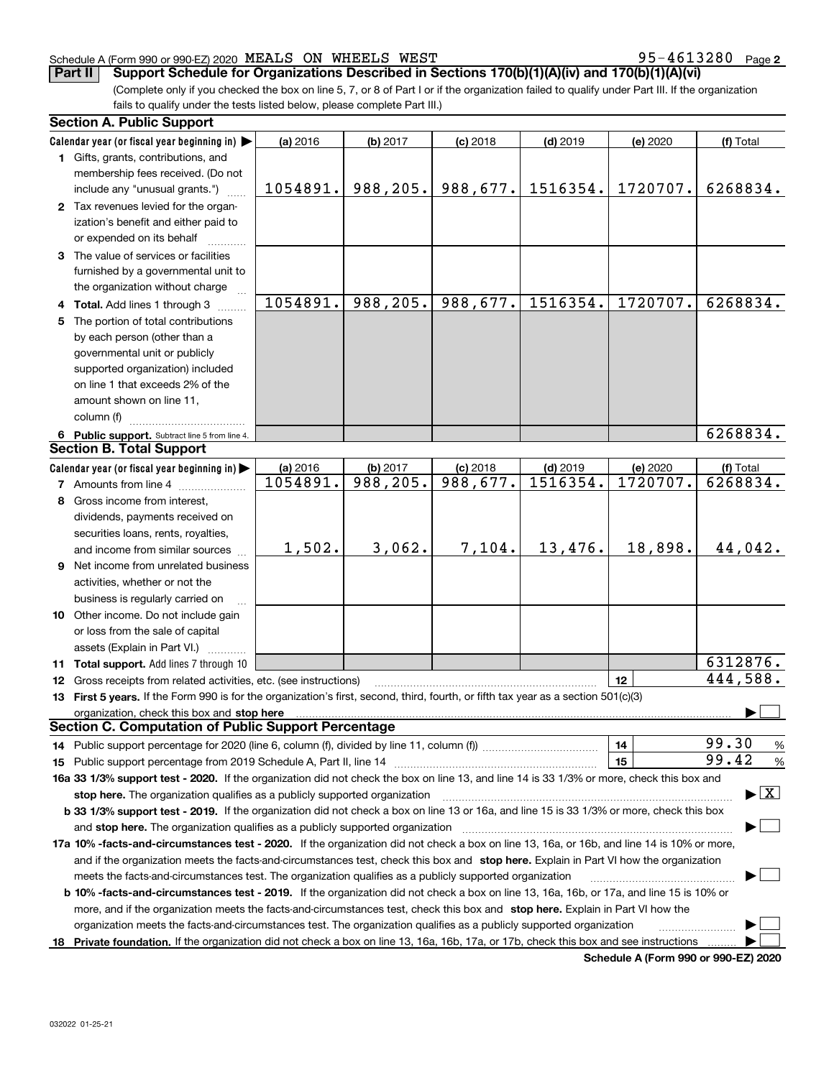#### Schedule A (Form 990 or 990-EZ) 2020 Page MEALS ON WHEELS WEST 95-4613280

**2**

(Complete only if you checked the box on line 5, 7, or 8 of Part I or if the organization failed to qualify under Part III. If the organization fails to qualify under the tests listed below, please complete Part III.) **Part II Support Schedule for Organizations Described in Sections 170(b)(1)(A)(iv) and 170(b)(1)(A)(vi)**

| <b>Section A. Public Support</b>                                                                                                                                                                                                                                    |          |           |            |            |          |            |  |
|---------------------------------------------------------------------------------------------------------------------------------------------------------------------------------------------------------------------------------------------------------------------|----------|-----------|------------|------------|----------|------------|--|
| Calendar year (or fiscal year beginning in)                                                                                                                                                                                                                         | (a) 2016 | (b) 2017  | $(c)$ 2018 | $(d)$ 2019 | (e) 2020 | (f) Total  |  |
| 1 Gifts, grants, contributions, and                                                                                                                                                                                                                                 |          |           |            |            |          |            |  |
| membership fees received. (Do not                                                                                                                                                                                                                                   |          |           |            |            |          |            |  |
| include any "unusual grants.")                                                                                                                                                                                                                                      | 1054891. | 988,205.  | 988,677.   | 1516354.   | 1720707. | 6268834.   |  |
| 2 Tax revenues levied for the organ-                                                                                                                                                                                                                                |          |           |            |            |          |            |  |
| ization's benefit and either paid to                                                                                                                                                                                                                                |          |           |            |            |          |            |  |
| or expended on its behalf                                                                                                                                                                                                                                           |          |           |            |            |          |            |  |
| 3 The value of services or facilities                                                                                                                                                                                                                               |          |           |            |            |          |            |  |
| furnished by a governmental unit to                                                                                                                                                                                                                                 |          |           |            |            |          |            |  |
| the organization without charge                                                                                                                                                                                                                                     |          |           |            |            |          |            |  |
| 4 Total. Add lines 1 through 3                                                                                                                                                                                                                                      | 1054891. | 988,205.  | 988,677.   | 1516354.   | 1720707. | 6268834.   |  |
| 5 The portion of total contributions                                                                                                                                                                                                                                |          |           |            |            |          |            |  |
| by each person (other than a                                                                                                                                                                                                                                        |          |           |            |            |          |            |  |
| governmental unit or publicly                                                                                                                                                                                                                                       |          |           |            |            |          |            |  |
| supported organization) included                                                                                                                                                                                                                                    |          |           |            |            |          |            |  |
| on line 1 that exceeds 2% of the                                                                                                                                                                                                                                    |          |           |            |            |          |            |  |
| amount shown on line 11,                                                                                                                                                                                                                                            |          |           |            |            |          |            |  |
| column (f)                                                                                                                                                                                                                                                          |          |           |            |            |          |            |  |
| 6 Public support. Subtract line 5 from line 4.                                                                                                                                                                                                                      |          |           |            |            |          | 6268834.   |  |
| <b>Section B. Total Support</b>                                                                                                                                                                                                                                     |          |           |            |            |          |            |  |
| Calendar year (or fiscal year beginning in)                                                                                                                                                                                                                         | (a) 2016 | (b) 2017  | $(c)$ 2018 | $(d)$ 2019 | (e) 2020 | (f) Total  |  |
| <b>7</b> Amounts from line 4                                                                                                                                                                                                                                        | 1054891. | 988, 205. | 988,677.   | 1516354.   | 1720707. | 6268834.   |  |
| 8 Gross income from interest,                                                                                                                                                                                                                                       |          |           |            |            |          |            |  |
| dividends, payments received on                                                                                                                                                                                                                                     |          |           |            |            |          |            |  |
| securities loans, rents, royalties,                                                                                                                                                                                                                                 |          |           |            |            |          |            |  |
| and income from similar sources                                                                                                                                                                                                                                     | 1,502.   | 3,062.    | 7,104.     | 13,476.    | 18,898.  | 44,042.    |  |
| 9 Net income from unrelated business                                                                                                                                                                                                                                |          |           |            |            |          |            |  |
| activities, whether or not the                                                                                                                                                                                                                                      |          |           |            |            |          |            |  |
| business is regularly carried on                                                                                                                                                                                                                                    |          |           |            |            |          |            |  |
| 10 Other income. Do not include gain                                                                                                                                                                                                                                |          |           |            |            |          |            |  |
| or loss from the sale of capital                                                                                                                                                                                                                                    |          |           |            |            |          |            |  |
| assets (Explain in Part VI.)                                                                                                                                                                                                                                        |          |           |            |            |          |            |  |
| 11 Total support. Add lines 7 through 10                                                                                                                                                                                                                            |          |           |            |            |          | 6312876.   |  |
| 12 Gross receipts from related activities, etc. (see instructions)                                                                                                                                                                                                  |          |           |            |            | 12       | 444,588.   |  |
| 13 First 5 years. If the Form 990 is for the organization's first, second, third, fourth, or fifth tax year as a section 501(c)(3)                                                                                                                                  |          |           |            |            |          |            |  |
| organization, check this box and stop here manufactured and according to the state of the state of the state of the state of the state of the state of the state of the state of the state of the state of the state of the st                                      |          |           |            |            |          |            |  |
| <b>Section C. Computation of Public Support Percentage</b>                                                                                                                                                                                                          |          |           |            |            |          |            |  |
|                                                                                                                                                                                                                                                                     |          |           |            |            | 14       | 99.30<br>% |  |
|                                                                                                                                                                                                                                                                     |          |           |            |            | 15       | 99.42<br>% |  |
|                                                                                                                                                                                                                                                                     |          |           |            |            |          |            |  |
| 16a 33 1/3% support test - 2020. If the organization did not check the box on line 13, and line 14 is 33 1/3% or more, check this box and<br>$\blacktriangleright$ $\boxed{\text{X}}$<br>stop here. The organization qualifies as a publicly supported organization |          |           |            |            |          |            |  |
| b 33 1/3% support test - 2019. If the organization did not check a box on line 13 or 16a, and line 15 is 33 1/3% or more, check this box                                                                                                                            |          |           |            |            |          |            |  |
| and stop here. The organization qualifies as a publicly supported organization                                                                                                                                                                                      |          |           |            |            |          |            |  |
| 17a 10% -facts-and-circumstances test - 2020. If the organization did not check a box on line 13, 16a, or 16b, and line 14 is 10% or more,                                                                                                                          |          |           |            |            |          |            |  |
| and if the organization meets the facts-and-circumstances test, check this box and stop here. Explain in Part VI how the organization                                                                                                                               |          |           |            |            |          |            |  |
| meets the facts-and-circumstances test. The organization qualifies as a publicly supported organization                                                                                                                                                             |          |           |            |            |          |            |  |
| <b>b 10% -facts-and-circumstances test - 2019.</b> If the organization did not check a box on line 13, 16a, 16b, or 17a, and line 15 is 10% or                                                                                                                      |          |           |            |            |          |            |  |
| more, and if the organization meets the facts-and-circumstances test, check this box and stop here. Explain in Part VI how the                                                                                                                                      |          |           |            |            |          |            |  |
| organization meets the facts-and-circumstances test. The organization qualifies as a publicly supported organization                                                                                                                                                |          |           |            |            |          |            |  |
|                                                                                                                                                                                                                                                                     |          |           |            |            |          |            |  |

**Schedule A (Form 990 or 990-EZ) 2020**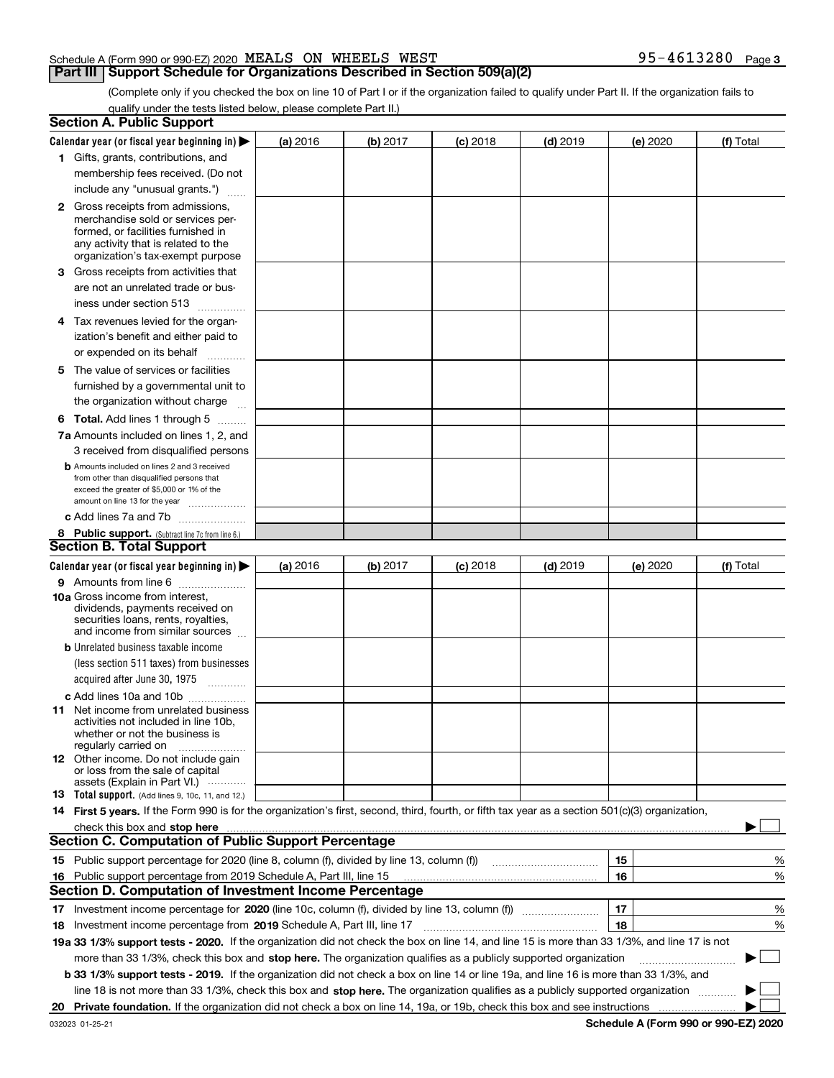#### Schedule A (Form 990 or 990-EZ) 2020 Page MEALS ON WHEELS WEST 95-4613280

#### **Part III Support Schedule for Organizations Described in Section 509(a)(2)**

**3**

(Complete only if you checked the box on line 10 of Part I or if the organization failed to qualify under Part II. If the organization fails to qualify under the tests listed below, please complete Part II.)

|     | <b>Section A. Public Support</b>                                                                                                                                                                                               |          |          |            |            |          |           |
|-----|--------------------------------------------------------------------------------------------------------------------------------------------------------------------------------------------------------------------------------|----------|----------|------------|------------|----------|-----------|
|     | Calendar year (or fiscal year beginning in) $\blacktriangleright$                                                                                                                                                              | (a) 2016 | (b) 2017 | $(c)$ 2018 | $(d)$ 2019 | (e) 2020 | (f) Total |
|     | 1 Gifts, grants, contributions, and                                                                                                                                                                                            |          |          |            |            |          |           |
|     | membership fees received. (Do not                                                                                                                                                                                              |          |          |            |            |          |           |
|     | include any "unusual grants.")                                                                                                                                                                                                 |          |          |            |            |          |           |
|     | <b>2</b> Gross receipts from admissions,                                                                                                                                                                                       |          |          |            |            |          |           |
|     | merchandise sold or services per-                                                                                                                                                                                              |          |          |            |            |          |           |
|     | formed, or facilities furnished in                                                                                                                                                                                             |          |          |            |            |          |           |
|     | any activity that is related to the<br>organization's tax-exempt purpose                                                                                                                                                       |          |          |            |            |          |           |
|     | 3 Gross receipts from activities that                                                                                                                                                                                          |          |          |            |            |          |           |
|     | are not an unrelated trade or bus-                                                                                                                                                                                             |          |          |            |            |          |           |
|     | iness under section 513                                                                                                                                                                                                        |          |          |            |            |          |           |
|     | 4 Tax revenues levied for the organ-                                                                                                                                                                                           |          |          |            |            |          |           |
|     | ization's benefit and either paid to                                                                                                                                                                                           |          |          |            |            |          |           |
|     | or expended on its behalf                                                                                                                                                                                                      |          |          |            |            |          |           |
|     | .                                                                                                                                                                                                                              |          |          |            |            |          |           |
|     | 5 The value of services or facilities<br>furnished by a governmental unit to                                                                                                                                                   |          |          |            |            |          |           |
|     |                                                                                                                                                                                                                                |          |          |            |            |          |           |
|     | the organization without charge                                                                                                                                                                                                |          |          |            |            |          |           |
|     | <b>6 Total.</b> Add lines 1 through 5                                                                                                                                                                                          |          |          |            |            |          |           |
|     | 7a Amounts included on lines 1, 2, and                                                                                                                                                                                         |          |          |            |            |          |           |
|     | 3 received from disqualified persons                                                                                                                                                                                           |          |          |            |            |          |           |
|     | <b>b</b> Amounts included on lines 2 and 3 received<br>from other than disqualified persons that                                                                                                                               |          |          |            |            |          |           |
|     | exceed the greater of \$5,000 or 1% of the                                                                                                                                                                                     |          |          |            |            |          |           |
|     | amount on line 13 for the year                                                                                                                                                                                                 |          |          |            |            |          |           |
|     | c Add lines 7a and 7b                                                                                                                                                                                                          |          |          |            |            |          |           |
|     | 8 Public support. (Subtract line 7c from line 6.)                                                                                                                                                                              |          |          |            |            |          |           |
|     | <b>Section B. Total Support</b>                                                                                                                                                                                                |          |          |            |            |          |           |
|     | Calendar year (or fiscal year beginning in) $\blacktriangleright$                                                                                                                                                              | (a) 2016 | (b) 2017 | $(c)$ 2018 | $(d)$ 2019 | (e) 2020 | (f) Total |
|     | 9 Amounts from line 6                                                                                                                                                                                                          |          |          |            |            |          |           |
|     | <b>10a</b> Gross income from interest,<br>dividends, payments received on                                                                                                                                                      |          |          |            |            |          |           |
|     | securities loans, rents, royalties,                                                                                                                                                                                            |          |          |            |            |          |           |
|     | and income from similar sources                                                                                                                                                                                                |          |          |            |            |          |           |
|     | <b>b</b> Unrelated business taxable income                                                                                                                                                                                     |          |          |            |            |          |           |
|     | (less section 511 taxes) from businesses                                                                                                                                                                                       |          |          |            |            |          |           |
|     | acquired after June 30, 1975                                                                                                                                                                                                   |          |          |            |            |          |           |
|     | c Add lines 10a and 10b                                                                                                                                                                                                        |          |          |            |            |          |           |
|     | 11 Net income from unrelated business                                                                                                                                                                                          |          |          |            |            |          |           |
|     | activities not included in line 10b,<br>whether or not the business is                                                                                                                                                         |          |          |            |            |          |           |
|     | regularly carried on                                                                                                                                                                                                           |          |          |            |            |          |           |
|     | <b>12</b> Other income. Do not include gain                                                                                                                                                                                    |          |          |            |            |          |           |
|     | or loss from the sale of capital                                                                                                                                                                                               |          |          |            |            |          |           |
|     | assets (Explain in Part VI.)<br>13 Total support. (Add lines 9, 10c, 11, and 12.)                                                                                                                                              |          |          |            |            |          |           |
|     | 14 First 5 years. If the Form 990 is for the organization's first, second, third, fourth, or fifth tax year as a section 501(c)(3) organization,                                                                               |          |          |            |            |          |           |
|     | check this box and stop here measurements and contain the state of the state of the state of the state of the state of the state of the state of the state of the state of the state of the state of the state of the state of |          |          |            |            |          |           |
|     | <b>Section C. Computation of Public Support Percentage</b>                                                                                                                                                                     |          |          |            |            |          |           |
|     |                                                                                                                                                                                                                                |          |          |            |            | 15       | %         |
| 16. | Public support percentage from 2019 Schedule A, Part III, line 15                                                                                                                                                              |          |          |            |            | 16       | %         |
|     | <b>Section D. Computation of Investment Income Percentage</b>                                                                                                                                                                  |          |          |            |            |          |           |
|     | 17 Investment income percentage for 2020 (line 10c, column (f), divided by line 13, column (f))                                                                                                                                |          |          |            |            | 17       | %         |
|     | 18 Investment income percentage from 2019 Schedule A, Part III, line 17                                                                                                                                                        |          |          |            |            | 18       | %         |
|     | 19a 33 1/3% support tests - 2020. If the organization did not check the box on line 14, and line 15 is more than 33 1/3%, and line 17 is not                                                                                   |          |          |            |            |          |           |
|     |                                                                                                                                                                                                                                |          |          |            |            |          | $\sim$    |
|     | more than 33 1/3%, check this box and stop here. The organization qualifies as a publicly supported organization                                                                                                               |          |          |            |            |          | ▶         |
|     | b 33 1/3% support tests - 2019. If the organization did not check a box on line 14 or line 19a, and line 16 is more than 33 1/3%, and                                                                                          |          |          |            |            |          |           |
|     | line 18 is not more than 33 1/3%, check this box and stop here. The organization qualifies as a publicly supported organization                                                                                                |          |          |            |            |          |           |
| 20  |                                                                                                                                                                                                                                |          |          |            |            |          |           |

**Schedule A (Form 990 or 990-EZ) 2020**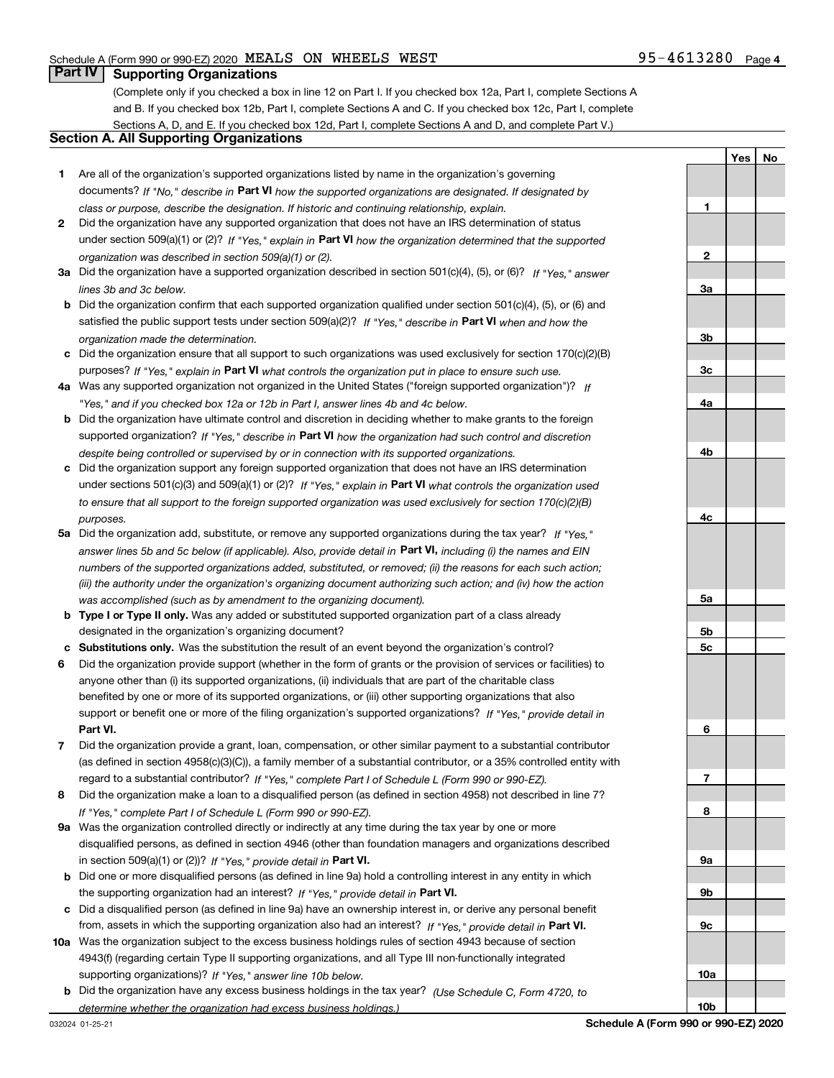**1**

**YesNo**

### **Part IV Supporting Organizations**

(Complete only if you checked a box in line 12 on Part I. If you checked box 12a, Part I, complete Sections A and B. If you checked box 12b, Part I, complete Sections A and C. If you checked box 12c, Part I, complete Sections A, D, and E. If you checked box 12d, Part I, complete Sections A and D, and complete Part V.)

#### **Section A. All Supporting Organizations**

- **1** Are all of the organization's supported organizations listed by name in the organization's governing documents? If "No," describe in **Part VI** how the supported organizations are designated. If designated by *class or purpose, describe the designation. If historic and continuing relationship, explain.*
- **2** Did the organization have any supported organization that does not have an IRS determination of status under section 509(a)(1) or (2)? If "Yes," explain in Part VI how the organization determined that the supported *organization was described in section 509(a)(1) or (2).*
- **3a** Did the organization have a supported organization described in section 501(c)(4), (5), or (6)? If "Yes," answer *lines 3b and 3c below.*
- **b** Did the organization confirm that each supported organization qualified under section 501(c)(4), (5), or (6) and satisfied the public support tests under section 509(a)(2)? If "Yes," describe in **Part VI** when and how the *organization made the determination.*
- **c**Did the organization ensure that all support to such organizations was used exclusively for section 170(c)(2)(B) purposes? If "Yes," explain in **Part VI** what controls the organization put in place to ensure such use.
- **4a***If* Was any supported organization not organized in the United States ("foreign supported organization")? *"Yes," and if you checked box 12a or 12b in Part I, answer lines 4b and 4c below.*
- **b** Did the organization have ultimate control and discretion in deciding whether to make grants to the foreign supported organization? If "Yes," describe in **Part VI** how the organization had such control and discretion *despite being controlled or supervised by or in connection with its supported organizations.*
- **c** Did the organization support any foreign supported organization that does not have an IRS determination under sections 501(c)(3) and 509(a)(1) or (2)? If "Yes," explain in **Part VI** what controls the organization used *to ensure that all support to the foreign supported organization was used exclusively for section 170(c)(2)(B) purposes.*
- **5a***If "Yes,"* Did the organization add, substitute, or remove any supported organizations during the tax year? answer lines 5b and 5c below (if applicable). Also, provide detail in **Part VI,** including (i) the names and EIN *numbers of the supported organizations added, substituted, or removed; (ii) the reasons for each such action; (iii) the authority under the organization's organizing document authorizing such action; and (iv) how the action was accomplished (such as by amendment to the organizing document).*
- **b** Type I or Type II only. Was any added or substituted supported organization part of a class already designated in the organization's organizing document?
- **cSubstitutions only.**  Was the substitution the result of an event beyond the organization's control?
- **6** Did the organization provide support (whether in the form of grants or the provision of services or facilities) to **Part VI.** *If "Yes," provide detail in* support or benefit one or more of the filing organization's supported organizations? anyone other than (i) its supported organizations, (ii) individuals that are part of the charitable class benefited by one or more of its supported organizations, or (iii) other supporting organizations that also
- **7**Did the organization provide a grant, loan, compensation, or other similar payment to a substantial contributor *If "Yes," complete Part I of Schedule L (Form 990 or 990-EZ).* regard to a substantial contributor? (as defined in section 4958(c)(3)(C)), a family member of a substantial contributor, or a 35% controlled entity with
- **8** Did the organization make a loan to a disqualified person (as defined in section 4958) not described in line 7? *If "Yes," complete Part I of Schedule L (Form 990 or 990-EZ).*
- **9a** Was the organization controlled directly or indirectly at any time during the tax year by one or more in section 509(a)(1) or (2))? If "Yes," *provide detail in* <code>Part VI.</code> disqualified persons, as defined in section 4946 (other than foundation managers and organizations described
- **b** Did one or more disqualified persons (as defined in line 9a) hold a controlling interest in any entity in which the supporting organization had an interest? If "Yes," provide detail in P**art VI**.
- **c**Did a disqualified person (as defined in line 9a) have an ownership interest in, or derive any personal benefit from, assets in which the supporting organization also had an interest? If "Yes," provide detail in P**art VI.**
- **10a** Was the organization subject to the excess business holdings rules of section 4943 because of section supporting organizations)? If "Yes," answer line 10b below. 4943(f) (regarding certain Type II supporting organizations, and all Type III non-functionally integrated
- **b** Did the organization have any excess business holdings in the tax year? (Use Schedule C, Form 4720, to *determine whether the organization had excess business holdings.)*

**10a**

**10b**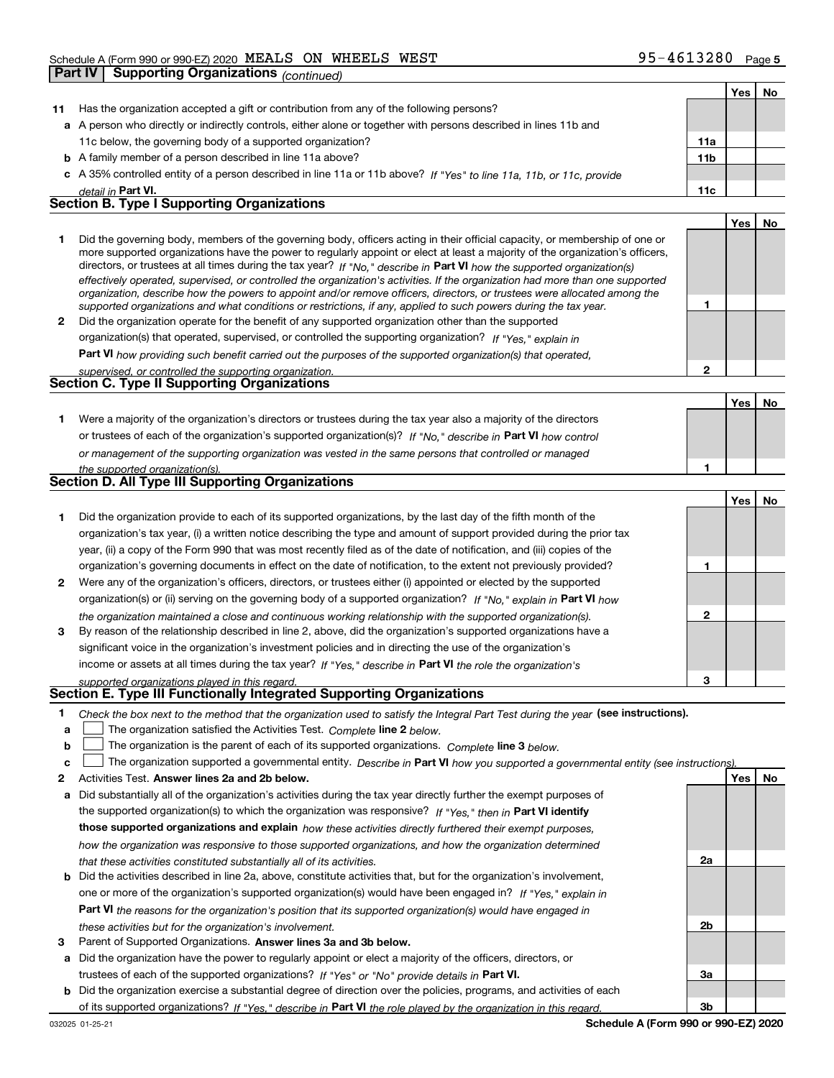|              | Part IV   Supporting Organizations $_{(continued)}$                                                                                                                                                                                                       |                 |            |    |
|--------------|-----------------------------------------------------------------------------------------------------------------------------------------------------------------------------------------------------------------------------------------------------------|-----------------|------------|----|
|              |                                                                                                                                                                                                                                                           |                 | Yes        | No |
| 11           | Has the organization accepted a gift or contribution from any of the following persons?                                                                                                                                                                   |                 |            |    |
|              | a A person who directly or indirectly controls, either alone or together with persons described in lines 11b and                                                                                                                                          |                 |            |    |
|              | 11c below, the governing body of a supported organization?                                                                                                                                                                                                | 11a             |            |    |
|              | <b>b</b> A family member of a person described in line 11a above?                                                                                                                                                                                         | 11 <sub>b</sub> |            |    |
|              | c A 35% controlled entity of a person described in line 11a or 11b above? If "Yes" to line 11a, 11b, or 11c, provide                                                                                                                                      |                 |            |    |
|              | detail in Part VI.                                                                                                                                                                                                                                        | 11c             |            |    |
|              | <b>Section B. Type I Supporting Organizations</b>                                                                                                                                                                                                         |                 |            |    |
|              |                                                                                                                                                                                                                                                           |                 | Yes        | No |
| 1            | Did the governing body, members of the governing body, officers acting in their official capacity, or membership of one or                                                                                                                                |                 |            |    |
|              | more supported organizations have the power to regularly appoint or elect at least a majority of the organization's officers,                                                                                                                             |                 |            |    |
|              | directors, or trustees at all times during the tax year? If "No," describe in Part VI how the supported organization(s)<br>effectively operated, supervised, or controlled the organization's activities. If the organization had more than one supported |                 |            |    |
|              | organization, describe how the powers to appoint and/or remove officers, directors, or trustees were allocated among the                                                                                                                                  |                 |            |    |
|              | supported organizations and what conditions or restrictions, if any, applied to such powers during the tax year.                                                                                                                                          | 1               |            |    |
| $\mathbf{2}$ | Did the organization operate for the benefit of any supported organization other than the supported                                                                                                                                                       |                 |            |    |
|              | organization(s) that operated, supervised, or controlled the supporting organization? If "Yes," explain in                                                                                                                                                |                 |            |    |
|              | Part VI how providing such benefit carried out the purposes of the supported organization(s) that operated,                                                                                                                                               |                 |            |    |
|              | supervised, or controlled the supporting organization.                                                                                                                                                                                                    | $\overline{2}$  |            |    |
|              | Section C. Type II Supporting Organizations                                                                                                                                                                                                               |                 |            |    |
|              |                                                                                                                                                                                                                                                           |                 | <b>Yes</b> | No |
| 1.           | Were a majority of the organization's directors or trustees during the tax year also a majority of the directors                                                                                                                                          |                 |            |    |
|              | or trustees of each of the organization's supported organization(s)? If "No," describe in Part VI how control                                                                                                                                             |                 |            |    |
|              | or management of the supporting organization was vested in the same persons that controlled or managed                                                                                                                                                    |                 |            |    |
|              | the supported organization(s).<br>Section D. All Type III Supporting Organizations                                                                                                                                                                        | 1               |            |    |
|              |                                                                                                                                                                                                                                                           |                 |            |    |
|              |                                                                                                                                                                                                                                                           |                 | Yes        | No |
| 1            | Did the organization provide to each of its supported organizations, by the last day of the fifth month of the                                                                                                                                            |                 |            |    |
|              | organization's tax year, (i) a written notice describing the type and amount of support provided during the prior tax<br>year, (ii) a copy of the Form 990 that was most recently filed as of the date of notification, and (iii) copies of the           |                 |            |    |
|              |                                                                                                                                                                                                                                                           | 1               |            |    |
| 2            | organization's governing documents in effect on the date of notification, to the extent not previously provided?<br>Were any of the organization's officers, directors, or trustees either (i) appointed or elected by the supported                      |                 |            |    |
|              |                                                                                                                                                                                                                                                           |                 |            |    |
|              | organization(s) or (ii) serving on the governing body of a supported organization? If "No," explain in Part VI how                                                                                                                                        | 2               |            |    |
| з            | the organization maintained a close and continuous working relationship with the supported organization(s).<br>By reason of the relationship described in line 2, above, did the organization's supported organizations have a                            |                 |            |    |
|              | significant voice in the organization's investment policies and in directing the use of the organization's                                                                                                                                                |                 |            |    |
|              | income or assets at all times during the tax year? If "Yes," describe in Part VI the role the organization's                                                                                                                                              |                 |            |    |
|              | supported organizations played in this regard.                                                                                                                                                                                                            | 3               |            |    |
|              | Section E. Type III Functionally Integrated Supporting Organizations                                                                                                                                                                                      |                 |            |    |
| 1            | Check the box next to the method that the organization used to satisfy the Integral Part Test during the year (see instructions).                                                                                                                         |                 |            |    |
| a            | The organization satisfied the Activities Test. Complete line 2 below.                                                                                                                                                                                    |                 |            |    |
| b            | The organization is the parent of each of its supported organizations. Complete line 3 below.                                                                                                                                                             |                 |            |    |

|  |  |  | The organization supported a governmental entity. Describe in Part VI how you supported a governmental entity (see instructions). |  |
|--|--|--|-----------------------------------------------------------------------------------------------------------------------------------|--|
|--|--|--|-----------------------------------------------------------------------------------------------------------------------------------|--|

- **2Answer lines 2a and 2b below. Yes No** Activities Test.
- **a** Did substantially all of the organization's activities during the tax year directly further the exempt purposes of **b** Did the activities described in line 2a, above, constitute activities that, but for the organization's involvement, the supported organization(s) to which the organization was responsive? If "Yes," then in **Part VI identify those supported organizations and explain**  *how these activities directly furthered their exempt purposes, how the organization was responsive to those supported organizations, and how the organization determined that these activities constituted substantially all of its activities.*
- **Part VI**  *the reasons for the organization's position that its supported organization(s) would have engaged in* one or more of the organization's supported organization(s) would have been engaged in? If "Yes," e*xplain in these activities but for the organization's involvement.*
- **3** Parent of Supported Organizations. Answer lines 3a and 3b below.

**a** Did the organization have the power to regularly appoint or elect a majority of the officers, directors, or trustees of each of the supported organizations? If "Yes" or "No" provide details in **Part VI.** 

**b** Did the organization exercise a substantial degree of direction over the policies, programs, and activities of each of its supported organizations? If "Yes," describe in Part VI the role played by the organization in this regard.

**2a**

**2b**

**3a**

**3b**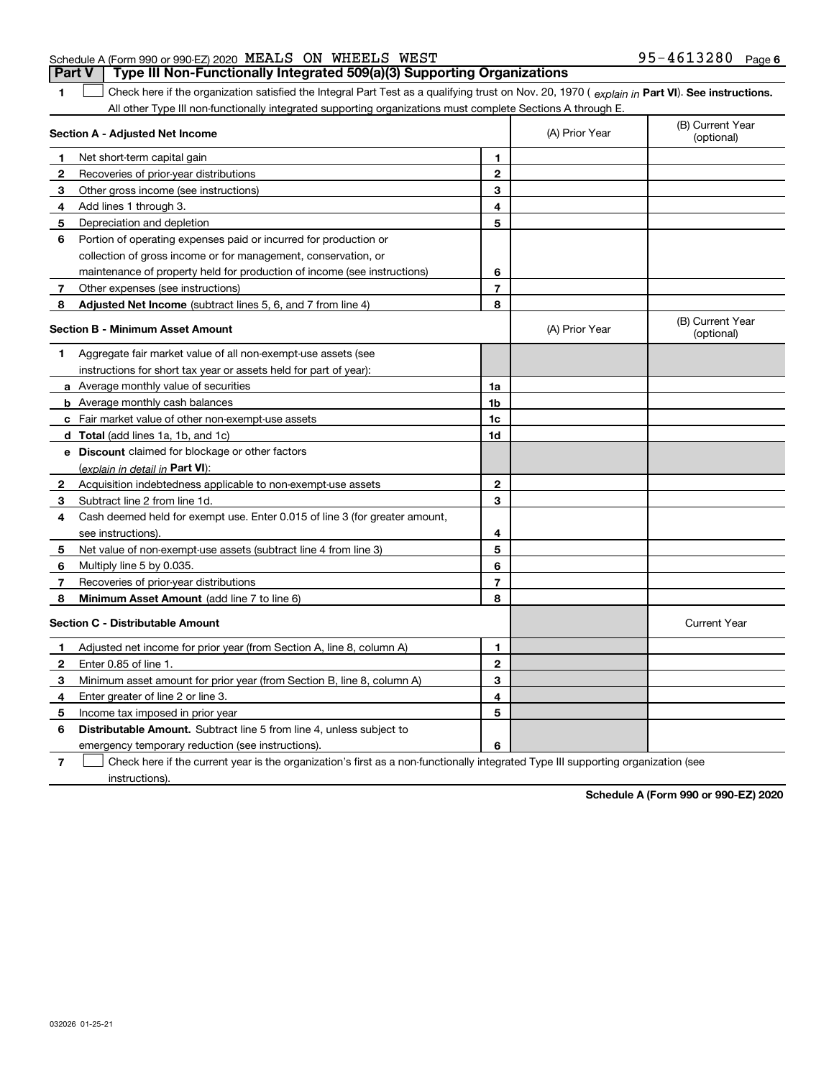emergency temporary reduction (see instructions).

**7**Check here if the current year is the organization's first as a non-functionally integrated Type III supporting organization (see instructions).

**Schedule A (Form 990 or 990-EZ) 2020**

|              | Section A - Adjusted Net Income                                             |                | (A) Prior Year | (B) Current Year<br>(optional) |
|--------------|-----------------------------------------------------------------------------|----------------|----------------|--------------------------------|
| $\mathbf 1$  | Net short-term capital gain                                                 | 1              |                |                                |
| $\mathbf{2}$ | Recoveries of prior-year distributions                                      | $\mathbf{2}$   |                |                                |
| 3            | Other gross income (see instructions)                                       | 3              |                |                                |
| 4            | Add lines 1 through 3.                                                      | 4              |                |                                |
| 5            | Depreciation and depletion                                                  | 5              |                |                                |
| 6            | Portion of operating expenses paid or incurred for production or            |                |                |                                |
|              | collection of gross income or for management, conservation, or              |                |                |                                |
|              | maintenance of property held for production of income (see instructions)    | 6              |                |                                |
| 7            | Other expenses (see instructions)                                           | $\overline{7}$ |                |                                |
| 8            | Adjusted Net Income (subtract lines 5, 6, and 7 from line 4)                | 8              |                |                                |
|              | <b>Section B - Minimum Asset Amount</b>                                     |                | (A) Prior Year | (B) Current Year<br>(optional) |
| 1            | Aggregate fair market value of all non-exempt-use assets (see               |                |                |                                |
|              | instructions for short tax year or assets held for part of year):           |                |                |                                |
|              | a Average monthly value of securities                                       | 1a             |                |                                |
|              | <b>b</b> Average monthly cash balances                                      | 1 <sub>b</sub> |                |                                |
|              | c Fair market value of other non-exempt-use assets                          | 1c             |                |                                |
|              | <b>d</b> Total (add lines 1a, 1b, and 1c)                                   | 1d             |                |                                |
|              | e Discount claimed for blockage or other factors                            |                |                |                                |
|              | (explain in detail in Part VI):                                             |                |                |                                |
| $\mathbf{2}$ | Acquisition indebtedness applicable to non-exempt-use assets                | $\mathbf{2}$   |                |                                |
| 3            | Subtract line 2 from line 1d.                                               | 3              |                |                                |
| 4            | Cash deemed held for exempt use. Enter 0.015 of line 3 (for greater amount, |                |                |                                |
|              | see instructions).                                                          | 4              |                |                                |
| 5            | Net value of non-exempt-use assets (subtract line 4 from line 3)            | 5              |                |                                |
| 6            | Multiply line 5 by 0.035.                                                   | 6              |                |                                |
| 7            | Recoveries of prior-year distributions                                      | $\overline{7}$ |                |                                |
| 8            | Minimum Asset Amount (add line 7 to line 6)                                 | 8              |                |                                |
|              | <b>Section C - Distributable Amount</b>                                     |                |                | <b>Current Year</b>            |
| $\mathbf{1}$ | Adjusted net income for prior year (from Section A, line 8, column A)       | 1              |                |                                |
| $\mathbf{2}$ | Enter 0.85 of line 1.                                                       | $\mathbf{2}$   |                |                                |
| 3            | Minimum asset amount for prior year (from Section B, line 8, column A)      | 3              |                |                                |
| 4            | Enter greater of line 2 or line 3.                                          | 4              |                |                                |
| 5            | Income tax imposed in prior year                                            | 5              |                |                                |
| 6            | <b>Distributable Amount.</b> Subtract line 5 from line 4, unless subject to |                |                |                                |
|              | emergency temporary reduction (see instructions).                           | 6              |                |                                |

#### Schedule A (Form 990 or 990-EZ) 2020 Page MEALS ON WHEELS WEST 95-4613280**Part V Type III Non-Functionally Integrated 509(a)(3) Supporting Organizations**

**1**1 Check here if the organization satisfied the Integral Part Test as a qualifying trust on Nov. 20, 1970 (explain in Part VI). See instructions.

All other Type III non-functionally integrated supporting organizations must complete Sections A through E.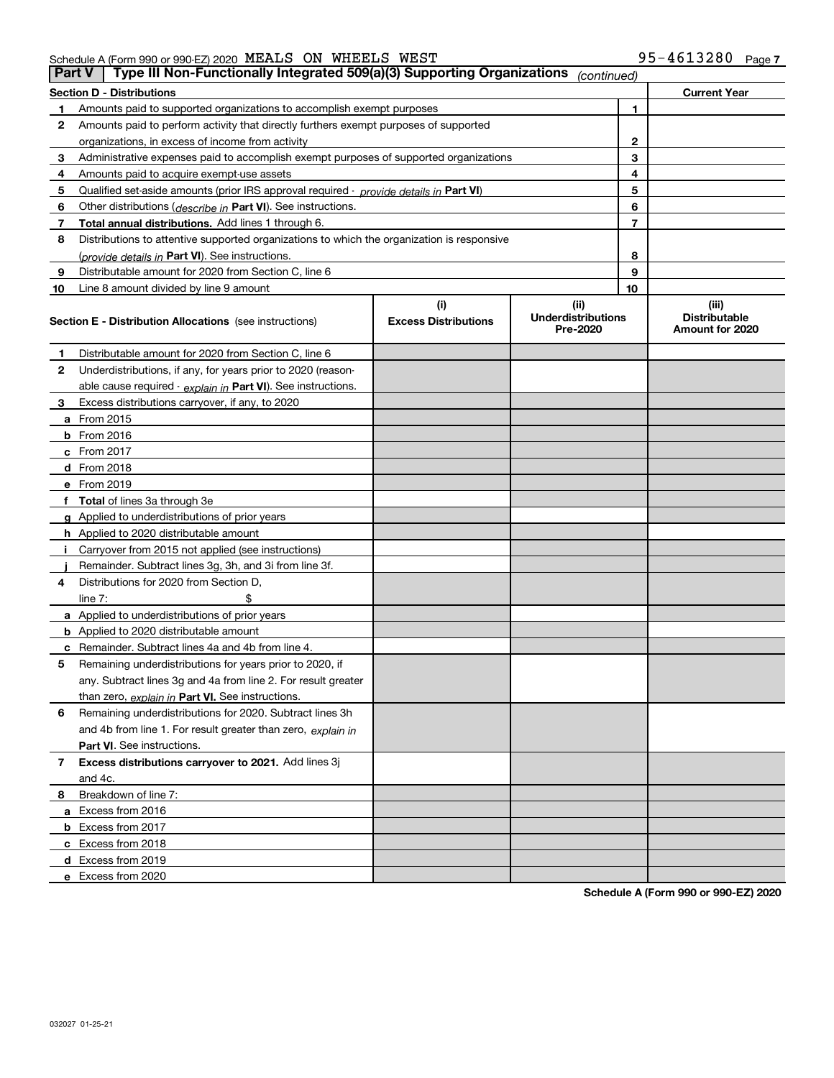| Schedule A (Form 990 or 990-EZ) 2020 $\,$ MEALS $\,$ ON $\,$ WHEELS $\,$ WEST |  |  | $95 - 4613280$ Page |  |
|-------------------------------------------------------------------------------|--|--|---------------------|--|
|                                                                               |  |  |                     |  |

| <b>Part V</b> | Type III Non-Functionally Integrated 509(a)(3) Supporting Organizations                    |                             | (continued)                           |                |                                         |
|---------------|--------------------------------------------------------------------------------------------|-----------------------------|---------------------------------------|----------------|-----------------------------------------|
|               | <b>Section D - Distributions</b>                                                           |                             |                                       |                | <b>Current Year</b>                     |
| 1             | Amounts paid to supported organizations to accomplish exempt purposes                      |                             |                                       | 1              |                                         |
| 2             | Amounts paid to perform activity that directly furthers exempt purposes of supported       |                             |                                       |                |                                         |
|               | organizations, in excess of income from activity                                           |                             |                                       | 2              |                                         |
| 3             | Administrative expenses paid to accomplish exempt purposes of supported organizations      |                             |                                       | 3              |                                         |
| 4             | Amounts paid to acquire exempt-use assets                                                  |                             |                                       | 4              |                                         |
| 5             | Qualified set-aside amounts (prior IRS approval required - provide details in Part VI)     |                             |                                       | 5              |                                         |
| 6             | Other distributions ( <i>describe in</i> Part VI). See instructions.                       |                             |                                       | 6              |                                         |
| 7             | Total annual distributions. Add lines 1 through 6.                                         |                             |                                       | $\overline{7}$ |                                         |
| 8             | Distributions to attentive supported organizations to which the organization is responsive |                             |                                       |                |                                         |
|               | (provide details in Part VI). See instructions.                                            |                             |                                       | 8              |                                         |
| 9             | Distributable amount for 2020 from Section C, line 6                                       |                             |                                       | 9              |                                         |
| 10            | Line 8 amount divided by line 9 amount                                                     |                             |                                       | 10             |                                         |
|               |                                                                                            | (i)                         | (ii)                                  |                | (iii)                                   |
|               | <b>Section E - Distribution Allocations</b> (see instructions)                             | <b>Excess Distributions</b> | <b>Underdistributions</b><br>Pre-2020 |                | <b>Distributable</b><br>Amount for 2020 |
| 1             | Distributable amount for 2020 from Section C, line 6                                       |                             |                                       |                |                                         |
| 2             | Underdistributions, if any, for years prior to 2020 (reason-                               |                             |                                       |                |                                         |
|               | able cause required - explain in Part VI). See instructions.                               |                             |                                       |                |                                         |
| 3             | Excess distributions carryover, if any, to 2020                                            |                             |                                       |                |                                         |
|               | <b>a</b> From 2015                                                                         |                             |                                       |                |                                         |
|               | <b>b</b> From 2016                                                                         |                             |                                       |                |                                         |
|               | c From 2017                                                                                |                             |                                       |                |                                         |
|               | <b>d</b> From 2018                                                                         |                             |                                       |                |                                         |
|               | e From 2019                                                                                |                             |                                       |                |                                         |
|               | f Total of lines 3a through 3e                                                             |                             |                                       |                |                                         |
|               | g Applied to underdistributions of prior years                                             |                             |                                       |                |                                         |
|               | <b>h</b> Applied to 2020 distributable amount                                              |                             |                                       |                |                                         |
|               | Carryover from 2015 not applied (see instructions)                                         |                             |                                       |                |                                         |
|               | Remainder. Subtract lines 3g, 3h, and 3i from line 3f.                                     |                             |                                       |                |                                         |
| 4             | Distributions for 2020 from Section D,                                                     |                             |                                       |                |                                         |
|               | line $7:$                                                                                  |                             |                                       |                |                                         |
|               | a Applied to underdistributions of prior years                                             |                             |                                       |                |                                         |
|               | <b>b</b> Applied to 2020 distributable amount                                              |                             |                                       |                |                                         |
|               | c Remainder. Subtract lines 4a and 4b from line 4.                                         |                             |                                       |                |                                         |
| 5             | Remaining underdistributions for years prior to 2020, if                                   |                             |                                       |                |                                         |
|               | any. Subtract lines 3g and 4a from line 2. For result greater                              |                             |                                       |                |                                         |
|               | than zero, explain in Part VI. See instructions.                                           |                             |                                       |                |                                         |
| 6             | Remaining underdistributions for 2020. Subtract lines 3h                                   |                             |                                       |                |                                         |
|               | and 4b from line 1. For result greater than zero, explain in                               |                             |                                       |                |                                         |
|               | Part VI. See instructions.                                                                 |                             |                                       |                |                                         |
| 7             | Excess distributions carryover to 2021. Add lines 3j                                       |                             |                                       |                |                                         |
|               | and 4c.                                                                                    |                             |                                       |                |                                         |
| 8             | Breakdown of line 7:                                                                       |                             |                                       |                |                                         |
|               | a Excess from 2016                                                                         |                             |                                       |                |                                         |
|               | <b>b</b> Excess from 2017                                                                  |                             |                                       |                |                                         |
|               | c Excess from 2018                                                                         |                             |                                       |                |                                         |
|               | d Excess from 2019                                                                         |                             |                                       |                |                                         |
|               | e Excess from 2020                                                                         |                             |                                       |                |                                         |
|               |                                                                                            |                             |                                       |                |                                         |

**Schedule A (Form 990 or 990-EZ) 2020**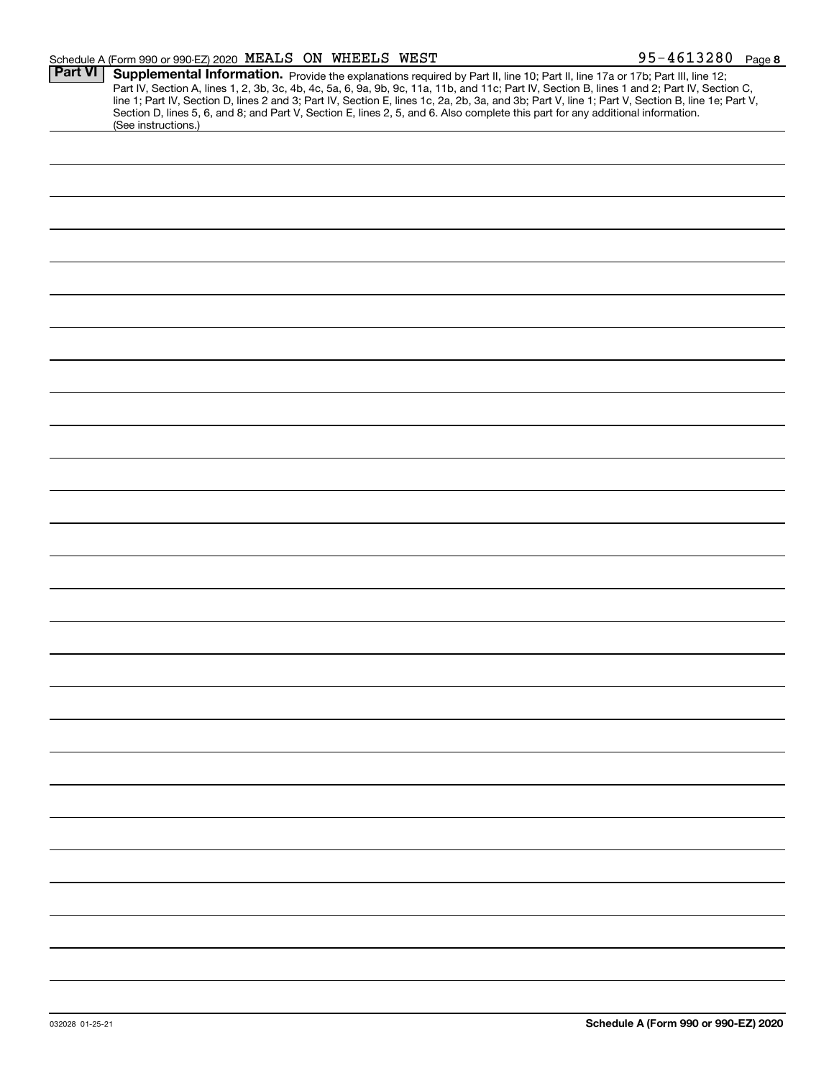| <b>Part VI</b> | Supplemental Information. Provide the explanations required by Part II, line 10; Part II, line 17a or 17b; Part III, line 12;                                                                                                                                                                    |
|----------------|--------------------------------------------------------------------------------------------------------------------------------------------------------------------------------------------------------------------------------------------------------------------------------------------------|
|                | Part IV, Section A, lines 1, 2, 3b, 3c, 4b, 4c, 5a, 6, 9a, 9b, 9c, 11a, 11b, and 11c; Part IV, Section B, lines 1 and 2; Part IV, Section C,<br>line 1; Part IV, Section D, lines 2 and 3; Part IV, Section E, lines 1c, 2a, 2b, 3a, and 3b; Part V, line 1; Part V, Section B, line 1e; Part V, |
|                | Section D, lines 5, 6, and 8; and Part V, Section E, lines 2, 5, and 6. Also complete this part for any additional information.<br>(See instructions.)                                                                                                                                           |
|                |                                                                                                                                                                                                                                                                                                  |
|                |                                                                                                                                                                                                                                                                                                  |
|                |                                                                                                                                                                                                                                                                                                  |
|                |                                                                                                                                                                                                                                                                                                  |
|                |                                                                                                                                                                                                                                                                                                  |
|                |                                                                                                                                                                                                                                                                                                  |
|                |                                                                                                                                                                                                                                                                                                  |
|                |                                                                                                                                                                                                                                                                                                  |
|                |                                                                                                                                                                                                                                                                                                  |
|                |                                                                                                                                                                                                                                                                                                  |
|                |                                                                                                                                                                                                                                                                                                  |
|                |                                                                                                                                                                                                                                                                                                  |
|                |                                                                                                                                                                                                                                                                                                  |
|                |                                                                                                                                                                                                                                                                                                  |
|                |                                                                                                                                                                                                                                                                                                  |
|                |                                                                                                                                                                                                                                                                                                  |
|                |                                                                                                                                                                                                                                                                                                  |
|                |                                                                                                                                                                                                                                                                                                  |
|                |                                                                                                                                                                                                                                                                                                  |
|                |                                                                                                                                                                                                                                                                                                  |
|                |                                                                                                                                                                                                                                                                                                  |
|                |                                                                                                                                                                                                                                                                                                  |
|                |                                                                                                                                                                                                                                                                                                  |
|                |                                                                                                                                                                                                                                                                                                  |
|                |                                                                                                                                                                                                                                                                                                  |
|                |                                                                                                                                                                                                                                                                                                  |
|                |                                                                                                                                                                                                                                                                                                  |
|                |                                                                                                                                                                                                                                                                                                  |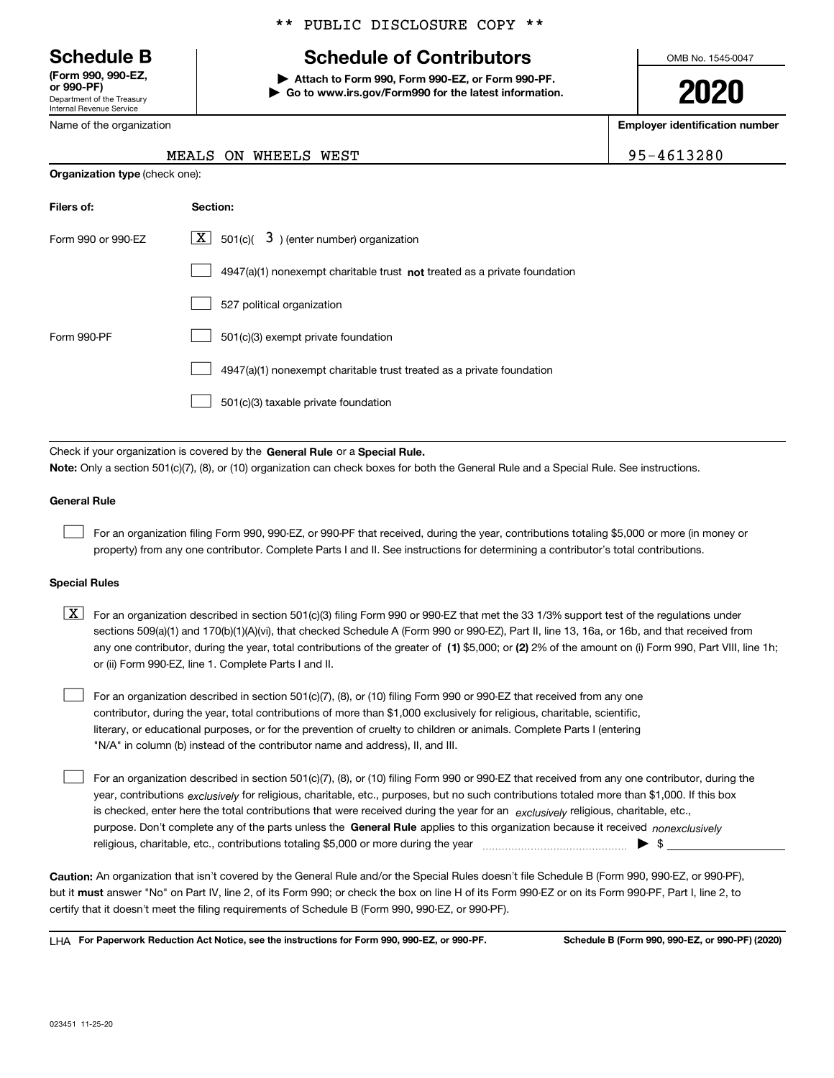Department of the Treasury Internal Revenue Service **(Form 990, 990-EZ, or 990-PF)**

Name of the organization

#### \*\* PUBLIC DISCLOSURE COPY \*\*

# **Schedule B Schedule of Contributors**

**| Attach to Form 990, Form 990-EZ, or Form 990-PF. | Go to www.irs.gov/Form990 for the latest information.** OMB No. 1545-0047

**2020**

**Employer identification number**

95-4613280

|                                       |  | MEALS ON WHEELS WEST |  |
|---------------------------------------|--|----------------------|--|
| <b>Organization type (check one):</b> |  |                      |  |

| Filers of:         | Section:                                                                           |
|--------------------|------------------------------------------------------------------------------------|
| Form 990 or 990-FZ | $\underline{X}$ 501(c)( 3) (enter number) organization                             |
|                    | $4947(a)(1)$ nonexempt charitable trust <b>not</b> treated as a private foundation |
|                    | 527 political organization                                                         |
| Form 990-PF        | 501(c)(3) exempt private foundation                                                |
|                    | 4947(a)(1) nonexempt charitable trust treated as a private foundation              |
|                    | 501(c)(3) taxable private foundation                                               |

Check if your organization is covered by the **General Rule** or a **Special Rule. Note:**  Only a section 501(c)(7), (8), or (10) organization can check boxes for both the General Rule and a Special Rule. See instructions.

#### **General Rule**

 $\mathcal{L}^{\text{max}}$ 

For an organization filing Form 990, 990-EZ, or 990-PF that received, during the year, contributions totaling \$5,000 or more (in money or property) from any one contributor. Complete Parts I and II. See instructions for determining a contributor's total contributions.

#### **Special Rules**

any one contributor, during the year, total contributions of the greater of  $\,$  (1) \$5,000; or **(2)** 2% of the amount on (i) Form 990, Part VIII, line 1h;  $\boxed{\textbf{X}}$  For an organization described in section 501(c)(3) filing Form 990 or 990-EZ that met the 33 1/3% support test of the regulations under sections 509(a)(1) and 170(b)(1)(A)(vi), that checked Schedule A (Form 990 or 990-EZ), Part II, line 13, 16a, or 16b, and that received from or (ii) Form 990-EZ, line 1. Complete Parts I and II.

For an organization described in section 501(c)(7), (8), or (10) filing Form 990 or 990-EZ that received from any one contributor, during the year, total contributions of more than \$1,000 exclusively for religious, charitable, scientific, literary, or educational purposes, or for the prevention of cruelty to children or animals. Complete Parts I (entering "N/A" in column (b) instead of the contributor name and address), II, and III.  $\mathcal{L}^{\text{max}}$ 

purpose. Don't complete any of the parts unless the **General Rule** applies to this organization because it received *nonexclusively* year, contributions <sub>exclusively</sub> for religious, charitable, etc., purposes, but no such contributions totaled more than \$1,000. If this box is checked, enter here the total contributions that were received during the year for an  $\;$ exclusively religious, charitable, etc., For an organization described in section 501(c)(7), (8), or (10) filing Form 990 or 990-EZ that received from any one contributor, during the religious, charitable, etc., contributions totaling \$5,000 or more during the year  $\Box$ — $\Box$   $\Box$  $\mathcal{L}^{\text{max}}$ 

**Caution:**  An organization that isn't covered by the General Rule and/or the Special Rules doesn't file Schedule B (Form 990, 990-EZ, or 990-PF),  **must** but it answer "No" on Part IV, line 2, of its Form 990; or check the box on line H of its Form 990-EZ or on its Form 990-PF, Part I, line 2, to certify that it doesn't meet the filing requirements of Schedule B (Form 990, 990-EZ, or 990-PF).

**For Paperwork Reduction Act Notice, see the instructions for Form 990, 990-EZ, or 990-PF. Schedule B (Form 990, 990-EZ, or 990-PF) (2020)** LHA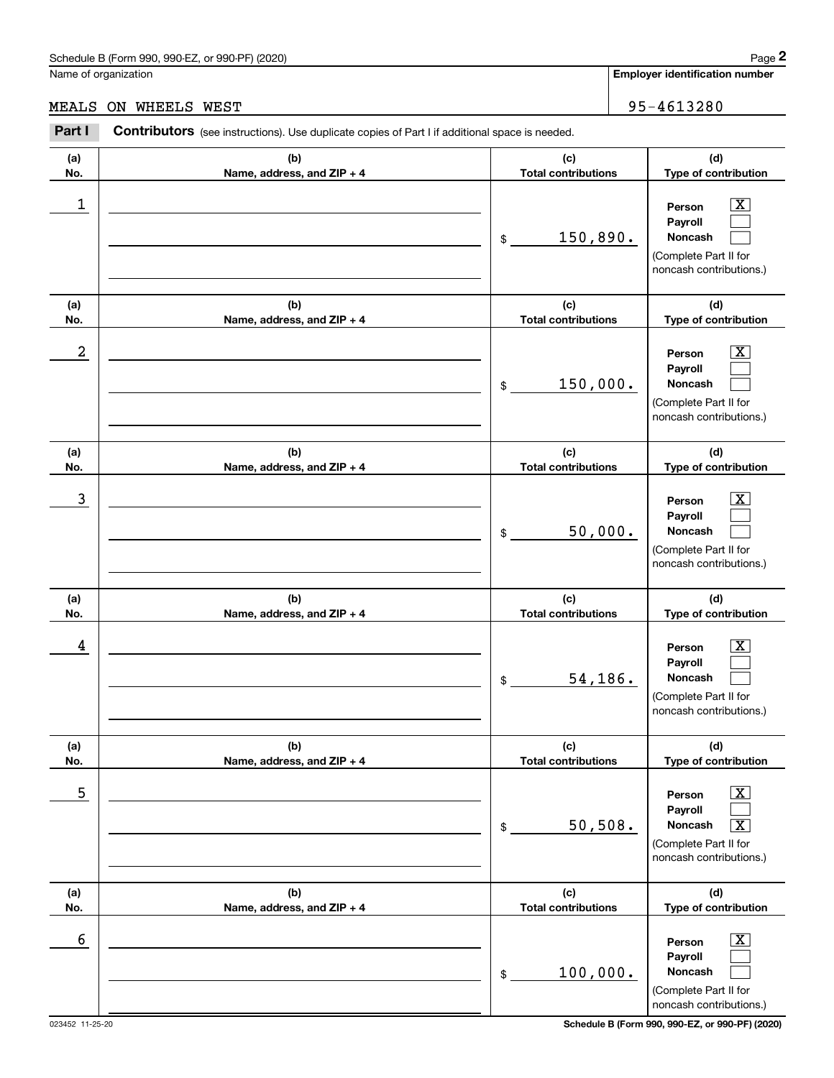# MEALS ON WHEELS WEST 95-4613280

|                      | Schedule B (Form 990, 990-EZ, or 990-PF) (2020)                                                       |                                   | Page 2                                                                                                                               |
|----------------------|-------------------------------------------------------------------------------------------------------|-----------------------------------|--------------------------------------------------------------------------------------------------------------------------------------|
| Name of organization |                                                                                                       |                                   | <b>Employer identification number</b>                                                                                                |
| MEALS                | ON WHEELS WEST                                                                                        |                                   | 95-4613280                                                                                                                           |
| Part I               | <b>Contributors</b> (see instructions). Use duplicate copies of Part I if additional space is needed. |                                   |                                                                                                                                      |
| (a)<br>No.           | (b)<br>Name, address, and ZIP + 4                                                                     | (c)<br><b>Total contributions</b> | (d)<br>Type of contribution                                                                                                          |
| 1                    |                                                                                                       | 150,890.<br>\$                    | $\overline{\mathbf{X}}$<br>Person<br>Payroll<br>Noncash<br>(Complete Part II for<br>noncash contributions.)                          |
| (a)<br>No.           | (b)<br>Name, address, and ZIP + 4                                                                     | (c)<br><b>Total contributions</b> | (d)<br>Type of contribution                                                                                                          |
| 2                    |                                                                                                       | 150,000.<br>\$                    | $\overline{\mathbf{X}}$<br>Person<br>Payroll<br>Noncash<br>(Complete Part II for<br>noncash contributions.)                          |
| (a)<br>No.           | (b)<br>Name, address, and ZIP + 4                                                                     | (c)<br><b>Total contributions</b> | (d)<br>Type of contribution                                                                                                          |
| 3                    |                                                                                                       | 50,000.<br>\$                     | $\overline{\mathbf{X}}$<br>Person<br>Payroll<br>Noncash<br>(Complete Part II for<br>noncash contributions.)                          |
| (a)<br>No.           | (b)<br>Name, address, and ZIP + 4                                                                     | (c)<br><b>Total contributions</b> | (d)<br>Type of contribution                                                                                                          |
| 4                    |                                                                                                       | 54,186.<br>\$                     | $\mathbf{X}$<br>Person<br>Payroll<br>Noncash<br>(Complete Part II for<br>noncash contributions.)                                     |
| (a)<br>No.           | (b)<br>Name, address, and ZIP + 4                                                                     | (c)<br><b>Total contributions</b> | (d)<br>Type of contribution                                                                                                          |
| 5                    |                                                                                                       | 50, 508.<br>\$                    | $\overline{\mathbf{X}}$<br>Person<br>Payroll<br>Noncash<br>$\overline{\text{X}}$<br>(Complete Part II for<br>noncash contributions.) |
| (a)<br>No.           | (b)<br>Name, address, and ZIP + 4                                                                     | (c)<br><b>Total contributions</b> | (d)<br>Type of contribution                                                                                                          |
| 6                    |                                                                                                       | 100,000.<br>\$                    | $\boxed{\text{X}}$<br>Person<br>Payroll<br>Noncash<br>(Complete Part II for<br>noncash contributions.)                               |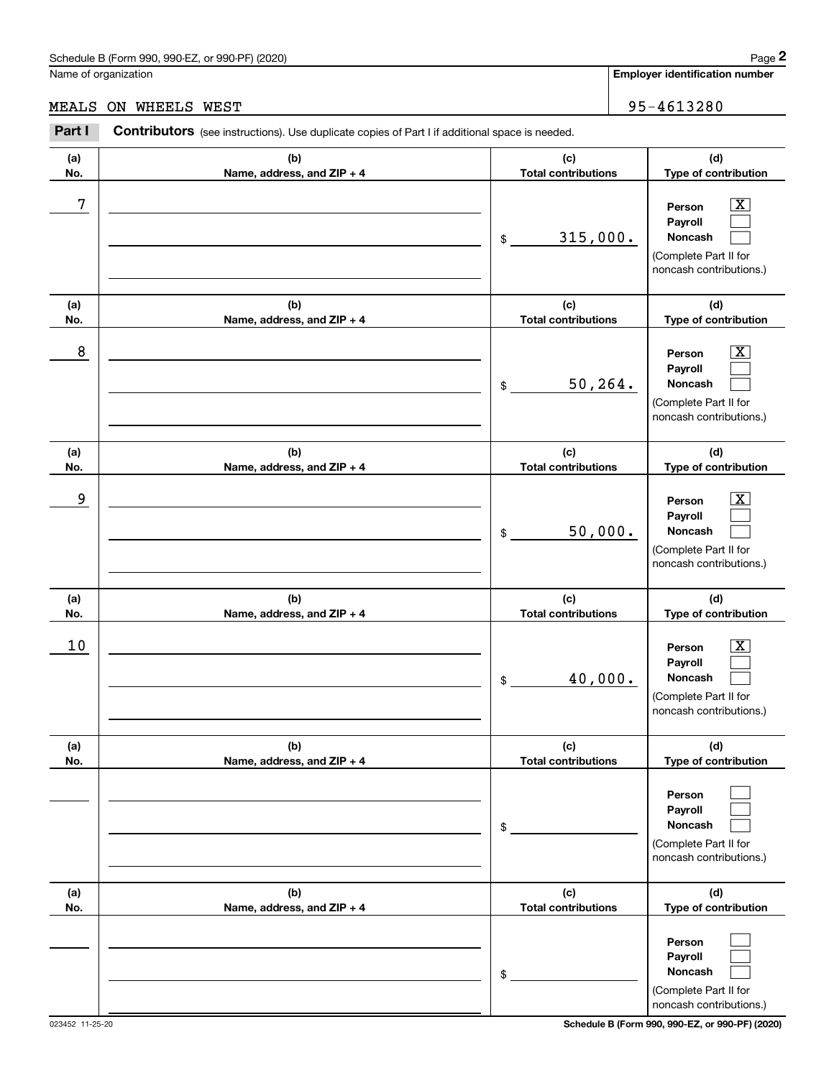## MEALS ON WHEELS WEST 95-4613280

|            | Schedule B (Form 990, 990-EZ, or 990-PF) (2020)                                                       |                                   | Page 2                                                                                                      |
|------------|-------------------------------------------------------------------------------------------------------|-----------------------------------|-------------------------------------------------------------------------------------------------------------|
|            | Name of organization                                                                                  |                                   | <b>Employer identification number</b>                                                                       |
| MEALS      | ON WHEELS WEST                                                                                        |                                   | 95-4613280                                                                                                  |
| Part I     | <b>Contributors</b> (see instructions). Use duplicate copies of Part I if additional space is needed. |                                   |                                                                                                             |
| (a)<br>No. | (b)<br>Name, address, and ZIP + 4                                                                     | (c)<br><b>Total contributions</b> | (d)<br>Type of contribution                                                                                 |
| 7          |                                                                                                       | 315,000.<br>\$                    | $\overline{\mathbf{X}}$<br>Person<br>Payroll<br>Noncash<br>(Complete Part II for<br>noncash contributions.) |
| (a)<br>No. | (b)<br>Name, address, and ZIP + 4                                                                     | (c)<br><b>Total contributions</b> | (d)<br>Type of contribution                                                                                 |
| 8          |                                                                                                       | 50, 264.<br>\$                    | $\overline{\mathbf{X}}$<br>Person<br>Payroll<br>Noncash<br>(Complete Part II for<br>noncash contributions.) |
| (a)<br>No. | (b)<br>Name, address, and ZIP + 4                                                                     | (c)<br><b>Total contributions</b> | (d)<br>Type of contribution                                                                                 |
| 9          |                                                                                                       | 50,000.<br>\$                     | $\overline{\mathbf{X}}$<br>Person<br>Payroll<br>Noncash<br>(Complete Part II for<br>noncash contributions.) |
| (a)<br>No. | (b)<br>Name, address, and ZIP + 4                                                                     | (c)<br><b>Total contributions</b> | (d)<br>Type of contribution                                                                                 |
| 10         |                                                                                                       | 40,000.<br>\$                     | $\mathbf{X}$<br>Person<br>Payroll<br>Noncash<br>(Complete Part II for<br>noncash contributions.)            |
| (a)<br>No. | (b)<br>Name, address, and ZIP + 4                                                                     | (c)<br><b>Total contributions</b> | (d)<br>Type of contribution                                                                                 |
|            |                                                                                                       | \$                                | Person<br>Payroll<br>Noncash<br>(Complete Part II for<br>noncash contributions.)                            |
| (a)<br>No. | (b)<br>Name, address, and ZIP + 4                                                                     | (c)<br><b>Total contributions</b> | (d)<br>Type of contribution                                                                                 |
|            |                                                                                                       | \$                                | Person<br>Payroll<br>Noncash<br>(Complete Part II for<br>noncash contributions.)                            |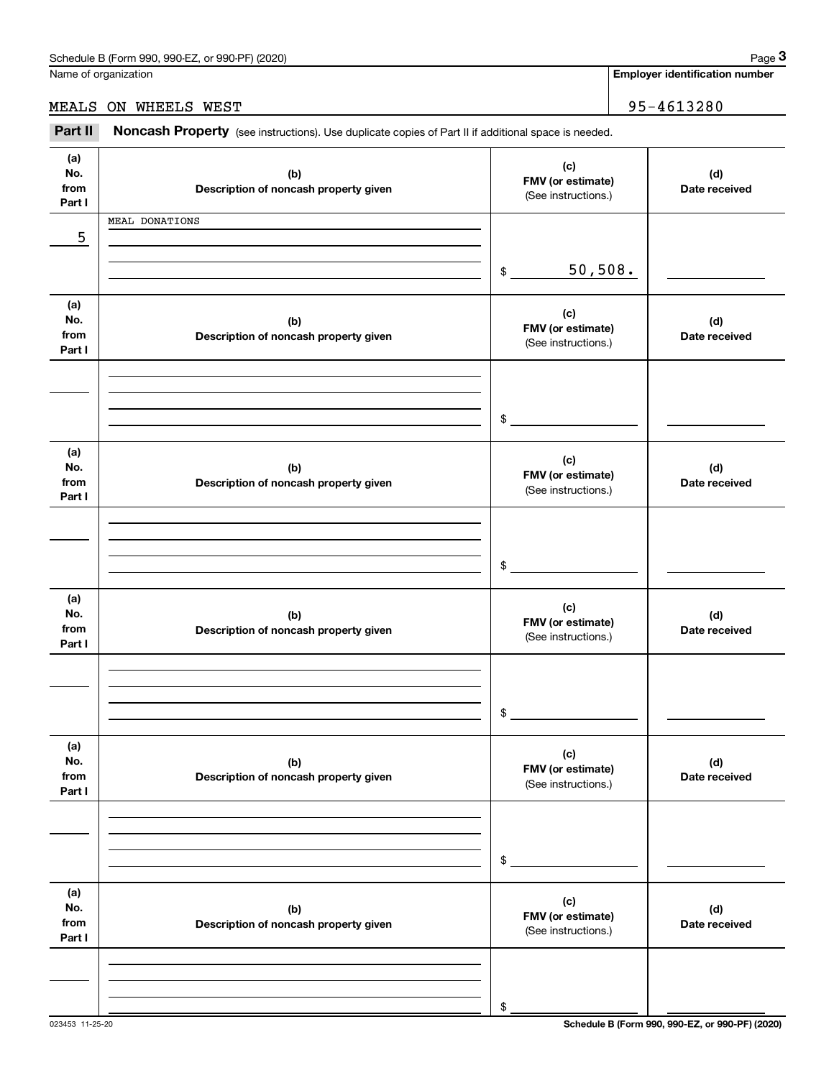**Employer identification number**

### MEALS ON WHEELS WEST 95-4613280

Chedule B (Form 990, 990-EZ, or 990-PF) (2020)<br>Iame of organization<br>**IEALS ON WHEELS WEST**<br>**Part II Noncash Property** (see instructions). Use duplicate copies of Part II if additional space is needed.

| (a)<br>No.<br>from<br>Part I | (b)<br>Description of noncash property given | (c)<br>FMV (or estimate)<br>(See instructions.) | (d)<br>Date received |
|------------------------------|----------------------------------------------|-------------------------------------------------|----------------------|
| 5                            | MEAL DONATIONS                               |                                                 |                      |
|                              |                                              | 50,508.<br>$\frac{1}{2}$                        |                      |
| (a)<br>No.<br>from<br>Part I | (b)<br>Description of noncash property given | (c)<br>FMV (or estimate)<br>(See instructions.) | (d)<br>Date received |
|                              |                                              | $\frac{1}{2}$                                   |                      |
| (a)<br>No.<br>from<br>Part I | (b)<br>Description of noncash property given | (c)<br>FMV (or estimate)<br>(See instructions.) | (d)<br>Date received |
|                              |                                              | $$^{\circ}$                                     |                      |
| (a)<br>No.<br>from<br>Part I | (b)<br>Description of noncash property given | (c)<br>FMV (or estimate)<br>(See instructions.) | (d)<br>Date received |
|                              |                                              | $$\mathbb{S}$$                                  |                      |
| (a)<br>No.<br>from<br>Part I | (b)<br>Description of noncash property given | (c)<br>FMV (or estimate)<br>(See instructions.) | (d)<br>Date received |
|                              |                                              | \$                                              |                      |
| (a)<br>No.<br>from<br>Part I | (b)<br>Description of noncash property given | (c)<br>FMV (or estimate)<br>(See instructions.) | (d)<br>Date received |
|                              |                                              | \$                                              |                      |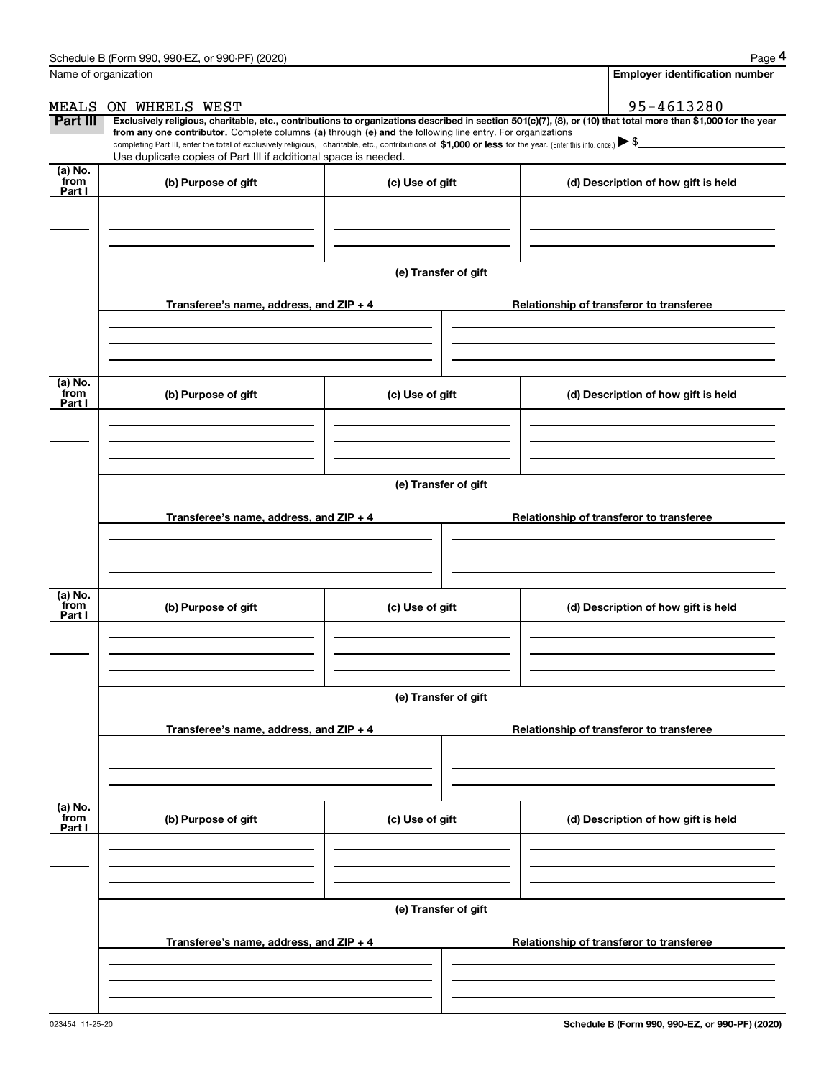|                           | Schedule B (Form 990, 990-EZ, or 990-PF) (2020)                                                                                                                                                                                                                                                 |                      | Page 4                                                                                                                                                         |  |  |  |  |  |
|---------------------------|-------------------------------------------------------------------------------------------------------------------------------------------------------------------------------------------------------------------------------------------------------------------------------------------------|----------------------|----------------------------------------------------------------------------------------------------------------------------------------------------------------|--|--|--|--|--|
| Name of organization      |                                                                                                                                                                                                                                                                                                 |                      | <b>Employer identification number</b>                                                                                                                          |  |  |  |  |  |
| MEALS                     | ON WHEELS WEST                                                                                                                                                                                                                                                                                  |                      | 95-4613280                                                                                                                                                     |  |  |  |  |  |
| Part III                  | from any one contributor. Complete columns (a) through (e) and the following line entry. For organizations<br>completing Part III, enter the total of exclusively religious, charitable, etc., contributions of \$1,000 or less for the year. (Enter this info. once.) $\blacktriangleright$ \$ |                      | Exclusively religious, charitable, etc., contributions to organizations described in section 501(c)(7), (8), or (10) that total more than \$1,000 for the year |  |  |  |  |  |
|                           | Use duplicate copies of Part III if additional space is needed.                                                                                                                                                                                                                                 |                      |                                                                                                                                                                |  |  |  |  |  |
| (a) No.<br>from<br>Part I | (b) Purpose of gift                                                                                                                                                                                                                                                                             | (c) Use of gift      | (d) Description of how gift is held                                                                                                                            |  |  |  |  |  |
|                           |                                                                                                                                                                                                                                                                                                 |                      |                                                                                                                                                                |  |  |  |  |  |
|                           |                                                                                                                                                                                                                                                                                                 | (e) Transfer of gift |                                                                                                                                                                |  |  |  |  |  |
|                           | Transferee's name, address, and ZIP + 4                                                                                                                                                                                                                                                         |                      | Relationship of transferor to transferee                                                                                                                       |  |  |  |  |  |
|                           |                                                                                                                                                                                                                                                                                                 |                      |                                                                                                                                                                |  |  |  |  |  |
| (a) No.<br>from           | (b) Purpose of gift                                                                                                                                                                                                                                                                             | (c) Use of gift      | (d) Description of how gift is held                                                                                                                            |  |  |  |  |  |
| Part I                    |                                                                                                                                                                                                                                                                                                 |                      |                                                                                                                                                                |  |  |  |  |  |
|                           |                                                                                                                                                                                                                                                                                                 |                      |                                                                                                                                                                |  |  |  |  |  |
|                           | (e) Transfer of gift                                                                                                                                                                                                                                                                            |                      |                                                                                                                                                                |  |  |  |  |  |
|                           | Transferee's name, address, and ZIP + 4                                                                                                                                                                                                                                                         |                      | Relationship of transferor to transferee                                                                                                                       |  |  |  |  |  |
|                           |                                                                                                                                                                                                                                                                                                 |                      |                                                                                                                                                                |  |  |  |  |  |
| (a) No.<br>from<br>Part I | (b) Purpose of gift                                                                                                                                                                                                                                                                             | (c) Use of gift      | (d) Description of how gift is held                                                                                                                            |  |  |  |  |  |
|                           |                                                                                                                                                                                                                                                                                                 |                      |                                                                                                                                                                |  |  |  |  |  |
|                           | (e) Transfer of gift                                                                                                                                                                                                                                                                            |                      |                                                                                                                                                                |  |  |  |  |  |
|                           | Transferee's name, address, and ZIP + 4                                                                                                                                                                                                                                                         |                      | Relationship of transferor to transferee                                                                                                                       |  |  |  |  |  |
|                           |                                                                                                                                                                                                                                                                                                 |                      |                                                                                                                                                                |  |  |  |  |  |
| (a) No.<br>from<br>Part I | (b) Purpose of gift                                                                                                                                                                                                                                                                             | (c) Use of gift      | (d) Description of how gift is held                                                                                                                            |  |  |  |  |  |
|                           |                                                                                                                                                                                                                                                                                                 |                      |                                                                                                                                                                |  |  |  |  |  |
|                           |                                                                                                                                                                                                                                                                                                 | (e) Transfer of gift |                                                                                                                                                                |  |  |  |  |  |
|                           | Transferee's name, address, and $ZIP + 4$                                                                                                                                                                                                                                                       |                      | Relationship of transferor to transferee                                                                                                                       |  |  |  |  |  |
|                           |                                                                                                                                                                                                                                                                                                 |                      |                                                                                                                                                                |  |  |  |  |  |
|                           |                                                                                                                                                                                                                                                                                                 |                      |                                                                                                                                                                |  |  |  |  |  |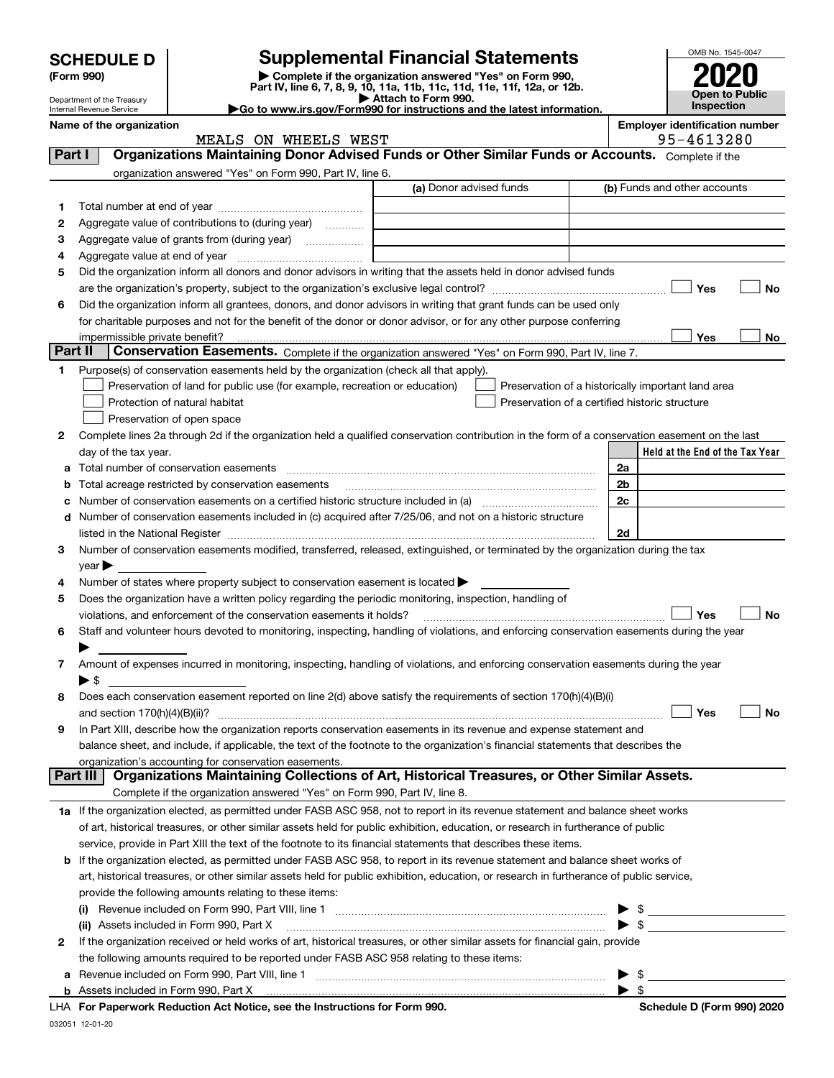|   | <b>SCHEDULE D</b><br>(Form 990)<br>Department of the Treasury |                                                                                                        | <b>Supplemental Financial Statements</b><br>Complete if the organization answered "Yes" on Form 990,<br>Part IV, line 6, 7, 8, 9, 10, 11a, 11b, 11c, 11d, 11e, 11f, 12a, or 12b.<br>Attach to Form 990.                                                                                                                                    |                | OMB No. 1545-0047<br>Open to Public<br><b>Inspection</b> |
|---|---------------------------------------------------------------|--------------------------------------------------------------------------------------------------------|--------------------------------------------------------------------------------------------------------------------------------------------------------------------------------------------------------------------------------------------------------------------------------------------------------------------------------------------|----------------|----------------------------------------------------------|
|   | Internal Revenue Service                                      |                                                                                                        | Go to www.irs.gov/Form990 for instructions and the latest information.                                                                                                                                                                                                                                                                     |                |                                                          |
|   | Name of the organization                                      | MEALS ON WHEELS WEST                                                                                   |                                                                                                                                                                                                                                                                                                                                            |                | <b>Employer identification number</b><br>95-4613280      |
|   | Part I                                                        |                                                                                                        | Organizations Maintaining Donor Advised Funds or Other Similar Funds or Accounts. Complete if the                                                                                                                                                                                                                                          |                |                                                          |
|   |                                                               | organization answered "Yes" on Form 990, Part IV, line 6.                                              |                                                                                                                                                                                                                                                                                                                                            |                |                                                          |
|   |                                                               |                                                                                                        | (a) Donor advised funds                                                                                                                                                                                                                                                                                                                    |                | (b) Funds and other accounts                             |
| 1 |                                                               |                                                                                                        |                                                                                                                                                                                                                                                                                                                                            |                |                                                          |
| 2 |                                                               | Aggregate value of contributions to (during year)                                                      |                                                                                                                                                                                                                                                                                                                                            |                |                                                          |
| з |                                                               |                                                                                                        |                                                                                                                                                                                                                                                                                                                                            |                |                                                          |
| 4 |                                                               |                                                                                                        |                                                                                                                                                                                                                                                                                                                                            |                |                                                          |
| 5 |                                                               |                                                                                                        | Did the organization inform all donors and donor advisors in writing that the assets held in donor advised funds                                                                                                                                                                                                                           |                |                                                          |
|   |                                                               |                                                                                                        |                                                                                                                                                                                                                                                                                                                                            |                | Yes<br>No                                                |
| 6 |                                                               |                                                                                                        | Did the organization inform all grantees, donors, and donor advisors in writing that grant funds can be used only                                                                                                                                                                                                                          |                |                                                          |
|   |                                                               |                                                                                                        | for charitable purposes and not for the benefit of the donor or donor advisor, or for any other purpose conferring                                                                                                                                                                                                                         |                |                                                          |
|   |                                                               |                                                                                                        |                                                                                                                                                                                                                                                                                                                                            |                | Yes<br>No                                                |
|   | Part II                                                       |                                                                                                        | Conservation Easements. Complete if the organization answered "Yes" on Form 990, Part IV, line 7.                                                                                                                                                                                                                                          |                |                                                          |
| 1 |                                                               | Purpose(s) of conservation easements held by the organization (check all that apply).                  |                                                                                                                                                                                                                                                                                                                                            |                |                                                          |
|   |                                                               | Preservation of land for public use (for example, recreation or education)                             | Preservation of a historically important land area                                                                                                                                                                                                                                                                                         |                |                                                          |
|   |                                                               | Protection of natural habitat                                                                          | Preservation of a certified historic structure                                                                                                                                                                                                                                                                                             |                |                                                          |
|   |                                                               | Preservation of open space                                                                             |                                                                                                                                                                                                                                                                                                                                            |                |                                                          |
| 2 |                                                               |                                                                                                        | Complete lines 2a through 2d if the organization held a qualified conservation contribution in the form of a conservation easement on the last                                                                                                                                                                                             |                |                                                          |
|   | day of the tax year.                                          |                                                                                                        |                                                                                                                                                                                                                                                                                                                                            |                | Held at the End of the Tax Year                          |
| a |                                                               |                                                                                                        |                                                                                                                                                                                                                                                                                                                                            | 2a             |                                                          |
| b |                                                               | Total acreage restricted by conservation easements                                                     |                                                                                                                                                                                                                                                                                                                                            | 2 <sub>b</sub> |                                                          |
| c |                                                               |                                                                                                        |                                                                                                                                                                                                                                                                                                                                            | 2 <sub>c</sub> |                                                          |
| d |                                                               |                                                                                                        | Number of conservation easements included in (c) acquired after 7/25/06, and not on a historic structure<br>listed in the National Register [111] [12] and the National Register [11] [12] and the National Register [11] [12] and the National Register [11] [12] and the National Register [11] [12] and the Main Register [12] [12] and | 2d             |                                                          |
| 3 |                                                               |                                                                                                        | Number of conservation easements modified, transferred, released, extinguished, or terminated by the organization during the tax                                                                                                                                                                                                           |                |                                                          |
|   | $year \blacktriangleright$                                    |                                                                                                        |                                                                                                                                                                                                                                                                                                                                            |                |                                                          |
| 4 |                                                               | Number of states where property subject to conservation easement is located >                          |                                                                                                                                                                                                                                                                                                                                            |                |                                                          |
| 5 |                                                               | Does the organization have a written policy regarding the periodic monitoring, inspection, handling of |                                                                                                                                                                                                                                                                                                                                            |                |                                                          |
|   |                                                               | violations, and enforcement of the conservation easements it holds?                                    |                                                                                                                                                                                                                                                                                                                                            |                | No<br>Yes                                                |
| 6 |                                                               |                                                                                                        | Staff and volunteer hours devoted to monitoring, inspecting, handling of violations, and enforcing conservation easements during the year                                                                                                                                                                                                  |                |                                                          |
|   |                                                               |                                                                                                        |                                                                                                                                                                                                                                                                                                                                            |                |                                                          |
| 7 |                                                               |                                                                                                        | Amount of expenses incurred in monitoring, inspecting, handling of violations, and enforcing conservation easements during the year                                                                                                                                                                                                        |                |                                                          |
|   | $\blacktriangleright$ \$                                      |                                                                                                        |                                                                                                                                                                                                                                                                                                                                            |                |                                                          |
| 8 |                                                               |                                                                                                        | Does each conservation easement reported on line 2(d) above satisfy the requirements of section 170(h)(4)(B)(i)                                                                                                                                                                                                                            |                |                                                          |
|   |                                                               |                                                                                                        |                                                                                                                                                                                                                                                                                                                                            |                | Yes<br>No                                                |
| 9 |                                                               |                                                                                                        | In Part XIII, describe how the organization reports conservation easements in its revenue and expense statement and                                                                                                                                                                                                                        |                |                                                          |
|   |                                                               |                                                                                                        | balance sheet, and include, if applicable, the text of the footnote to the organization's financial statements that describes the                                                                                                                                                                                                          |                |                                                          |
|   |                                                               | organization's accounting for conservation easements.                                                  |                                                                                                                                                                                                                                                                                                                                            |                |                                                          |
|   | Part III                                                      |                                                                                                        | Organizations Maintaining Collections of Art, Historical Treasures, or Other Similar Assets.                                                                                                                                                                                                                                               |                |                                                          |
|   |                                                               | Complete if the organization answered "Yes" on Form 990, Part IV, line 8.                              |                                                                                                                                                                                                                                                                                                                                            |                |                                                          |
|   |                                                               |                                                                                                        | 1a If the organization elected, as permitted under FASB ASC 958, not to report in its revenue statement and balance sheet works                                                                                                                                                                                                            |                |                                                          |
|   |                                                               |                                                                                                        | of art, historical treasures, or other similar assets held for public exhibition, education, or research in furtherance of public                                                                                                                                                                                                          |                |                                                          |
|   |                                                               |                                                                                                        | service, provide in Part XIII the text of the footnote to its financial statements that describes these items.                                                                                                                                                                                                                             |                |                                                          |
|   |                                                               |                                                                                                        | <b>b</b> If the organization elected, as permitted under FASB ASC 958, to report in its revenue statement and balance sheet works of                                                                                                                                                                                                       |                |                                                          |
|   |                                                               |                                                                                                        | art, historical treasures, or other similar assets held for public exhibition, education, or research in furtherance of public service,                                                                                                                                                                                                    |                |                                                          |
|   |                                                               | provide the following amounts relating to these items:                                                 |                                                                                                                                                                                                                                                                                                                                            |                |                                                          |
|   |                                                               |                                                                                                        |                                                                                                                                                                                                                                                                                                                                            | - \$           |                                                          |
|   |                                                               | (ii) Assets included in Form 990, Part X                                                               |                                                                                                                                                                                                                                                                                                                                            | \$             |                                                          |
| 2 |                                                               | the following amounts required to be reported under FASB ASC 958 relating to these items:              | If the organization received or held works of art, historical treasures, or other similar assets for financial gain, provide                                                                                                                                                                                                               |                |                                                          |
|   |                                                               |                                                                                                        |                                                                                                                                                                                                                                                                                                                                            | ▶ \$           |                                                          |

| <b>a</b> Revenue included on Form 990, Part VIII, line 1 |  |
|----------------------------------------------------------|--|
| <b>b</b> Assets included in Form 990, Part X             |  |

**For Paperwork Reduction Act Notice, see the Instructions for Form 990. Schedule D (Form 990) 2020** LHA

 $\blacktriangleright$  \$

032051 12-01-20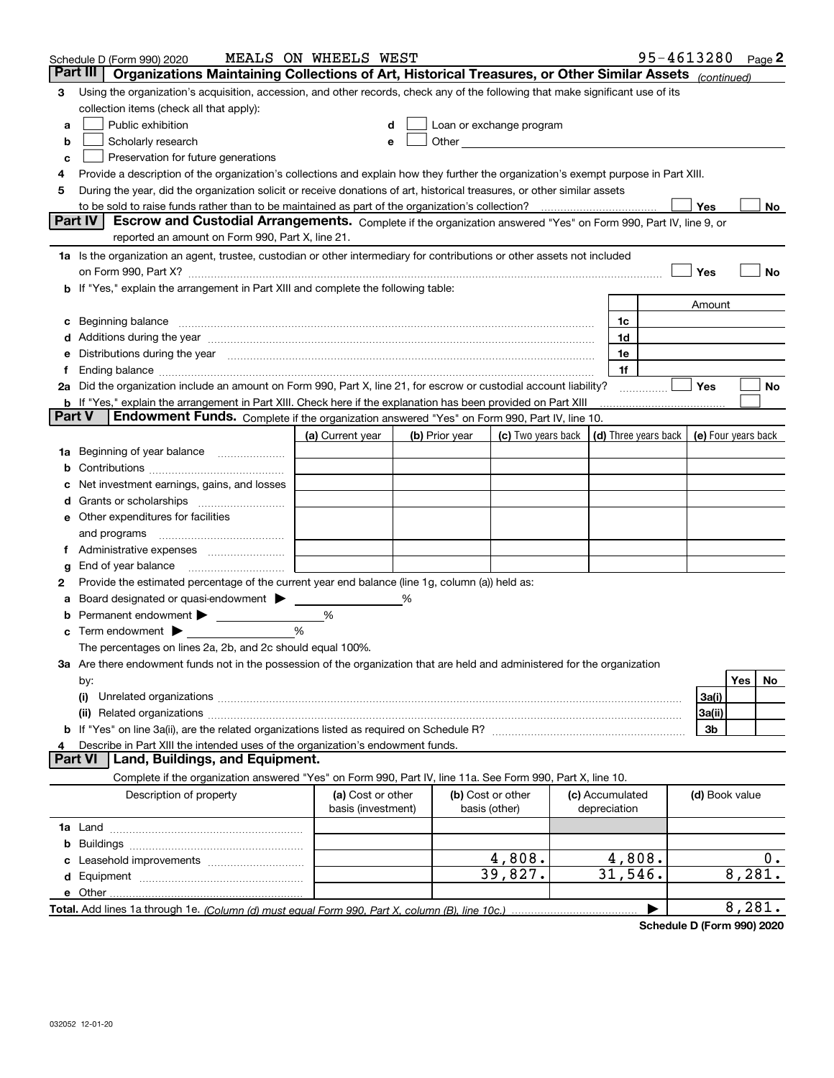|               | Schedule D (Form 990) 2020                                                                                                                                                                                                    | MEALS ON WHEELS WEST                    |   |                |                                                                                                                                                                                                                                |                                 | 95-4613280 Page 2 |                |        |    |
|---------------|-------------------------------------------------------------------------------------------------------------------------------------------------------------------------------------------------------------------------------|-----------------------------------------|---|----------------|--------------------------------------------------------------------------------------------------------------------------------------------------------------------------------------------------------------------------------|---------------------------------|-------------------|----------------|--------|----|
| Part III      | Organizations Maintaining Collections of Art, Historical Treasures, or Other Similar Assets (continued)                                                                                                                       |                                         |   |                |                                                                                                                                                                                                                                |                                 |                   |                |        |    |
| 3             | Using the organization's acquisition, accession, and other records, check any of the following that make significant use of its                                                                                               |                                         |   |                |                                                                                                                                                                                                                                |                                 |                   |                |        |    |
|               | collection items (check all that apply):                                                                                                                                                                                      |                                         |   |                |                                                                                                                                                                                                                                |                                 |                   |                |        |    |
| a             | Public exhibition                                                                                                                                                                                                             |                                         |   |                | Loan or exchange program                                                                                                                                                                                                       |                                 |                   |                |        |    |
| b             | Scholarly research                                                                                                                                                                                                            |                                         |   |                | Other and the control of the control of the control of the control of the control of the control of the control of the control of the control of the control of the control of the control of the control of the control of th |                                 |                   |                |        |    |
| c             | Preservation for future generations                                                                                                                                                                                           |                                         |   |                |                                                                                                                                                                                                                                |                                 |                   |                |        |    |
|               | Provide a description of the organization's collections and explain how they further the organization's exempt purpose in Part XIII.                                                                                          |                                         |   |                |                                                                                                                                                                                                                                |                                 |                   |                |        |    |
| 5             | During the year, did the organization solicit or receive donations of art, historical treasures, or other similar assets                                                                                                      |                                         |   |                |                                                                                                                                                                                                                                |                                 |                   |                |        |    |
|               | to be sold to raise funds rather than to be maintained as part of the organization's collection?                                                                                                                              |                                         |   |                |                                                                                                                                                                                                                                |                                 |                   | Yes            |        | No |
|               | <b>Part IV</b><br>Escrow and Custodial Arrangements. Complete if the organization answered "Yes" on Form 990, Part IV, line 9, or                                                                                             |                                         |   |                |                                                                                                                                                                                                                                |                                 |                   |                |        |    |
|               | reported an amount on Form 990, Part X, line 21.                                                                                                                                                                              |                                         |   |                |                                                                                                                                                                                                                                |                                 |                   |                |        |    |
|               | 1a Is the organization an agent, trustee, custodian or other intermediary for contributions or other assets not included                                                                                                      |                                         |   |                |                                                                                                                                                                                                                                |                                 |                   |                |        |    |
|               |                                                                                                                                                                                                                               |                                         |   |                |                                                                                                                                                                                                                                |                                 |                   | Yes            |        | No |
|               | b If "Yes," explain the arrangement in Part XIII and complete the following table:                                                                                                                                            |                                         |   |                |                                                                                                                                                                                                                                |                                 |                   |                |        |    |
|               |                                                                                                                                                                                                                               |                                         |   |                |                                                                                                                                                                                                                                |                                 |                   | Amount         |        |    |
| c             | Beginning balance                                                                                                                                                                                                             |                                         |   |                |                                                                                                                                                                                                                                | 1c                              |                   |                |        |    |
|               | Additions during the year manufactured and an account of the year manufactured and account of the year manufactured and account of the state of the state of the state of the state of the state of the state of the state of |                                         |   |                |                                                                                                                                                                                                                                | 1d                              |                   |                |        |    |
|               | Distributions during the year measurements are all the set of the set of the set of the set of the set of the s                                                                                                               |                                         |   |                |                                                                                                                                                                                                                                | 1e                              |                   |                |        |    |
|               |                                                                                                                                                                                                                               |                                         |   |                |                                                                                                                                                                                                                                | 1f                              |                   |                |        |    |
|               | 2a Did the organization include an amount on Form 990, Part X, line 21, for escrow or custodial account liability?                                                                                                            |                                         |   |                |                                                                                                                                                                                                                                |                                 |                   | Yes            |        | No |
| <b>Part V</b> | <b>b</b> If "Yes," explain the arrangement in Part XIII. Check here if the explanation has been provided on Part XIII<br><b>Endowment Funds.</b> Complete if the organization answered "Yes" on Form 990, Part IV, line 10.   |                                         |   |                |                                                                                                                                                                                                                                |                                 |                   |                |        |    |
|               |                                                                                                                                                                                                                               |                                         |   |                |                                                                                                                                                                                                                                |                                 |                   |                |        |    |
|               |                                                                                                                                                                                                                               | (a) Current year                        |   | (b) Prior year | (c) Two years back $\vert$ (d) Three years back $\vert$ (e) Four years back                                                                                                                                                    |                                 |                   |                |        |    |
|               | 1a Beginning of year balance                                                                                                                                                                                                  |                                         |   |                |                                                                                                                                                                                                                                |                                 |                   |                |        |    |
|               |                                                                                                                                                                                                                               |                                         |   |                |                                                                                                                                                                                                                                |                                 |                   |                |        |    |
|               | Net investment earnings, gains, and losses                                                                                                                                                                                    |                                         |   |                |                                                                                                                                                                                                                                |                                 |                   |                |        |    |
|               |                                                                                                                                                                                                                               |                                         |   |                |                                                                                                                                                                                                                                |                                 |                   |                |        |    |
|               | e Other expenditures for facilities                                                                                                                                                                                           |                                         |   |                |                                                                                                                                                                                                                                |                                 |                   |                |        |    |
|               | and programs                                                                                                                                                                                                                  |                                         |   |                |                                                                                                                                                                                                                                |                                 |                   |                |        |    |
|               | End of year balance                                                                                                                                                                                                           |                                         |   |                |                                                                                                                                                                                                                                |                                 |                   |                |        |    |
| g<br>2        | Provide the estimated percentage of the current year end balance (line 1g, column (a)) held as:                                                                                                                               |                                         |   |                |                                                                                                                                                                                                                                |                                 |                   |                |        |    |
|               | Board designated or quasi-endowment                                                                                                                                                                                           |                                         | % |                |                                                                                                                                                                                                                                |                                 |                   |                |        |    |
| b             | Permanent endowment                                                                                                                                                                                                           | %                                       |   |                |                                                                                                                                                                                                                                |                                 |                   |                |        |    |
| c             | Term endowment $\blacktriangleright$                                                                                                                                                                                          | %                                       |   |                |                                                                                                                                                                                                                                |                                 |                   |                |        |    |
|               | The percentages on lines 2a, 2b, and 2c should equal 100%.                                                                                                                                                                    |                                         |   |                |                                                                                                                                                                                                                                |                                 |                   |                |        |    |
|               | <b>3a</b> Are there endowment funds not in the possession of the organization that are held and administered for the organization                                                                                             |                                         |   |                |                                                                                                                                                                                                                                |                                 |                   |                |        |    |
|               | by:                                                                                                                                                                                                                           |                                         |   |                |                                                                                                                                                                                                                                |                                 |                   |                | Yes    | No |
|               | (i)                                                                                                                                                                                                                           |                                         |   |                |                                                                                                                                                                                                                                |                                 |                   | 3a(i)          |        |    |
|               | (ii)                                                                                                                                                                                                                          |                                         |   |                |                                                                                                                                                                                                                                |                                 |                   | 3a(ii)         |        |    |
|               |                                                                                                                                                                                                                               |                                         |   |                |                                                                                                                                                                                                                                |                                 |                   | 3b             |        |    |
|               | Describe in Part XIII the intended uses of the organization's endowment funds.                                                                                                                                                |                                         |   |                |                                                                                                                                                                                                                                |                                 |                   |                |        |    |
|               | Land, Buildings, and Equipment.<br><b>Part VI</b>                                                                                                                                                                             |                                         |   |                |                                                                                                                                                                                                                                |                                 |                   |                |        |    |
|               | Complete if the organization answered "Yes" on Form 990, Part IV, line 11a. See Form 990, Part X, line 10.                                                                                                                    |                                         |   |                |                                                                                                                                                                                                                                |                                 |                   |                |        |    |
|               | Description of property                                                                                                                                                                                                       | (a) Cost or other<br>basis (investment) |   |                | (b) Cost or other<br>basis (other)                                                                                                                                                                                             | (c) Accumulated<br>depreciation |                   | (d) Book value |        |    |
|               |                                                                                                                                                                                                                               |                                         |   |                |                                                                                                                                                                                                                                |                                 |                   |                |        |    |
| b             |                                                                                                                                                                                                                               |                                         |   |                |                                                                                                                                                                                                                                |                                 |                   |                |        |    |
|               |                                                                                                                                                                                                                               |                                         |   |                | 4,808.                                                                                                                                                                                                                         | 4,808.                          |                   |                |        | 0. |
|               |                                                                                                                                                                                                                               |                                         |   |                | 39,827.                                                                                                                                                                                                                        | 31,546.                         |                   |                | 8,281. |    |
|               |                                                                                                                                                                                                                               |                                         |   |                |                                                                                                                                                                                                                                |                                 |                   |                |        |    |
|               |                                                                                                                                                                                                                               |                                         |   |                |                                                                                                                                                                                                                                |                                 |                   |                | 8,281. |    |
|               |                                                                                                                                                                                                                               |                                         |   |                |                                                                                                                                                                                                                                |                                 |                   |                |        |    |

**Schedule D (Form 990) 2020**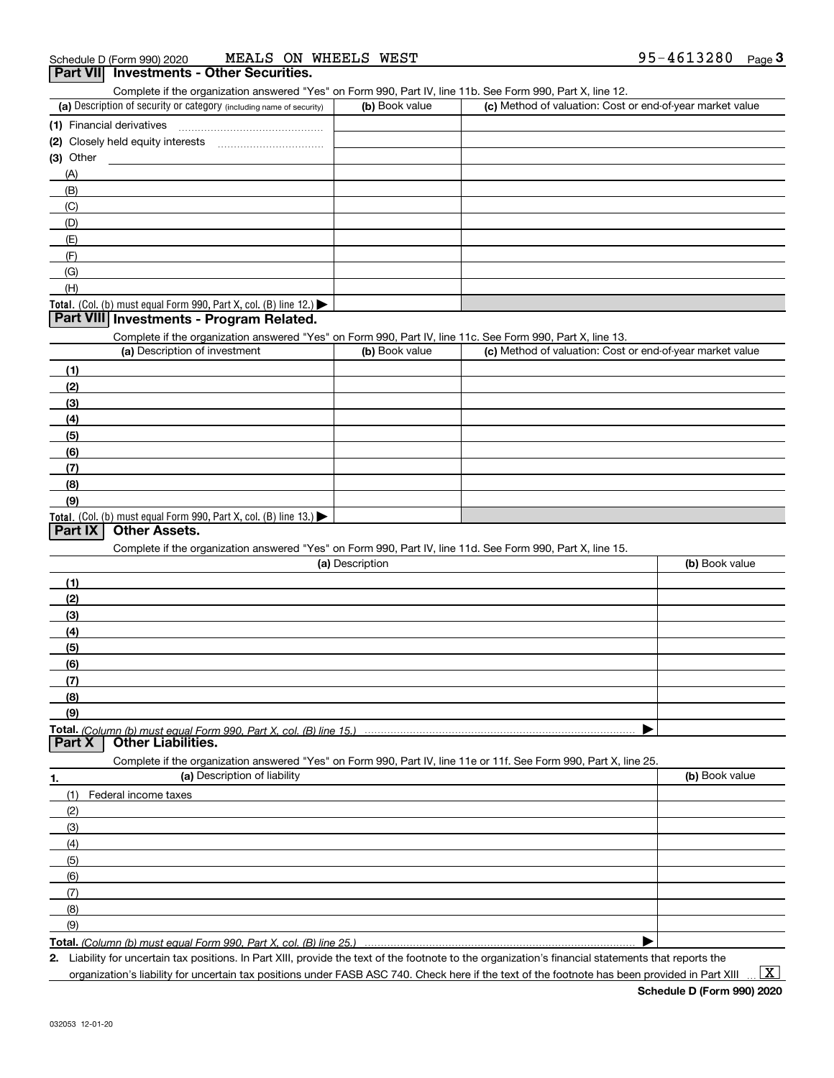| MEALS ON WHEELS WEST<br>Schedule D (Form 990) 2020                                                                |                 |                                                           | 95-4613280<br>Page $\bf{3}$ |
|-------------------------------------------------------------------------------------------------------------------|-----------------|-----------------------------------------------------------|-----------------------------|
| Part VII Investments - Other Securities.                                                                          |                 |                                                           |                             |
| Complete if the organization answered "Yes" on Form 990, Part IV, line 11b. See Form 990, Part X, line 12.        |                 |                                                           |                             |
| (a) Description of security or category (including name of security)                                              | (b) Book value  | (c) Method of valuation: Cost or end-of-year market value |                             |
| (1) Financial derivatives                                                                                         |                 |                                                           |                             |
|                                                                                                                   |                 |                                                           |                             |
| (3) Other                                                                                                         |                 |                                                           |                             |
| (A)                                                                                                               |                 |                                                           |                             |
| (B)                                                                                                               |                 |                                                           |                             |
| (C)                                                                                                               |                 |                                                           |                             |
| (D)                                                                                                               |                 |                                                           |                             |
| (E)                                                                                                               |                 |                                                           |                             |
| (F)                                                                                                               |                 |                                                           |                             |
| (G)                                                                                                               |                 |                                                           |                             |
| (H)                                                                                                               |                 |                                                           |                             |
| Total. (Col. (b) must equal Form 990, Part X, col. (B) line 12.)                                                  |                 |                                                           |                             |
| Part VIII Investments - Program Related.                                                                          |                 |                                                           |                             |
| Complete if the organization answered "Yes" on Form 990, Part IV, line 11c. See Form 990, Part X, line 13.        |                 |                                                           |                             |
| (a) Description of investment                                                                                     | (b) Book value  | (c) Method of valuation: Cost or end-of-year market value |                             |
| (1)                                                                                                               |                 |                                                           |                             |
| (2)                                                                                                               |                 |                                                           |                             |
| (3)                                                                                                               |                 |                                                           |                             |
| (4)                                                                                                               |                 |                                                           |                             |
| (5)                                                                                                               |                 |                                                           |                             |
|                                                                                                                   |                 |                                                           |                             |
| (6)                                                                                                               |                 |                                                           |                             |
| (7)<br>(8)                                                                                                        |                 |                                                           |                             |
| (9)                                                                                                               |                 |                                                           |                             |
|                                                                                                                   |                 |                                                           |                             |
| Total. (Col. (b) must equal Form 990, Part X, col. (B) line $13.$ )<br>Part IX<br><b>Other Assets.</b>            |                 |                                                           |                             |
| Complete if the organization answered "Yes" on Form 990, Part IV, line 11d. See Form 990, Part X, line 15.        |                 |                                                           |                             |
|                                                                                                                   | (a) Description |                                                           | (b) Book value              |
| (1)                                                                                                               |                 |                                                           |                             |
| (2)                                                                                                               |                 |                                                           |                             |
|                                                                                                                   |                 |                                                           |                             |
| (3)                                                                                                               |                 |                                                           |                             |
| (4)                                                                                                               |                 |                                                           |                             |
| (5)                                                                                                               |                 |                                                           |                             |
| (6)                                                                                                               |                 |                                                           |                             |
| (7)                                                                                                               |                 |                                                           |                             |
| (8)                                                                                                               |                 |                                                           |                             |
| (9)                                                                                                               |                 |                                                           |                             |
| Total. (Column (b) must equal Form 990. Part X, col. (B) line 15.)<br><b>Other Liabilities.</b><br>Part X         |                 |                                                           |                             |
|                                                                                                                   |                 |                                                           |                             |
| Complete if the organization answered "Yes" on Form 990, Part IV, line 11e or 11f. See Form 990, Part X, line 25. |                 |                                                           |                             |
| (a) Description of liability<br>1.                                                                                |                 |                                                           | (b) Book value              |
| (1)<br>Federal income taxes                                                                                       |                 |                                                           |                             |
| (2)                                                                                                               |                 |                                                           |                             |
| (3)                                                                                                               |                 |                                                           |                             |
| (4)                                                                                                               |                 |                                                           |                             |
| (5)                                                                                                               |                 |                                                           |                             |
| (6)                                                                                                               |                 |                                                           |                             |
| (7)                                                                                                               |                 |                                                           |                             |
| (8)                                                                                                               |                 |                                                           |                             |
| (9)                                                                                                               |                 |                                                           |                             |
| Total. (Column (b) must equal Form 990, Part X, col. (B) line 25.)                                                |                 |                                                           |                             |

*(Column (b) must equal Form 990, Part X, col. (B) line 25.)*

**2.** Liability for uncertain tax positions. In Part XIII, provide the text of the footnote to the organization's financial statements that reports the organization's liability for uncertain tax positions under FASB ASC 740. Check here if the text of the footnote has been provided in Part XIII

 $\vert$  X  $\vert$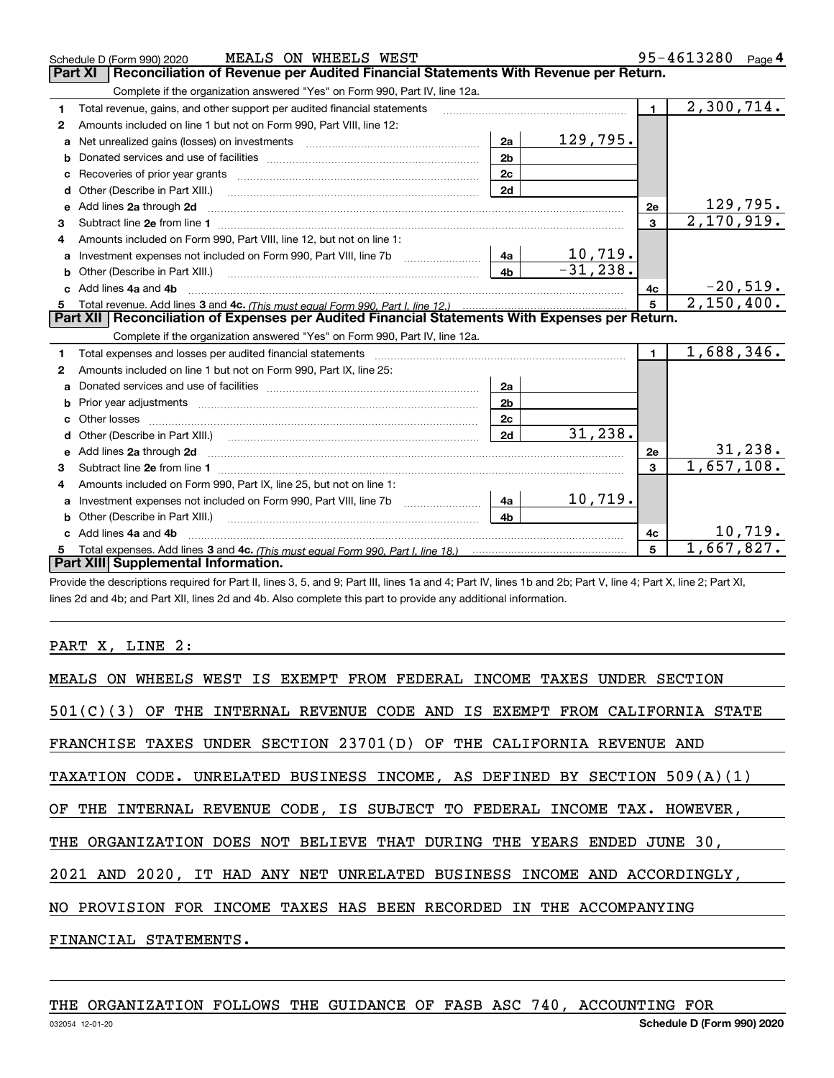|   | MEALS ON WHEELS WEST<br>Schedule D (Form 990) 2020                                                                                                                                                                             |                | 95-4613280 Page 4          |                |                               |
|---|--------------------------------------------------------------------------------------------------------------------------------------------------------------------------------------------------------------------------------|----------------|----------------------------|----------------|-------------------------------|
|   | Reconciliation of Revenue per Audited Financial Statements With Revenue per Return.<br><b>Part XI</b>                                                                                                                          |                |                            |                |                               |
|   | Complete if the organization answered "Yes" on Form 990, Part IV, line 12a.                                                                                                                                                    |                |                            |                |                               |
| 1 | Total revenue, gains, and other support per audited financial statements                                                                                                                                                       |                |                            | $\blacksquare$ | 2,300,714.                    |
| 2 | Amounts included on line 1 but not on Form 990, Part VIII, line 12:                                                                                                                                                            |                |                            |                |                               |
|   | Net unrealized gains (losses) on investments [11] matter contracts and the unrealized gains (losses) on investments                                                                                                            | 2a             | 129,795.                   |                |                               |
| b |                                                                                                                                                                                                                                | 2 <sub>b</sub> |                            |                |                               |
| c |                                                                                                                                                                                                                                | 2c             |                            |                |                               |
| d | Other (Describe in Part XIII.)                                                                                                                                                                                                 | 2d             |                            |                |                               |
| e | Add lines 2a through 2d                                                                                                                                                                                                        |                |                            | <b>2e</b>      | $\frac{129,795}{2,170,919}$ . |
| 3 |                                                                                                                                                                                                                                |                |                            | $\overline{3}$ |                               |
|   | Amounts included on Form 990, Part VIII, line 12, but not on line 1:                                                                                                                                                           |                |                            |                |                               |
| a | Investment expenses not included on Form 990, Part VIII, line 7b [100] [100] [100] [100] [100] [100] [100] [10                                                                                                                 | 4a             | $\frac{10,719.}{-31,238.}$ |                |                               |
| b |                                                                                                                                                                                                                                | 4 <sub>b</sub> |                            |                |                               |
|   | Add lines 4a and 4b                                                                                                                                                                                                            |                |                            | 4c             | $-20,519.$                    |
| 5 |                                                                                                                                                                                                                                |                |                            |                | 2,150,400.                    |
|   | Part XII   Reconciliation of Expenses per Audited Financial Statements With Expenses per Return.                                                                                                                               |                |                            |                |                               |
|   | Complete if the organization answered "Yes" on Form 990, Part IV, line 12a.                                                                                                                                                    |                |                            |                |                               |
| 1 |                                                                                                                                                                                                                                |                |                            | $\blacksquare$ | 1,688,346.                    |
| 2 | Amounts included on line 1 but not on Form 990, Part IX, line 25:                                                                                                                                                              |                |                            |                |                               |
| a |                                                                                                                                                                                                                                | 2a             |                            |                |                               |
| b | Prior year adjustments <b>constructed</b> and construction of the construction of the construction of the construction                                                                                                         | 2 <sub>b</sub> |                            |                |                               |
|   |                                                                                                                                                                                                                                | 2c             |                            |                |                               |
|   | Other (Describe in Part XIII.) (2000) (2000) (2000) (2000) (2000) (2000) (2000) (2000) (2000) (2000) (2000) (2000) (2000) (2000) (2000) (2000) (2000) (2000) (2000) (2000) (2000) (2000) (2000) (2000) (2000) (2000) (2000) (2 | 2d             | 31, 238.                   |                |                               |
|   |                                                                                                                                                                                                                                |                |                            | 2e             | 31, 238.                      |
| з |                                                                                                                                                                                                                                |                |                            | 3              | 1,657,108.                    |
| 4 | Amounts included on Form 990, Part IX, line 25, but not on line 1:                                                                                                                                                             |                |                            |                |                               |
| a |                                                                                                                                                                                                                                | 4a             | 10,719.                    |                |                               |
| b | Other (Describe in Part XIII.) <b>Construction Contract Construction</b> [                                                                                                                                                     | 4b             |                            |                |                               |
|   | Add lines 4a and 4b                                                                                                                                                                                                            |                |                            | 4с             | 10,719.                       |
| 5 |                                                                                                                                                                                                                                |                |                            | 5              | 1,667,827.                    |
|   | Part XIII Supplemental Information.                                                                                                                                                                                            |                |                            |                |                               |

Provide the descriptions required for Part II, lines 3, 5, and 9; Part III, lines 1a and 4; Part IV, lines 1b and 2b; Part V, line 4; Part X, line 2; Part XI, lines 2d and 4b; and Part XII, lines 2d and 4b. Also complete this part to provide any additional information.

#### PART X, LINE 2:

| MEALS ON WHEELS WEST IS EXEMPT FROM FEDERAL INCOME TAXES UNDER SECTION       |
|------------------------------------------------------------------------------|
| $501(C)(3)$ OF THE INTERNAL REVENUE CODE AND IS EXEMPT FROM CALIFORNIA STATE |
| FRANCHISE TAXES UNDER SECTION 23701(D) OF THE CALIFORNIA REVENUE AND         |
| TAXATION CODE. UNRELATED BUSINESS INCOME, AS DEFINED BY SECTION $509(A)(1)$  |
| OF THE INTERNAL REVENUE CODE, IS SUBJECT TO FEDERAL INCOME TAX. HOWEVER,     |
| THE ORGANIZATION DOES NOT BELIEVE THAT DURING THE YEARS ENDED JUNE 30,       |
| 2021 AND 2020, IT HAD ANY NET UNRELATED BUSINESS INCOME AND ACCORDINGLY,     |
| NO PROVISION FOR INCOME TAXES HAS BEEN RECORDED IN THE ACCOMPANYING          |
| FINANCIAL STATEMENTS.                                                        |
|                                                                              |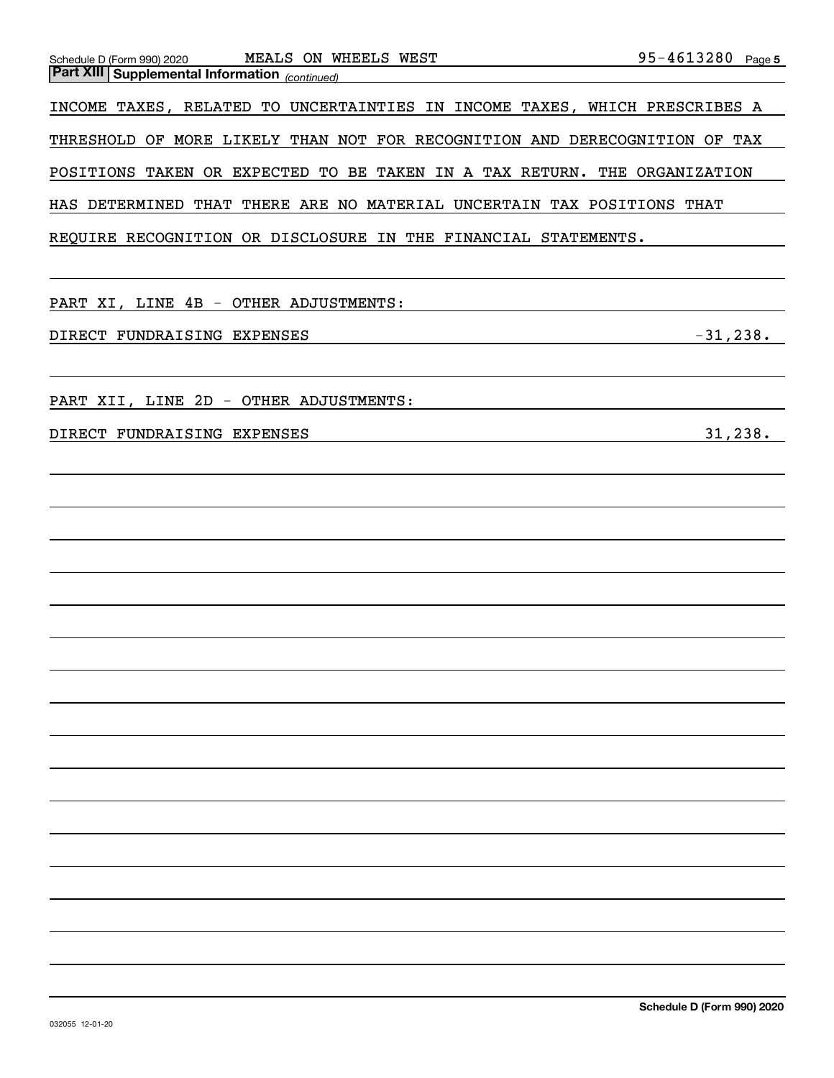| MEALS ON WHEELS WEST<br>Schedule D (Form 990) 2020                         | 95-4613280 Page 5 |
|----------------------------------------------------------------------------|-------------------|
| <b>Part XIII Supplemental Information</b> (continued)                      |                   |
| INCOME TAXES, RELATED TO UNCERTAINTIES IN INCOME TAXES, WHICH PRESCRIBES A |                   |
| THRESHOLD OF MORE LIKELY THAN NOT FOR RECOGNITION AND DERECOGNITION OF TAX |                   |
| POSITIONS TAKEN OR EXPECTED TO BE TAKEN IN A TAX RETURN. THE ORGANIZATION  |                   |
| HAS DETERMINED THAT THERE ARE NO MATERIAL UNCERTAIN TAX POSITIONS THAT     |                   |
| REQUIRE RECOGNITION OR DISCLOSURE IN THE FINANCIAL STATEMENTS.             |                   |
|                                                                            |                   |
| PART XI, LINE 4B - OTHER ADJUSTMENTS:                                      |                   |
| DIRECT FUNDRAISING EXPENSES                                                | $-31,238.$        |
|                                                                            |                   |
| PART XII, LINE 2D - OTHER ADJUSTMENTS:                                     |                   |
| DIRECT FUNDRAISING EXPENSES                                                | 31, 238.          |
|                                                                            |                   |
|                                                                            |                   |
|                                                                            |                   |
|                                                                            |                   |
|                                                                            |                   |
|                                                                            |                   |
|                                                                            |                   |
|                                                                            |                   |
|                                                                            |                   |
|                                                                            |                   |
|                                                                            |                   |
|                                                                            |                   |
|                                                                            |                   |
|                                                                            |                   |
|                                                                            |                   |
|                                                                            |                   |
|                                                                            |                   |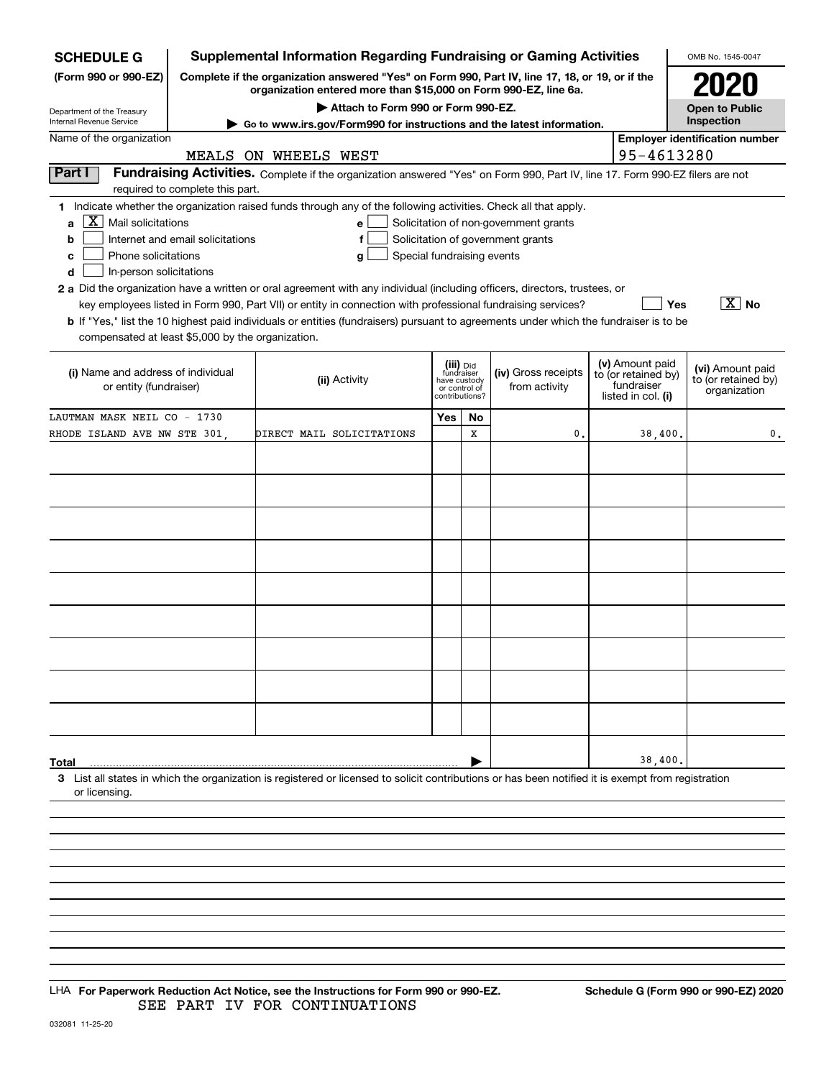| <b>SCHEDULE G</b>                                                                                                                            |                                                                                                                                                                     |                           |                                    |                               |    | <b>Supplemental Information Regarding Fundraising or Gaming Activities</b>                                                    |                                        | OMB No. 1545-0047                     |
|----------------------------------------------------------------------------------------------------------------------------------------------|---------------------------------------------------------------------------------------------------------------------------------------------------------------------|---------------------------|------------------------------------|-------------------------------|----|-------------------------------------------------------------------------------------------------------------------------------|----------------------------------------|---------------------------------------|
| (Form 990 or 990-EZ)                                                                                                                         | Complete if the organization answered "Yes" on Form 990, Part IV, line 17, 18, or 19, or if the<br>organization entered more than \$15,000 on Form 990-EZ, line 6a. |                           |                                    |                               |    |                                                                                                                               |                                        |                                       |
| Department of the Treasury                                                                                                                   |                                                                                                                                                                     |                           | Attach to Form 990 or Form 990-EZ. |                               |    |                                                                                                                               |                                        | <b>Open to Public</b>                 |
| Internal Revenue Service                                                                                                                     |                                                                                                                                                                     |                           |                                    |                               |    | Go to www.irs.gov/Form990 for instructions and the latest information.                                                        |                                        | Inspection                            |
| Name of the organization                                                                                                                     |                                                                                                                                                                     |                           |                                    |                               |    |                                                                                                                               |                                        | <b>Employer identification number</b> |
|                                                                                                                                              |                                                                                                                                                                     | MEALS ON WHEELS WEST      |                                    |                               |    |                                                                                                                               | 95-4613280                             |                                       |
| Part I                                                                                                                                       | required to complete this part.                                                                                                                                     |                           |                                    |                               |    | Fundraising Activities. Complete if the organization answered "Yes" on Form 990, Part IV, line 17. Form 990-EZ filers are not |                                        |                                       |
|                                                                                                                                              |                                                                                                                                                                     |                           |                                    |                               |    |                                                                                                                               |                                        |                                       |
| 1 Indicate whether the organization raised funds through any of the following activities. Check all that apply.<br>ΧI<br>Mail solicitations  |                                                                                                                                                                     |                           | e                                  |                               |    | Solicitation of non-government grants                                                                                         |                                        |                                       |
| a<br>b                                                                                                                                       | Internet and email solicitations                                                                                                                                    |                           | f                                  |                               |    | Solicitation of government grants                                                                                             |                                        |                                       |
| Phone solicitations<br>c                                                                                                                     |                                                                                                                                                                     |                           | Special fundraising events         |                               |    |                                                                                                                               |                                        |                                       |
| In-person solicitations<br>d                                                                                                                 |                                                                                                                                                                     |                           | g                                  |                               |    |                                                                                                                               |                                        |                                       |
| 2 a Did the organization have a written or oral agreement with any individual (including officers, directors, trustees, or                   |                                                                                                                                                                     |                           |                                    |                               |    |                                                                                                                               |                                        |                                       |
|                                                                                                                                              |                                                                                                                                                                     |                           |                                    |                               |    | key employees listed in Form 990, Part VII) or entity in connection with professional fundraising services?                   |                                        | $ \overline{X} $ No<br>Yes            |
| <b>b</b> If "Yes," list the 10 highest paid individuals or entities (fundraisers) pursuant to agreements under which the fundraiser is to be |                                                                                                                                                                     |                           |                                    |                               |    |                                                                                                                               |                                        |                                       |
| compensated at least \$5,000 by the organization.                                                                                            |                                                                                                                                                                     |                           |                                    |                               |    |                                                                                                                               |                                        |                                       |
|                                                                                                                                              |                                                                                                                                                                     |                           |                                    |                               |    |                                                                                                                               |                                        |                                       |
| (i) Name and address of individual                                                                                                           |                                                                                                                                                                     |                           |                                    | (iii) Did<br>fundraiser       |    | (iv) Gross receipts                                                                                                           | (v) Amount paid<br>to (or retained by) | (vi) Amount paid                      |
| or entity (fundraiser)                                                                                                                       |                                                                                                                                                                     | (ii) Activity             |                                    | have custody<br>or control of |    | from activity                                                                                                                 | fundraiser                             | to (or retained by)<br>organization   |
|                                                                                                                                              |                                                                                                                                                                     |                           |                                    | contributions?                |    |                                                                                                                               | listed in col. (i)                     |                                       |
| LAUTMAN MASK NEIL CO - 1730                                                                                                                  |                                                                                                                                                                     |                           |                                    | Yes                           | No |                                                                                                                               |                                        |                                       |
| RHODE ISLAND AVE NW STE 301,                                                                                                                 |                                                                                                                                                                     | DIRECT MAIL SOLICITATIONS |                                    |                               | X  | 0.                                                                                                                            | 38,400.                                | 0.                                    |
|                                                                                                                                              |                                                                                                                                                                     |                           |                                    |                               |    |                                                                                                                               |                                        |                                       |
|                                                                                                                                              |                                                                                                                                                                     |                           |                                    |                               |    |                                                                                                                               |                                        |                                       |
|                                                                                                                                              |                                                                                                                                                                     |                           |                                    |                               |    |                                                                                                                               |                                        |                                       |
|                                                                                                                                              |                                                                                                                                                                     |                           |                                    |                               |    |                                                                                                                               |                                        |                                       |
|                                                                                                                                              |                                                                                                                                                                     |                           |                                    |                               |    |                                                                                                                               |                                        |                                       |
|                                                                                                                                              |                                                                                                                                                                     |                           |                                    |                               |    |                                                                                                                               |                                        |                                       |
|                                                                                                                                              |                                                                                                                                                                     |                           |                                    |                               |    |                                                                                                                               |                                        |                                       |
|                                                                                                                                              |                                                                                                                                                                     |                           |                                    |                               |    |                                                                                                                               |                                        |                                       |
|                                                                                                                                              |                                                                                                                                                                     |                           |                                    |                               |    |                                                                                                                               |                                        |                                       |
|                                                                                                                                              |                                                                                                                                                                     |                           |                                    |                               |    |                                                                                                                               |                                        |                                       |
|                                                                                                                                              |                                                                                                                                                                     |                           |                                    |                               |    |                                                                                                                               |                                        |                                       |
|                                                                                                                                              |                                                                                                                                                                     |                           |                                    |                               |    |                                                                                                                               |                                        |                                       |
|                                                                                                                                              |                                                                                                                                                                     |                           |                                    |                               |    |                                                                                                                               |                                        |                                       |
|                                                                                                                                              |                                                                                                                                                                     |                           |                                    |                               |    |                                                                                                                               |                                        |                                       |
|                                                                                                                                              |                                                                                                                                                                     |                           |                                    |                               |    |                                                                                                                               |                                        |                                       |
|                                                                                                                                              |                                                                                                                                                                     |                           |                                    |                               |    |                                                                                                                               |                                        |                                       |
|                                                                                                                                              |                                                                                                                                                                     |                           |                                    |                               |    |                                                                                                                               |                                        |                                       |
|                                                                                                                                              |                                                                                                                                                                     |                           |                                    |                               |    |                                                                                                                               |                                        |                                       |
|                                                                                                                                              |                                                                                                                                                                     |                           |                                    |                               |    |                                                                                                                               |                                        |                                       |
| Total                                                                                                                                        |                                                                                                                                                                     |                           |                                    |                               |    |                                                                                                                               | 38,400.                                |                                       |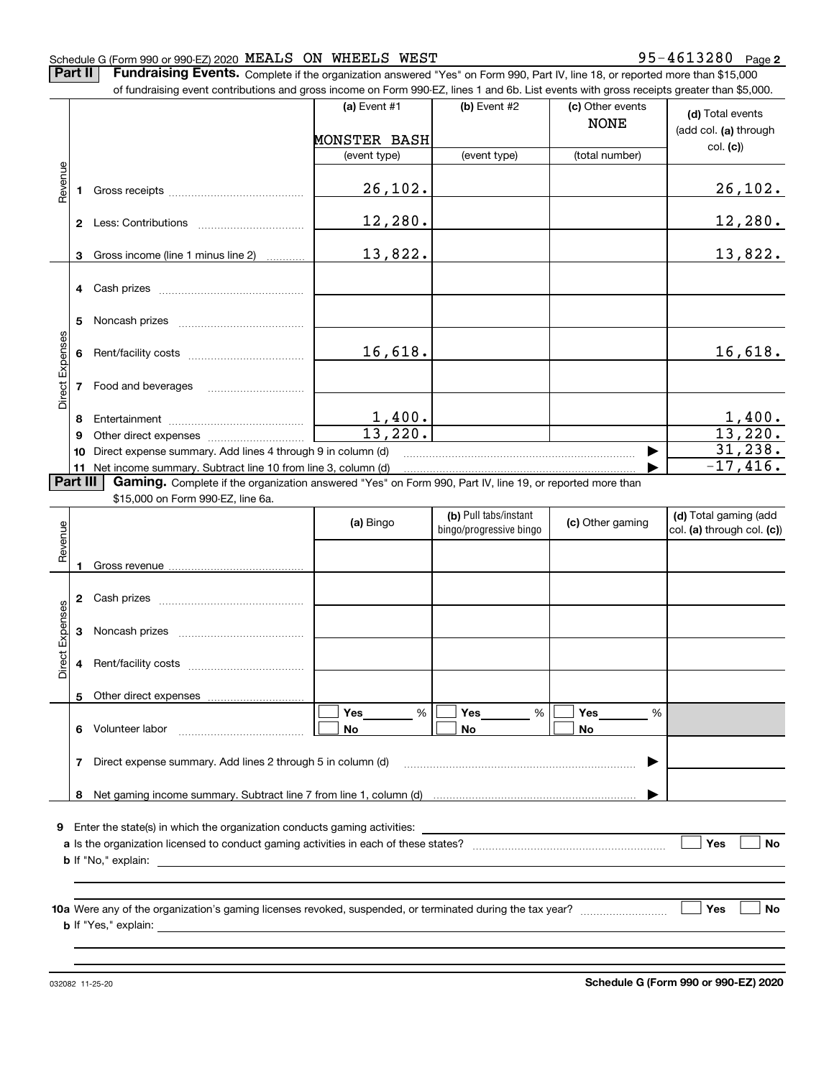#### Schedule G (Form 990 or 990-EZ) 2020 Page MEALS ON WHEELS WEST 95-4613280

**2**

**(d)**  Total events **(a)** Event  $#1$  **(b)** Event  $#2$ **Part II** | Fundraising Events. Complete if the organization answered "Yes" on Form 990, Part IV, line 18, or reported more than \$15,000 of fundraising event contributions and gross income on Form 990-EZ, lines 1 and 6b. List events with gross receipts greater than \$5,000. (c) Other events NONE

|                 |                                                                                                                          |                                                                 |              |              | NONE           | (add col. (a) through |  |  |  |  |
|-----------------|--------------------------------------------------------------------------------------------------------------------------|-----------------------------------------------------------------|--------------|--------------|----------------|-----------------------|--|--|--|--|
|                 |                                                                                                                          |                                                                 | MONSTER BASH |              |                | col. (c)              |  |  |  |  |
|                 |                                                                                                                          |                                                                 | (event type) | (event type) | (total number) |                       |  |  |  |  |
|                 |                                                                                                                          |                                                                 |              |              |                |                       |  |  |  |  |
| Revenue         |                                                                                                                          |                                                                 | 26, 102.     |              |                | 26, 102.              |  |  |  |  |
|                 |                                                                                                                          |                                                                 |              |              |                |                       |  |  |  |  |
|                 | $\mathbf{2}$                                                                                                             | Less: Contributions                                             | 12,280.      |              |                | 12,280.               |  |  |  |  |
|                 |                                                                                                                          |                                                                 |              |              |                |                       |  |  |  |  |
|                 | 3                                                                                                                        | Gross income (line 1 minus line 2)                              | 13,822.      |              |                | 13,822.               |  |  |  |  |
|                 |                                                                                                                          |                                                                 |              |              |                |                       |  |  |  |  |
|                 |                                                                                                                          |                                                                 |              |              |                |                       |  |  |  |  |
|                 |                                                                                                                          |                                                                 |              |              |                |                       |  |  |  |  |
|                 |                                                                                                                          |                                                                 |              |              |                |                       |  |  |  |  |
|                 | 5                                                                                                                        |                                                                 |              |              |                |                       |  |  |  |  |
| Direct Expenses |                                                                                                                          |                                                                 |              |              |                |                       |  |  |  |  |
|                 |                                                                                                                          |                                                                 | 16,618.      |              |                | 16,618.               |  |  |  |  |
|                 |                                                                                                                          |                                                                 |              |              |                |                       |  |  |  |  |
|                 |                                                                                                                          | Food and beverages                                              |              |              |                |                       |  |  |  |  |
|                 |                                                                                                                          |                                                                 |              |              |                |                       |  |  |  |  |
|                 | 8                                                                                                                        |                                                                 | 1,400.       |              |                | 1,400.                |  |  |  |  |
|                 | 9                                                                                                                        |                                                                 | 13,220.      |              |                | 13,220.               |  |  |  |  |
|                 | 10                                                                                                                       | Direct expense summary. Add lines 4 through 9 in column (d)     |              |              |                | 31, 238.              |  |  |  |  |
|                 |                                                                                                                          | $-17,416.$                                                      |              |              |                |                       |  |  |  |  |
|                 |                                                                                                                          | 11 Net income summary. Subtract line 10 from line 3, column (d) |              |              |                |                       |  |  |  |  |
|                 | <b>Part III</b> Gaming. Complete if the organization answered "Yes" on Form 990, Part IV, line 19, or reported more than |                                                                 |              |              |                |                       |  |  |  |  |

\$15,000 on Form 990-EZ, line 6a.

| Revenue                                                                       |              |  | (a) Bingo                  | (b) Pull tabs/instant<br>bingo/progressive bingo | (c) Other gaming | (d) Total gaming (add<br>col. (a) through col. (c)) |  |  |  |
|-------------------------------------------------------------------------------|--------------|--|----------------------------|--------------------------------------------------|------------------|-----------------------------------------------------|--|--|--|
|                                                                               | 1            |  |                            |                                                  |                  |                                                     |  |  |  |
|                                                                               | $\mathbf{2}$ |  |                            |                                                  |                  |                                                     |  |  |  |
|                                                                               | 3            |  |                            |                                                  |                  |                                                     |  |  |  |
| Direct Expenses                                                               | 4            |  |                            |                                                  |                  |                                                     |  |  |  |
|                                                                               |              |  |                            |                                                  |                  |                                                     |  |  |  |
|                                                                               | 6            |  | Yes________ %<br><b>No</b> | Yes $\_\_$<br>%<br><b>No</b>                     | %<br><b>No</b>   |                                                     |  |  |  |
| Direct expense summary. Add lines 2 through 5 in column (d)<br>7              |              |  |                            |                                                  |                  |                                                     |  |  |  |
|                                                                               | 8            |  |                            |                                                  |                  |                                                     |  |  |  |
| Enter the state(s) in which the organization conducts gaming activities:<br>9 |              |  |                            |                                                  |                  |                                                     |  |  |  |
| Yes<br><b>No</b>                                                              |              |  |                            |                                                  |                  |                                                     |  |  |  |
|                                                                               |              |  |                            |                                                  |                  |                                                     |  |  |  |
|                                                                               |              |  |                            |                                                  |                  | <b>No</b><br>Yes                                    |  |  |  |
|                                                                               |              |  |                            |                                                  |                  |                                                     |  |  |  |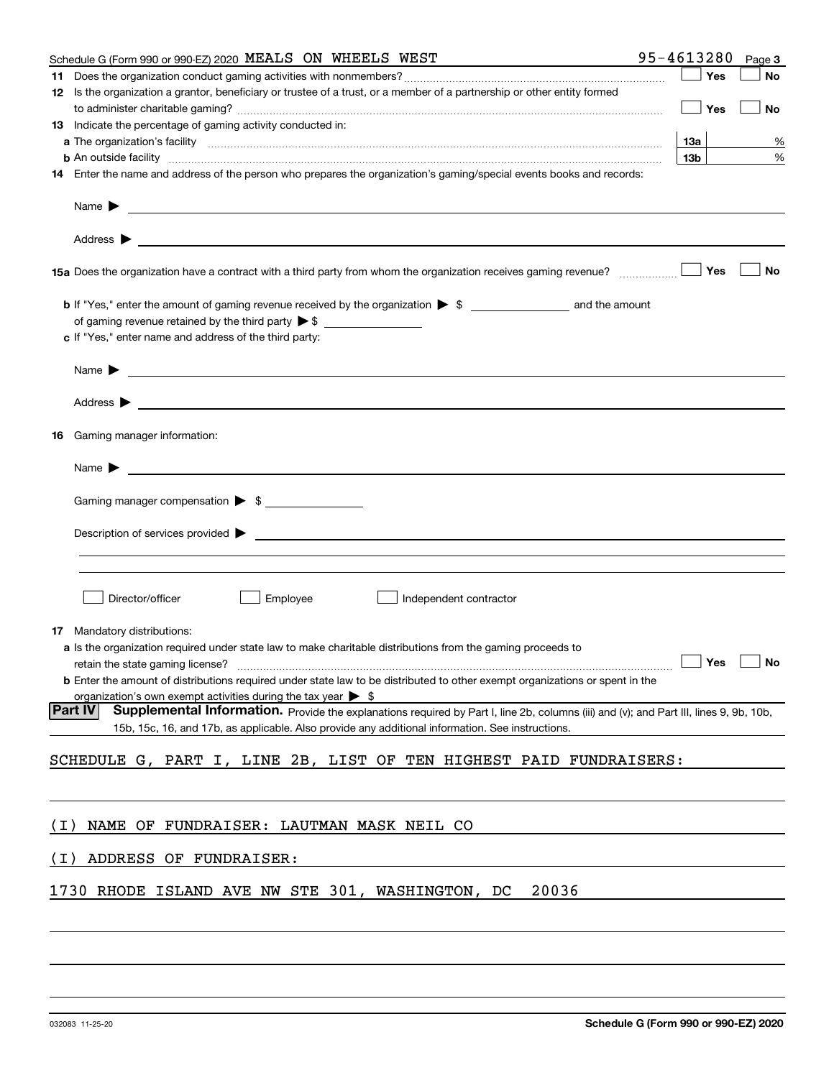|       | Schedule G (Form 990 or 990-EZ) 2020 MEALS ON WHEELS WEST                                                                                                                                                                                             | 95-4613280      |            | Page 3    |
|-------|-------------------------------------------------------------------------------------------------------------------------------------------------------------------------------------------------------------------------------------------------------|-----------------|------------|-----------|
|       |                                                                                                                                                                                                                                                       |                 | Yes        | No        |
|       | 12 Is the organization a grantor, beneficiary or trustee of a trust, or a member of a partnership or other entity formed                                                                                                                              |                 | Yes        | No        |
|       | 13 Indicate the percentage of gaming activity conducted in:                                                                                                                                                                                           |                 |            |           |
|       |                                                                                                                                                                                                                                                       | 13а             |            | %         |
|       | <b>b</b> An outside facility <i>www.communically.communically.communically.communically.communically.communically.communically.communically.communically.communically.communically.communically.communically.communically.communicall</i>             | 13 <sub>b</sub> |            | %         |
|       | 14 Enter the name and address of the person who prepares the organization's gaming/special events books and records:                                                                                                                                  |                 |            |           |
|       | Name $\blacktriangleright$<br><u> 1989 - Andrea Stadt Britain, amerikansk politiker (d. 1989)</u>                                                                                                                                                     |                 |            |           |
|       |                                                                                                                                                                                                                                                       |                 |            |           |
|       |                                                                                                                                                                                                                                                       |                 | Yes        | No        |
|       |                                                                                                                                                                                                                                                       |                 |            |           |
|       | c If "Yes," enter name and address of the third party:                                                                                                                                                                                                |                 |            |           |
|       | Name $\blacktriangleright$                                                                                                                                                                                                                            |                 |            |           |
|       | Address $\blacktriangleright$                                                                                                                                                                                                                         |                 |            |           |
|       | 16 Gaming manager information:                                                                                                                                                                                                                        |                 |            |           |
|       | Name $\blacktriangleright$                                                                                                                                                                                                                            |                 |            |           |
|       | Gaming manager compensation > \$                                                                                                                                                                                                                      |                 |            |           |
|       |                                                                                                                                                                                                                                                       |                 |            |           |
|       |                                                                                                                                                                                                                                                       |                 |            |           |
|       | Director/officer<br>Employee<br>Independent contractor                                                                                                                                                                                                |                 |            |           |
| 17.   | Mandatory distributions:                                                                                                                                                                                                                              |                 |            |           |
|       | a Is the organization required under state law to make charitable distributions from the gaming proceeds to                                                                                                                                           |                 | $\Box$ Yes | $\Box$ No |
|       | <b>b</b> Enter the amount of distributions required under state law to be distributed to other exempt organizations or spent in the<br>organization's own exempt activities during the tax year $\triangleright$ \$                                   |                 |            |           |
|       | Part IV<br>Supplemental Information. Provide the explanations required by Part I, line 2b, columns (iii) and (v); and Part III, lines 9, 9b, 10b,<br>15b, 15c, 16, and 17b, as applicable. Also provide any additional information. See instructions. |                 |            |           |
|       | SCHEDULE G, PART I, LINE 2B, LIST OF TEN HIGHEST PAID FUNDRAISERS:                                                                                                                                                                                    |                 |            |           |
|       |                                                                                                                                                                                                                                                       |                 |            |           |
| ( I ) | NAME OF FUNDRAISER: LAUTMAN MASK NEIL CO                                                                                                                                                                                                              |                 |            |           |
| ( I ) | ADDRESS OF FUNDRAISER:                                                                                                                                                                                                                                |                 |            |           |
|       | 20036<br>1730 RHODE ISLAND AVE NW STE 301, WASHINGTON, DC                                                                                                                                                                                             |                 |            |           |
|       |                                                                                                                                                                                                                                                       |                 |            |           |
|       |                                                                                                                                                                                                                                                       |                 |            |           |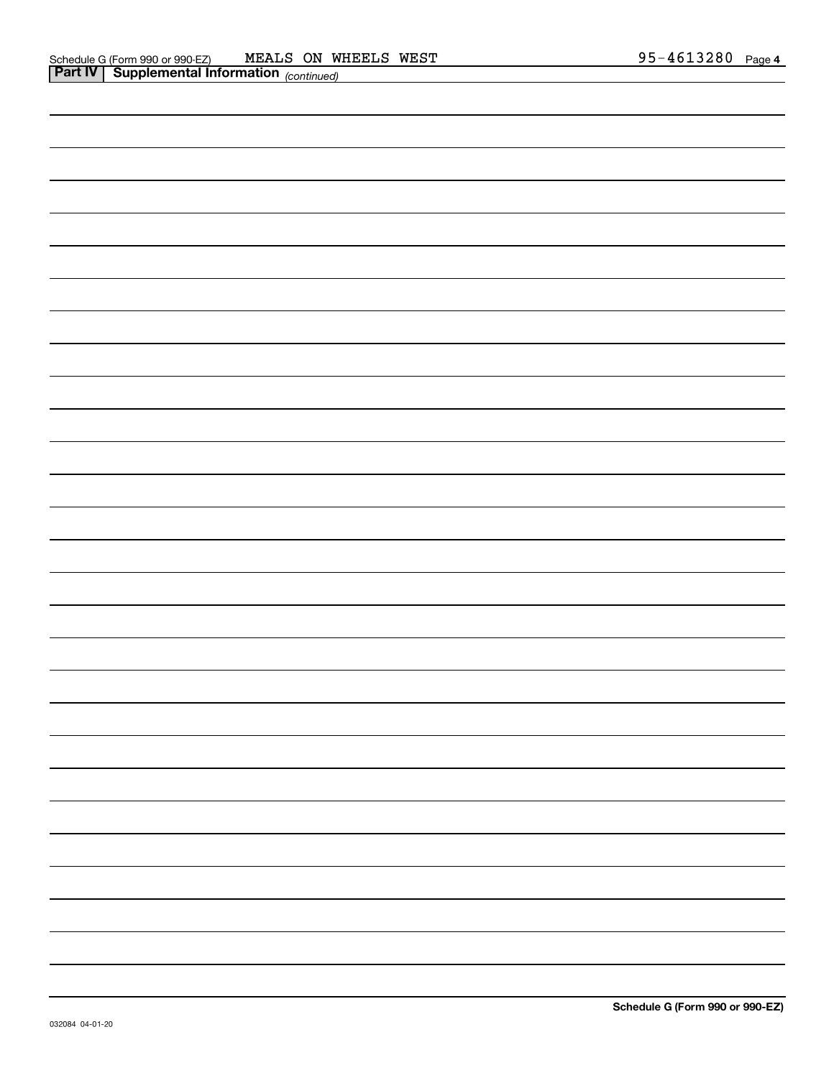| <u> 1989 - Johann Barbara, martxa alemaniar amerikan basar da da a shekara a shekara tsa a shekara a shekara a sh</u> |
|-----------------------------------------------------------------------------------------------------------------------|
|                                                                                                                       |
|                                                                                                                       |
| <u> 1989 - Johann Stoff, amerikansk politiker (d. 1989)</u>                                                           |
|                                                                                                                       |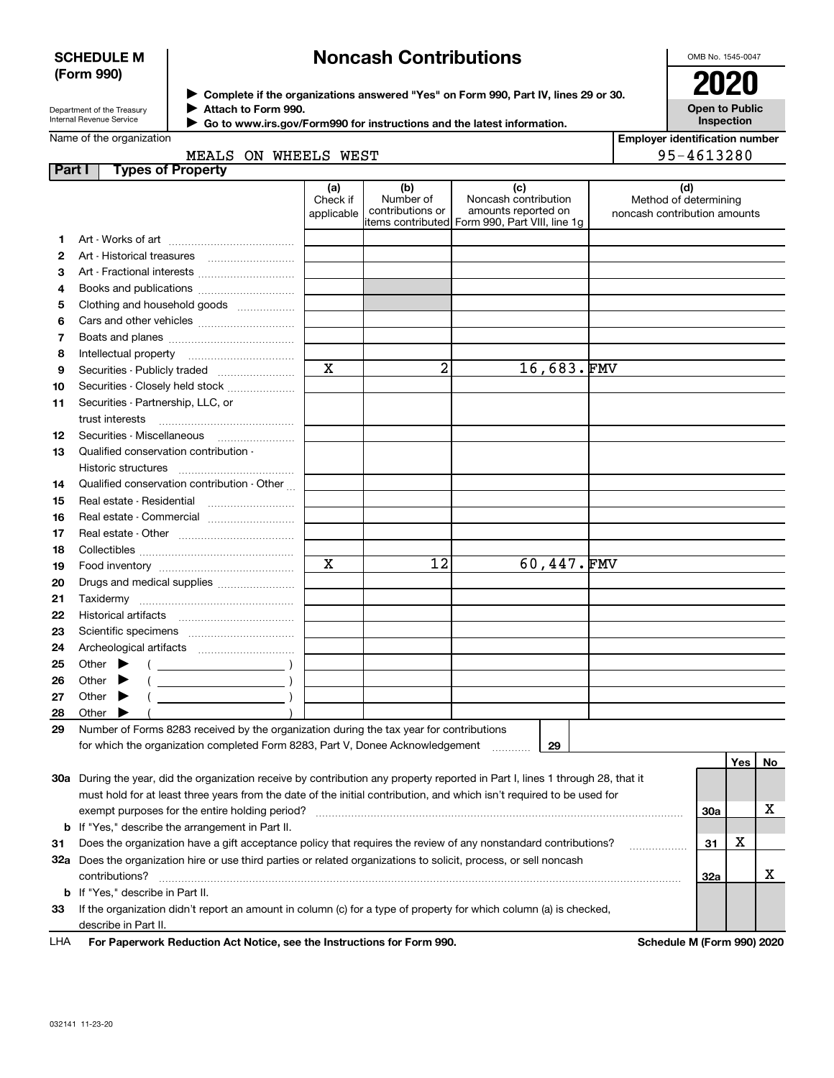#### **SCHEDULE M (Form 990)**

# **Noncash Contributions**

OMB No. 1545-0047

| Department of the Treasury      |
|---------------------------------|
| <b>Internal Revenue Service</b> |

**Complete if the organizations answered "Yes" on Form 990, Part IV, lines 29 or 30.** <sup>J</sup>**2020 Attach to Form 990.** J

**Open to Public Inspection**

|  | Go to www.irs.gov/Form990 for instructions and the latest information. |  |
|--|------------------------------------------------------------------------|--|
|--|------------------------------------------------------------------------|--|

| Name of the organization |
|--------------------------|
|--------------------------|

 $\blacktriangleright$ 

| <b>Employer identification number</b> |  |  |  |  |  |
|---------------------------------------|--|--|--|--|--|
| 95-4613280                            |  |  |  |  |  |

|  | MEALS ON WHEELS WEST |  |
|--|----------------------|--|

| <b>Part I</b> | <b>Types of Property</b>                                                                                                                                                                                                                 |                               |                                      |                                                                                                       |                                                              |     |    |
|---------------|------------------------------------------------------------------------------------------------------------------------------------------------------------------------------------------------------------------------------------------|-------------------------------|--------------------------------------|-------------------------------------------------------------------------------------------------------|--------------------------------------------------------------|-----|----|
|               |                                                                                                                                                                                                                                          | (a)<br>Check if<br>applicable | (b)<br>Number of<br>contributions or | (c)<br>Noncash contribution<br>amounts reported on<br>litems contributed Form 990, Part VIII, line 1g | (d)<br>Method of determining<br>noncash contribution amounts |     |    |
| 1.            |                                                                                                                                                                                                                                          |                               |                                      |                                                                                                       |                                                              |     |    |
| 2             | Art - Historical treasures                                                                                                                                                                                                               |                               |                                      |                                                                                                       |                                                              |     |    |
| з             | Art - Fractional interests                                                                                                                                                                                                               |                               |                                      |                                                                                                       |                                                              |     |    |
| 4             | Books and publications                                                                                                                                                                                                                   |                               |                                      |                                                                                                       |                                                              |     |    |
| 5             | Clothing and household goods                                                                                                                                                                                                             |                               |                                      |                                                                                                       |                                                              |     |    |
| 6             |                                                                                                                                                                                                                                          |                               |                                      |                                                                                                       |                                                              |     |    |
| 7             |                                                                                                                                                                                                                                          |                               |                                      |                                                                                                       |                                                              |     |    |
| 8             | Intellectual property                                                                                                                                                                                                                    |                               |                                      |                                                                                                       |                                                              |     |    |
| 9             | Securities - Publicly traded                                                                                                                                                                                                             | $\mathbf X$                   | 2                                    | 16,683.FMV                                                                                            |                                                              |     |    |
| 10            | Securities - Closely held stock                                                                                                                                                                                                          |                               |                                      |                                                                                                       |                                                              |     |    |
| 11            | Securities - Partnership, LLC, or                                                                                                                                                                                                        |                               |                                      |                                                                                                       |                                                              |     |    |
|               | trust interests                                                                                                                                                                                                                          |                               |                                      |                                                                                                       |                                                              |     |    |
| 12            | Securities - Miscellaneous                                                                                                                                                                                                               |                               |                                      |                                                                                                       |                                                              |     |    |
| 13            | Qualified conservation contribution -                                                                                                                                                                                                    |                               |                                      |                                                                                                       |                                                              |     |    |
|               | <b>Historic structures</b>                                                                                                                                                                                                               |                               |                                      |                                                                                                       |                                                              |     |    |
| 14            | Qualified conservation contribution - Other                                                                                                                                                                                              |                               |                                      |                                                                                                       |                                                              |     |    |
| 15            | Real estate - Residential                                                                                                                                                                                                                |                               |                                      |                                                                                                       |                                                              |     |    |
| 16            | Real estate - Commercial                                                                                                                                                                                                                 |                               |                                      |                                                                                                       |                                                              |     |    |
| 17            |                                                                                                                                                                                                                                          |                               |                                      |                                                                                                       |                                                              |     |    |
| 18            |                                                                                                                                                                                                                                          |                               |                                      |                                                                                                       |                                                              |     |    |
| 19            |                                                                                                                                                                                                                                          | $\mathbf X$                   | 12                                   | 60,447.FMV                                                                                            |                                                              |     |    |
| 20            | Drugs and medical supplies                                                                                                                                                                                                               |                               |                                      |                                                                                                       |                                                              |     |    |
| 21            |                                                                                                                                                                                                                                          |                               |                                      |                                                                                                       |                                                              |     |    |
| 22            |                                                                                                                                                                                                                                          |                               |                                      |                                                                                                       |                                                              |     |    |
| 23            |                                                                                                                                                                                                                                          |                               |                                      |                                                                                                       |                                                              |     |    |
| 24            |                                                                                                                                                                                                                                          |                               |                                      |                                                                                                       |                                                              |     |    |
| 25            | Other $\blacktriangleright$                                                                                                                                                                                                              |                               |                                      |                                                                                                       |                                                              |     |    |
| 26            | Other                                                                                                                                                                                                                                    |                               |                                      |                                                                                                       |                                                              |     |    |
| 27            | $\overline{\phantom{a}}$ )<br>Other $\blacktriangleright$                                                                                                                                                                                |                               |                                      |                                                                                                       |                                                              |     |    |
| 28            | Other<br>▸                                                                                                                                                                                                                               |                               |                                      |                                                                                                       |                                                              |     |    |
| 29            | Number of Forms 8283 received by the organization during the tax year for contributions                                                                                                                                                  |                               |                                      |                                                                                                       |                                                              |     |    |
|               | for which the organization completed Form 8283, Part V, Donee Acknowledgement                                                                                                                                                            |                               |                                      | 29                                                                                                    |                                                              |     |    |
|               |                                                                                                                                                                                                                                          |                               |                                      |                                                                                                       |                                                              | Yes | No |
|               | 30a During the year, did the organization receive by contribution any property reported in Part I, lines 1 through 28, that it                                                                                                           |                               |                                      |                                                                                                       |                                                              |     |    |
|               | must hold for at least three years from the date of the initial contribution, and which isn't required to be used for<br>exempt purposes for the entire holding period?                                                                  |                               |                                      |                                                                                                       |                                                              | 30a | х  |
|               |                                                                                                                                                                                                                                          |                               |                                      |                                                                                                       |                                                              |     |    |
| 31            | <b>b</b> If "Yes," describe the arrangement in Part II.                                                                                                                                                                                  |                               |                                      |                                                                                                       |                                                              |     |    |
|               | Does the organization have a gift acceptance policy that requires the review of any nonstandard contributions?<br>.<br>32a Does the organization hire or use third parties or related organizations to solicit, process, or sell noncash |                               |                                      |                                                                                                       |                                                              |     |    |
|               | contributions?                                                                                                                                                                                                                           |                               |                                      |                                                                                                       |                                                              | 32a | х  |
| b             | If "Yes," describe in Part II.                                                                                                                                                                                                           |                               |                                      |                                                                                                       |                                                              |     |    |
| 33            | If the organization didn't report an amount in column (c) for a type of property for which column (a) is checked,                                                                                                                        |                               |                                      |                                                                                                       |                                                              |     |    |
|               | describe in Part II.                                                                                                                                                                                                                     |                               |                                      |                                                                                                       |                                                              |     |    |
|               |                                                                                                                                                                                                                                          |                               |                                      |                                                                                                       |                                                              |     |    |

**For Paperwork Reduction Act Notice, see the Instructions for Form 990. Schedule M (Form 990) 2020** LHA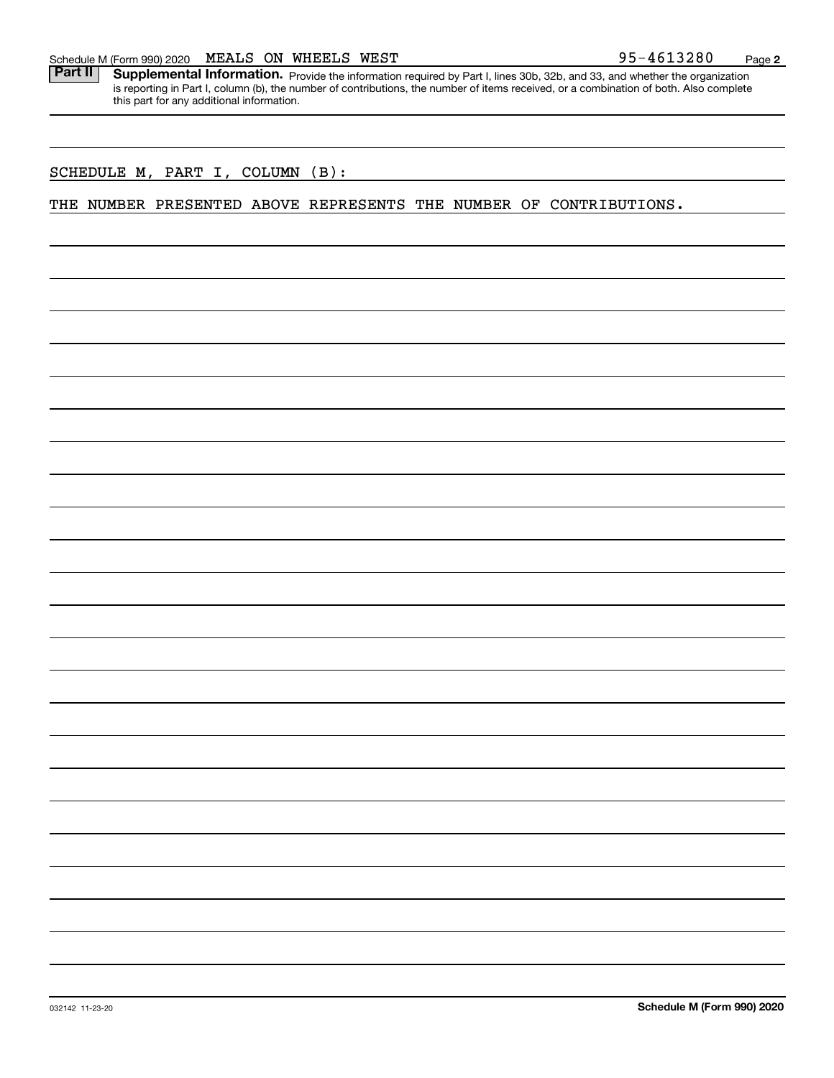Part II | Supplemental Information. Provide the information required by Part I, lines 30b, 32b, and 33, and whether the organization is reporting in Part I, column (b), the number of contributions, the number of items received, or a combination of both. Also complete this part for any additional information.

#### SCHEDULE M, PART I, COLUMN (B):

#### THE NUMBER PRESENTED ABOVE REPRESENTS THE NUMBER OF CONTRIBUTIONS.